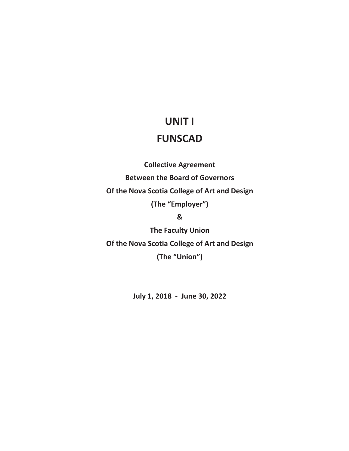# **UNIT I**

# **FUNSCAD**

**Collective Agreement Between the Board of Governors Of the Nova Scotia College of Art and Design (The "Employer") &** 

**The Faculty Union Of the Nova Scotia College of Art and Design (The "Union")** 

**July 1, 2018 - June 30, 2022**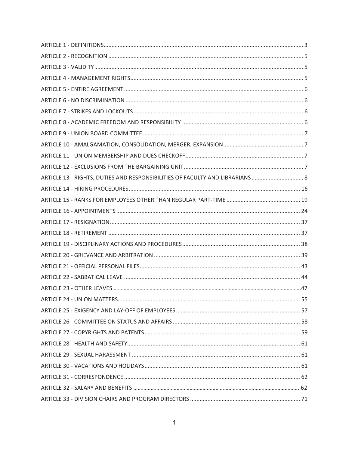| ARTICLE 13 - RIGHTS, DUTIES AND RESPONSIBILITIES OF FACULTY AND LIBRARIANS  8 |  |
|-------------------------------------------------------------------------------|--|
|                                                                               |  |
|                                                                               |  |
|                                                                               |  |
|                                                                               |  |
|                                                                               |  |
|                                                                               |  |
|                                                                               |  |
|                                                                               |  |
|                                                                               |  |
|                                                                               |  |
|                                                                               |  |
|                                                                               |  |
|                                                                               |  |
|                                                                               |  |
|                                                                               |  |
|                                                                               |  |
|                                                                               |  |
|                                                                               |  |
|                                                                               |  |
|                                                                               |  |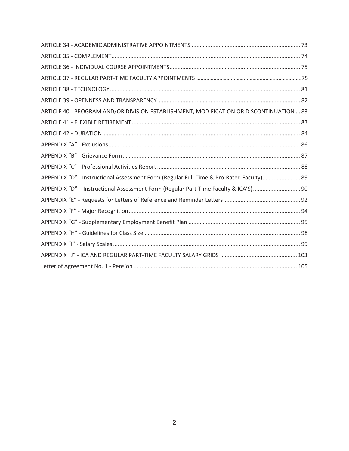| ARTICLE 40 - PROGRAM AND/OR DIVISION ESTABLISHMENT, MODIFICATION OR DISCONTINUATION  83 |
|-----------------------------------------------------------------------------------------|
|                                                                                         |
|                                                                                         |
|                                                                                         |
|                                                                                         |
|                                                                                         |
| APPENDIX "D" - Instructional Assessment Form (Regular Full-Time & Pro-Rated Faculty) 89 |
| APPENDIX "D" - Instructional Assessment Form (Regular Part-Time Faculty & ICA'S) 90     |
|                                                                                         |
|                                                                                         |
|                                                                                         |
|                                                                                         |
|                                                                                         |
|                                                                                         |
|                                                                                         |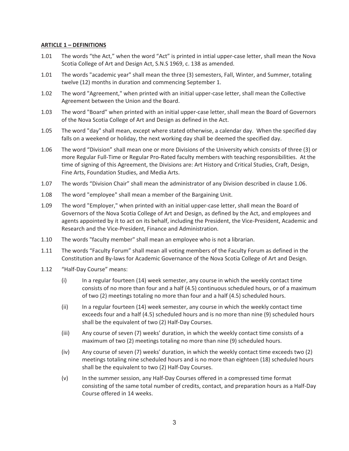## **ARTICLE 1 – DEFINITIONS**

- 1.01 The words "the Act," when the word "Act" is printed in intial upper-case letter, shall mean the Nova Scotia College of Art and Design Act, S.N.S 1969, c. 138 as amended.
- 1.01 The words "academic year" shall mean the three (3) semesters, Fall, Winter, and Summer, totaling twelve (12) months in duration and commencing September 1.
- 1.02 The word "Agreement," when printed with an initial upper-case letter, shall mean the Collective Agreement between the Union and the Board.
- 1.03 The word "Board" when printed with an initial upper-case letter, shall mean the Board of Governors of the Nova Scotia College of Art and Design as defined in the Act.
- 1.05 The word "day" shall mean, except where stated otherwise, a calendar day. When the specified day falls on a weekend or holiday, the next working day shall be deemed the specified day.
- 1.06 The word "Division" shall mean one or more Divisions of the University which consists of three (3) or more Regular Full-Time or Regular Pro-Rated faculty members with teaching responsibilities. At the time of signing of this Agreement, the Divisions are: Art History and Critical Studies, Craft, Design, Fine Arts, Foundation Studies, and Media Arts.
- 1.07 The words "Division Chair" shall mean the administrator of any Division described in clause 1.06.
- 1.08 The word "employee" shall mean a member of the Bargaining Unit.
- 1.09 The word "Employer," when printed with an initial upper-case letter, shall mean the Board of Governors of the Nova Scotia College of Art and Design, as defined by the Act, and employees and agents appointed by it to act on its behalf, including the President, the Vice-President, Academic and Research and the Vice-President, Finance and Administration.
- 1.10 The words "faculty member" shall mean an employee who is not a librarian.
- 1.11 The words "Faculty Forum" shall mean all voting members of the Faculty Forum as defined in the Constitution and By-laws for Academic Governance of the Nova Scotia College of Art and Design.
- 1.12 "Half-Day Course" means:
	- (i) In a regular fourteen (14) week semester, any course in which the weekly contact time consists of no more than four and a half (4.5) continuous scheduled hours, or of a maximum of two (2) meetings totaling no more than four and a half (4.5) scheduled hours.
	- (ii) In a regular fourteen (14) week semester, any course in which the weekly contact time exceeds four and a half (4.5) scheduled hours and is no more than nine (9) scheduled hours shall be the equivalent of two (2) Half-Day Courses.
	- (iii) Any course of seven (7) weeks' duration, in which the weekly contact time consists of a maximum of two (2) meetings totaling no more than nine (9) scheduled hours.
	- (iv) Any course of seven (7) weeks' duration, in which the weekly contact time exceeds two (2) meetings totaling nine scheduled hours and is no more than eighteen (18) scheduled hours shall be the equivalent to two (2) Half-Day Courses.
	- (v) In the summer session, any Half-Day Courses offered in a compressed time format consisting of the same total number of credits, contact, and preparation hours as a Half-Day Course offered in 14 weeks.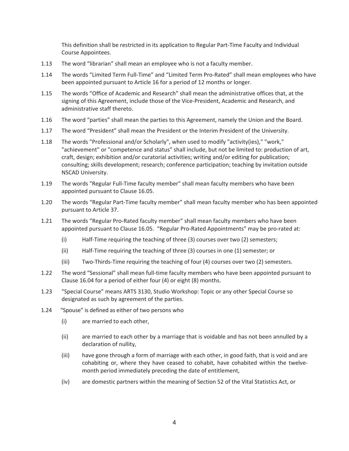This definition shall be restricted in its application to Regular Part-Time Faculty and Individual Course Appointees.

- 1.13 The word "librarian" shall mean an employee who is not a faculty member.
- 1.14 The words "Limited Term Full-Time" and "Limited Term Pro-Rated" shall mean employees who have been appointed pursuant to Article 16 for a period of 12 months or longer.
- 1.15 The words "Office of Academic and Research" shall mean the administrative offices that, at the signing of this Agreement, include those of the Vice-President, Academic and Research, and administrative staff thereto.
- 1.16 The word "parties" shall mean the parties to this Agreement, namely the Union and the Board.
- 1.17 The word "President" shall mean the President or the Interim President of the University.
- 1.18 The words "Professional and/or Scholarly", when used to modify "activity(ies)," "work," "achievement" or "competence and status" shall include, but not be limited to: production of art, craft, design; exhibition and/or curatorial activities; writing and/or editing for publication; consulting; skills development; research; conference participation; teaching by invitation outside NSCAD University.
- 1.19 The words "Regular Full-Time faculty member" shall mean faculty members who have been appointed pursuant to Clause 16.05.
- 1.20 The words "Regular Part-Time faculty member" shall mean faculty member who has been appointed pursuant to Article 37.
- 1.21 The words "Regular Pro-Rated faculty member" shall mean faculty members who have been appointed pursuant to Clause 16.05. "Regular Pro-Rated Appointments" may be pro-rated at:
	- (i) Half-Time requiring the teaching of three (3) courses over two (2) semesters;
	- (ii) Half-Time requiring the teaching of three (3) courses in one (1) semester; or
	- (iii) Two-Thirds-Time requiring the teaching of four (4) courses over two (2) semesters.
- 1.22 The word "Sessional" shall mean full-time faculty members who have been appointed pursuant to Clause 16.04 for a period of either four (4) or eight (8) months.
- 1.23 "Special Course" means ARTS 3130, Studio Workshop: Topic or any other Special Course so designated as such by agreement of the parties.
- 1.24 "Spouse" is defined as either of two persons who
	- (i) are married to each other,
	- (ii) are married to each other by a marriage that is voidable and has not been annulled by a declaration of nullity,
	- (iii) have gone through a form of marriage with each other, in good faith, that is void and are cohabiting or, where they have ceased to cohabit, have cohabited within the twelvemonth period immediately preceding the date of entitlement,
	- (iv) are domestic partners within the meaning of Section 52 of the Vital Statistics Act, or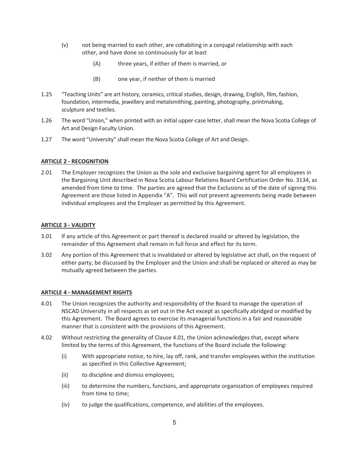- (v) not being married to each other, are cohabiting in a conjugal relationship with each other, and have done so continuously for at least
	- (A) three years, if either of them is married, or
	- (B) one year, if neither of them is married
- 1.25 "Teaching Units" are art history, ceramics, critical studies, design, drawing, English, film, fashion, foundation, intermedia, jewellery and metalsmithing, painting, photography, printmaking, sculpture and textiles.
- 1.26 The word "Union," when printed with an initial upper-case letter, shall mean the Nova Scotia College of Art and Design Faculty Union.
- 1.27 The word "University" shall mean the Nova Scotia College of Art and Design.

# **ARTICLE 2 - RECOGNITION**

2.01 The Employer recognizes the Union as the sole and exclusive bargaining agent for all employees in the Bargaining Unit described in Nova Scotia Labour Relations Board Certification Order No. 3134, as amended from time to time. The parties are agreed that the Exclusions as of the date of signing this Agreement are those listed in Appendix "A". This will not prevent agreements being made between individual employees and the Employer as permitted by this Agreement.

# **ARTICLE 3 - VALIDITY**

- 3.01 If any article of this Agreement or part thereof is declared invalid or altered by legislation, the remainder of this Agreement shall remain in full force and effect for its term.
- 3.02 Any portion of this Agreement that is invalidated or altered by legislative act shall, on the request of either party, be discussed by the Employer and the Union and shall be replaced or altered as may be mutually agreed between the parties.

# **ARTICLE 4 - MANAGEMENT RIGHTS**

- 4.01 The Union recognizes the authority and responsibility of the Board to manage the operation of NSCAD University in all respects as set out in the Act except as specifically abridged or modified by this Agreement. The Board agrees to exercise its managerial functions in a fair and reasonable manner that is consistent with the provisions of this Agreement.
- 4.02 Without restricting the generality of Clause 4.01, the Union acknowledges that, except where limited by the terms of this Agreement, the functions of the Board include the following:
	- (i) With appropriate notice, to hire, lay off, rank, and transfer employees within the institution as specified in this Collective Agreement;
	- (ii) to discipline and dismiss employees;
	- (iii) to determine the numbers, functions, and appropriate organization of employees required from time to time;
	- (iv) to judge the qualifications, competence, and abilities of the employees.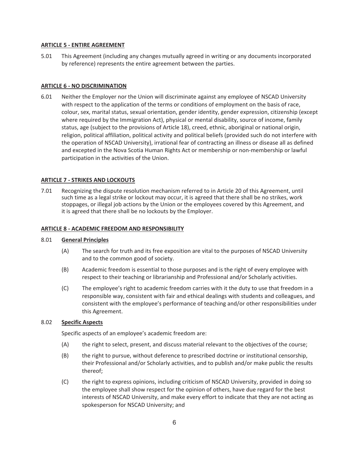## **ARTICLE 5 - ENTIRE AGREEMENT**

5.01 This Agreement (including any changes mutually agreed in writing or any documents incorporated by reference) represents the entire agreement between the parties.

## **ARTICLE 6 - NO DISCRIMINATION**

6.01 Neither the Employer nor the Union will discriminate against any employee of NSCAD University with respect to the application of the terms or conditions of employment on the basis of race, colour, sex, marital status, sexual orientation, gender identity, gender expression, citizenship (except where required by the Immigration Act), physical or mental disability, source of income, family status, age (subject to the provisions of Article 18), creed, ethnic, aboriginal or national origin, religion, political affiliation, political activity and political beliefs (provided such do not interfere with the operation of NSCAD University), irrational fear of contracting an illness or disease all as defined and excepted in the Nova Scotia Human Rights Act or membership or non-membership or lawful participation in the activities of the Union.

## **ARTICLE 7 - STRIKES AND LOCKOUTS**

7.01 Recognizing the dispute resolution mechanism referred to in Article 20 of this Agreement, until such time as a legal strike or lockout may occur, it is agreed that there shall be no strikes, work stoppages, or illegal job actions by the Union or the employees covered by this Agreement, and it is agreed that there shall be no lockouts by the Employer.

#### **ARTICLE 8 - ACADEMIC FREEDOM AND RESPONSIBILITY**

#### 8.01 **General Principles**

- (A) The search for truth and its free exposition are vital to the purposes of NSCAD University and to the common good of society.
- (B) Academic freedom is essential to those purposes and is the right of every employee with respect to their teaching or librarianship and Professional and/or Scholarly activities.
- (C) The employee's right to academic freedom carries with it the duty to use that freedom in a responsible way, consistent with fair and ethical dealings with students and colleagues, and consistent with the employee's performance of teaching and/or other responsibilities under this Agreement.

# 8.02 **Specific Aspects**

Specific aspects of an employee's academic freedom are:

- (A) the right to select, present, and discuss material relevant to the objectives of the course;
- (B) the right to pursue, without deference to prescribed doctrine or institutional censorship, their Professional and/or Scholarly activities, and to publish and/or make public the results thereof;
- (C) the right to express opinions, including criticism of NSCAD University, provided in doing so the employee shall show respect for the opinion of others, have due regard for the best interests of NSCAD University, and make every effort to indicate that they are not acting as spokesperson for NSCAD University; and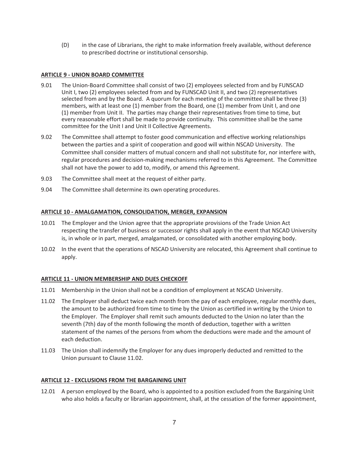(D) in the case of Librarians, the right to make information freely available, without deference to prescribed doctrine or institutional censorship.

# **ARTICLE 9 - UNION BOARD COMMITTEE**

- 9.01 The Union-Board Committee shall consist of two (2) employees selected from and by FUNSCAD Unit I, two (2) employees selected from and by FUNSCAD Unit II, and two (2) representatives selected from and by the Board. A quorum for each meeting of the committee shall be three (3) members, with at least one (1) member from the Board, one (1) member from Unit I, and one (1) member from Unit II. The parties may change their representatives from time to time, but every reasonable effort shall be made to provide continuity. This committee shall be the same committee for the Unit I and Unit II Collective Agreements.
- 9.02 The Committee shall attempt to foster good communication and effective working relationships between the parties and a spirit of cooperation and good will within NSCAD University. The Committee shall consider matters of mutual concern and shall not substitute for, nor interfere with, regular procedures and decision-making mechanisms referred to in this Agreement. The Committee shall not have the power to add to, modify, or amend this Agreement.
- 9.03 The Committee shall meet at the request of either party.
- 9.04 The Committee shall determine its own operating procedures.

# **ARTICLE 10 - AMALGAMATION, CONSOLIDATION, MERGER, EXPANSION**

- 10.01 The Employer and the Union agree that the appropriate provisions of the Trade Union Act respecting the transfer of business or successor rights shall apply in the event that NSCAD University is, in whole or in part, merged, amalgamated, or consolidated with another employing body.
- 10.02 In the event that the operations of NSCAD University are relocated, this Agreement shall continue to apply.

# **ARTICLE 11 - UNION MEMBERSHIP AND DUES CHECKOFF**

- 11.01 Membership in the Union shall not be a condition of employment at NSCAD University.
- 11.02 The Employer shall deduct twice each month from the pay of each employee, regular monthly dues, the amount to be authorized from time to time by the Union as certified in writing by the Union to the Employer. The Employer shall remit such amounts deducted to the Union no later than the seventh (7th) day of the month following the month of deduction, together with a written statement of the names of the persons from whom the deductions were made and the amount of each deduction.
- 11.03 The Union shall indemnify the Employer for any dues improperly deducted and remitted to the Union pursuant to Clause 11.02.

# **ARTICLE 12 - EXCLUSIONS FROM THE BARGAINING UNIT**

12.01 A person employed by the Board, who is appointed to a position excluded from the Bargaining Unit who also holds a faculty or librarian appointment, shall, at the cessation of the former appointment,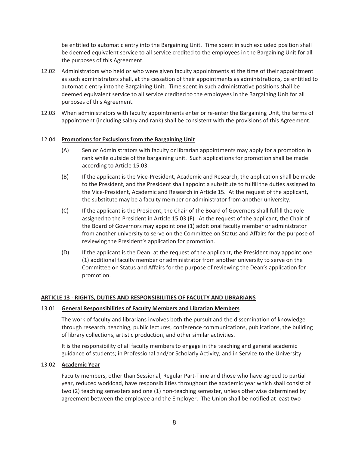be entitled to automatic entry into the Bargaining Unit. Time spent in such excluded position shall be deemed equivalent service to all service credited to the employees in the Bargaining Unit for all the purposes of this Agreement.

- 12.02 Administrators who held or who were given faculty appointments at the time of their appointment as such administrators shall, at the cessation of their appointments as administrations, be entitled to automatic entry into the Bargaining Unit. Time spent in such administrative positions shall be deemed equivalent service to all service credited to the employees in the Bargaining Unit for all purposes of this Agreement.
- 12.03 When administrators with faculty appointments enter or re-enter the Bargaining Unit, the terms of appointment (including salary and rank) shall be consistent with the provisions of this Agreement.

# 12.04 **Promotions for Exclusions from the Bargaining Unit**

- (A) Senior Administrators with faculty or librarian appointments may apply for a promotion in rank while outside of the bargaining unit. Such applications for promotion shall be made according to Article 15.03.
- (B) If the applicant is the Vice-President, Academic and Research, the application shall be made to the President, and the President shall appoint a substitute to fulfill the duties assigned to the Vice-President, Academic and Research in Article 15. At the request of the applicant, the substitute may be a faculty member or administrator from another university.
- (C) If the applicant is the President, the Chair of the Board of Governors shall fulfill the role assigned to the President in Article 15.03 (F). At the request of the applicant, the Chair of the Board of Governors may appoint one (1) additional faculty member or administrator from another university to serve on the Committee on Status and Affairs for the purpose of reviewing the President's application for promotion.
- (D) If the applicant is the Dean, at the request of the applicant, the President may appoint one (1) additional faculty member or administrator from another university to serve on the Committee on Status and Affairs for the purpose of reviewing the Dean's application for promotion.

# **ARTICLE 13 - RIGHTS, DUTIES AND RESPONSIBILITIES OF FACULTY AND LIBRARIANS**

# 13.01 **General Responsibilities of Faculty Members and Librarian Members**

The work of faculty and librarians involves both the pursuit and the dissemination of knowledge through research, teaching, public lectures, conference communications, publications, the building of library collections, artistic production, and other similar activities.

It is the responsibility of all faculty members to engage in the teaching and general academic guidance of students; in Professional and/or Scholarly Activity; and in Service to the University.

# 13.02 **Academic Year**

 Faculty members, other than Sessional, Regular Part-Time and those who have agreed to partial year, reduced workload, have responsibilities throughout the academic year which shall consist of two (2) teaching semesters and one (1) non-teaching semester, unless otherwise determined by agreement between the employee and the Employer. The Union shall be notified at least two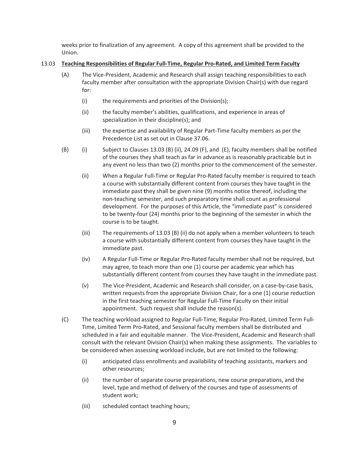weeks prior to finalization of any agreement. A copy of this agreement shall be provided to the Union.

# 13.03 **Teaching Responsibilities of Regular Full-Time, Regular Pro-Rated, and Limited Term Faculty**

- (A) The Vice-President, Academic and Research shall assign teaching responsibilities to each faculty member after consultation with the appropriate Division Chair(s) with due regard for:
	- (i) the requirements and priorities of the Division(s);
	- (ii) the faculty member's abilities, qualifications, and experience in areas of specialization in their discipline(s); and
	- (iii) the expertise and availability of Regular Part-Time faculty members as per the Precedence List as set out in Clause 37.06.
- (B) (i) Subject to Clauses 13.03 (B) (ii), 24.09 (F), and (E), faculty members shall be notified of the courses they shall teach as far in advance as is reasonably practicable but in any event no less than two (2) months prior to the commencement of the semester.
	- (ii) When a Regular Full-Time or Regular Pro-Rated faculty member is required to teach a course with substantially different content from courses they have taught in the immediate past **t**hey shall be given nine (9) months notice thereof, including the non-teaching semester, and such preparatory time shall count as professional development. For the purposes of this Article, the "immediate past" is considered to be twenty-four (24) months prior to the beginning of the semester in which the course is to be taught.
	- (iii) The requirements of 13.03 (B) (ii) do not apply when a member volunteers to teach a course with substantially different content from courses they have taught in the immediate past.
	- (iv) A Regular Full-Time or Regular Pro-Rated faculty member shall not be required, but may agree, to teach more than one (1) course per academic year which has substantially different content from courses they have taught in the immediate past.
	- (v) The Vice-President, Academic and Research shall consider, on a case-by-case basis, written requests from the appropriate Division Chair, for a one (1) course reduction in the first teaching semester for Regular Full-Time Faculty on their initial appointment. Such request shall include the reason(s).
- (C) The teaching workload assigned to Regular Full-Time, Regular Pro-Rated, Limited Term Full-Time, Limited Term Pro-Rated, and Sessional faculty members shall be distributed and scheduled in a fair and equitable manner. The Vice-President, Academic and Research shall consult with the relevant Division Chair(s) when making these assignments. The variables to be considered when assessing workload include, but are not limited to the following:
	- (i) anticipated class enrollments and availability of teaching assistants, markers and other resources;
	- (ii) the number of separate course preparations, new course preparations, and the level, type and method of delivery of the courses and type of assessments of student work;
	- (iii) scheduled contact teaching hours;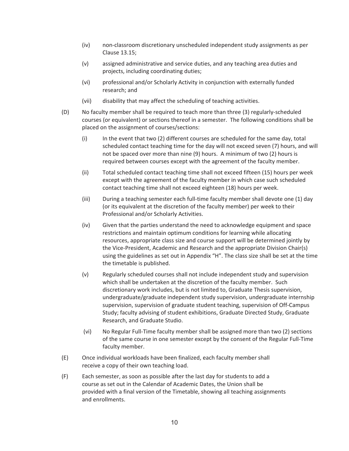- (iv) non-classroom discretionary unscheduled independent study assignments as per Clause 13.15;
- (v) assigned administrative and service duties, and any teaching area duties and projects, including coordinating duties;
- (vi) professional and/or Scholarly Activity in conjunction with externally funded research; and
- (vii) disability that may affect the scheduling of teaching activities.
- (D) No faculty member shall be required to teach more than three (3) regularly-scheduled courses (or equivalent) or sections thereof in a semester. The following conditions shall be placed on the assignment of courses/sections:
	- (i) In the event that two (2) different courses are scheduled for the same day, total scheduled contact teaching time for the day will not exceed seven (7) hours, and will not be spaced over more than nine (9) hours. A minimum of two (2) hours is required between courses except with the agreement of the faculty member.
	- (ii) Total scheduled contact teaching time shall not exceed fifteen (15) hours per week except with the agreement of the faculty member in which case such scheduled contact teaching time shall not exceed eighteen (18) hours per week.
	- (iii) During a teaching semester each full-time faculty member shall devote one (1) day (or its equivalent at the discretion of the faculty member) per week to their Professional and/or Scholarly Activities.
	- (iv) Given that the parties understand the need to acknowledge equipment and space restrictions and maintain optimum conditions for learning while allocating resources, appropriate class size and course support will be determined jointly by the Vice-President, Academic and Research and the appropriate Division Chair(s) using the guidelines as set out in Appendix "H". The class size shall be set at the time the timetable is published.
	- (v) Regularly scheduled courses shall not include independent study and supervision which shall be undertaken at the discretion of the faculty member. Such discretionary work includes, but is not limited to, Graduate Thesis supervision, undergraduate/graduate independent study supervision, undergraduate internship supervision, supervision of graduate student teaching, supervision of Off-Campus Study; faculty advising of student exhibitions, Graduate Directed Study, Graduate Research, and Graduate Studio.
	- (vi) No Regular Full-Time faculty member shall be assigned more than two (2) sections of the same course in one semester except by the consent of the Regular Full-Time faculty member.
- (E) Once individual workloads have been finalized, each faculty member shall receive a copy of their own teaching load.
- (F) Each semester, as soon as possible after the last day for students to add a course as set out in the Calendar of Academic Dates, the Union shall be provided with a final version of the Timetable, showing all teaching assignments and enrollments.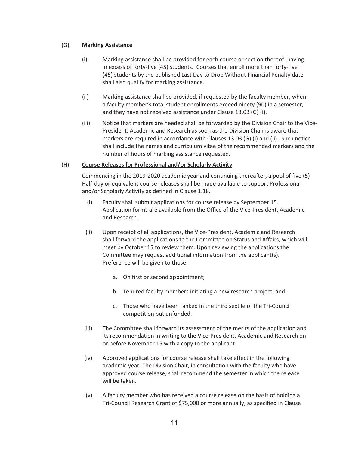# (G) **Marking Assistance**

- (i) Marking assistance shall be provided for each course or section thereof having in excess of forty-five (45) students. Courses that enroll more than forty-five (45) students by the published Last Day to Drop Without Financial Penalty date shall also qualify for marking assistance.
- (ii) Marking assistance shall be provided, if requested by the faculty member, when a faculty member's total student enrollments exceed ninety (90) in a semester, and they have not received assistance under Clause 13.03 (G) (i).
- (iii) Notice that markers are needed shall be forwarded by the Division Chair to the Vice-President, Academic and Research as soon as the Division Chair is aware that markers are required in accordance with Clauses 13.03 (G) (i) and (ii). Such notice shall include the names and curriculum vitae of the recommended markers and the number of hours of marking assistance requested.

# (H) **Course Releases for Professional and/or Scholarly Activity**

 Commencing in the 2019-2020 academic year and continuing thereafter, a pool of five (5) Half-day or equivalent course releases shall be made available to support Professional and/or Scholarly Activity as defined in Clause 1.18.

- (i) Faculty shall submit applications for course release by September 15. Application forms are available from the Office of the Vice-President, Academic and Research.
- (ii) Upon receipt of all applications, the Vice-President, Academic and Research shall forward the applications to the Committee on Status and Affairs, which will meet by October 15 to review them. Upon reviewing the applications the Committee may request additional information from the applicant(s). Preference will be given to those:
	- a. On first or second appointment;
	- b. Tenured faculty members initiating a new research project; and
	- c. Those who have been ranked in the third sextile of the Tri-Council competition but unfunded.
- (iii) The Committee shall forward its assessment of the merits of the application and its recommendation in writing to the Vice-President, Academic and Research on or before November 15 with a copy to the applicant.
- (iv) Approved applications for course release shall take effect in the following academic year. The Division Chair, in consultation with the faculty who have approved course release, shall recommend the semester in which the release will be taken.
- (v) A faculty member who has received a course release on the basis of holding a Tri-Council Research Grant of \$75,000 or more annually, as specified in Clause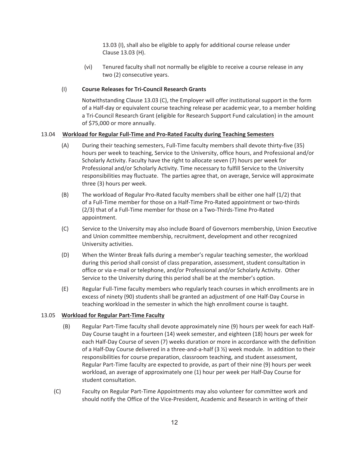13.03 (I), shall also be eligible to apply for additional course release under Clause 13.03 (H).

(vi) Tenured faculty shall not normally be eligible to receive a course release in any two (2) consecutive years.

# (I) **Course Releases for Tri-Council Research Grants**

Notwithstanding Clause 13.03 (C), the Employer will offer institutional support in the form of a Half-day or equivalent course teaching release per academic year, to a member holding a Tri-Council Research Grant (eligible for Research Support Fund calculation) in the amount of \$75,000 or more annually.

# 13.04 **Workload for Regular Full-Time and Pro-Rated Faculty during Teaching Semesters**

- (A) During their teaching semesters, Full-Time faculty members shall devote thirty-five (35) hours per week to teaching, Service to the University, office hours, and Professional and/or Scholarly Activity. Faculty have the right to allocate seven (7) hours per week for Professional and/or Scholarly Activity. Time necessary to fulfill Service to the University responsibilities may fluctuate. The parties agree that, on average, Service will approximate three (3) hours per week.
- (B) The workload of Regular Pro-Rated faculty members shall be either one half (1/2) that of a Full-Time member for those on a Half-Time Pro-Rated appointment or two-thirds (2/3) that of a Full-Time member for those on a Two-Thirds-Time Pro-Rated appointment.
- (C) Service to the University may also include Board of Governors membership, Union Executive and Union committee membership, recruitment, development and other recognized University activities.
- (D) When the Winter Break falls during a member's regular teaching semester, the workload during this period shall consist of class preparation, assessment, student consultation in office or via e-mail or telephone, and/or Professional and/or Scholarly Activity. Other Service to the University during this period shall be at the member's option.
- (E) Regular Full-Time faculty members who regularly teach courses in which enrollments are in excess of ninety (90) students shall be granted an adjustment of one Half-Day Course in teaching workload in the semester in which the high enrollment course is taught.

# 13.05 **Workload for Regular Part-Time Faculty**

- (B) Regular Part-Time faculty shall devote approximately nine (9) hours per week for each Half-Day Course taught in a fourteen (14) week semester, and eighteen (18) hours per week for each Half-Day Course of seven (7) weeks duration or more in accordance with the definition of a Half-Day Course delivered in a three-and-a-half (3 ½) week module. In addition to their responsibilities for course preparation, classroom teaching, and student assessment, Regular Part-Time faculty are expected to provide, as part of their nine (9) hours per week workload, an average of approximately one (1) hour per week per Half-Day Course for student consultation.
- (C) Faculty on Regular Part-Time Appointments may also volunteer for committee work and should notify the Office of the Vice-President, Academic and Research in writing of their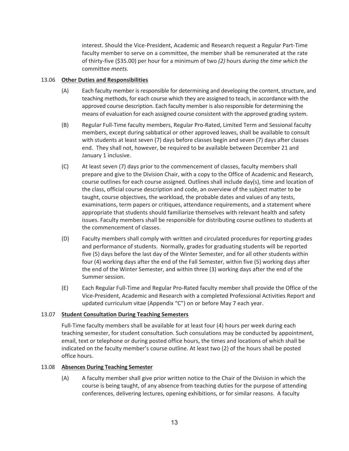interest. Should the Vice-President, Academic and Research request a Regular Part-Time faculty member to serve on a committee, the member shall be remunerated at the rate of thirty-five (\$35.00) per hour for a minimum of two *(2)* hours *during the time which the*  committee *meets.*

# 13.06 **Other Duties and Responsibilities**

- (A) Each faculty member is responsible for determining and developing the content, structure, and teaching methods, for each course which they are assigned to teach, in accordance with the approved course description. Each faculty member is also responsible for determining the means of evaluation for each assigned course consistent with the approved grading system.
- (B) Regular Full-Time faculty members, Regular Pro-Rated, Limited Term and Sessional faculty members, except during sabbatical or other approved leaves, shall be available to consult with students at least seven (7) days before classes begin and seven (7) days after classes end. They shall not, however, be required to be available between December 21 and January 1 inclusive.
- (C) At least seven (7) days prior to the commencement of classes, faculty members shall prepare and give to the Division Chair, with a copy to the Office of Academic and Research, course outlines for each course assigned. Outlines shall include day(s), time and location of the class, official course description and code, an overview of the subject matter to be taught, course objectives, the workload, the probable dates and values of any tests, examinations, term papers or critiques, attendance requirements, and a statement where appropriate that students should familiarize themselves with relevant health and safety issues. Faculty members shall be responsible for distributing course outlines to students at the commencement of classes.
- (D) Faculty members shall comply with written and circulated procedures for reporting grades and performance of students. Normally, grades for graduating students will be reported five (5) days before the last day of the Winter Semester, and for all other students within four (4) working days after the end of the Fall Semester, within five (5) working days after the end of the Winter Semester, and within three (3) working days after the end of the Summer session.
- (E) Each Regular Full-Time and Regular Pro-Rated faculty member shall provide the Office of the Vice-President, Academic and Research with a completed Professional Activities Report and updated curriculum vitae (Appendix "C") on or before May 7 each year.

# 13.07 **Student Consultation During Teaching Semesters**

Full-Time faculty members shall be available for at least four (4) hours per week during each teaching semester, for student consultation. Such consulations may be conducted by appointment, email, text or telephone or during posted office hours, the times and locations of which shall be indicated on the faculty member's course outline. At least two (2) of the hours shall be posted office hours.

#### 13.08 **Absences During Teaching Semester**

(A) A faculty member shall give prior written notice to the Chair of the Division in which the course is being taught, of any absence from teaching duties for the purpose of attending conferences, delivering lectures, opening exhibitions, or for similar reasons. A faculty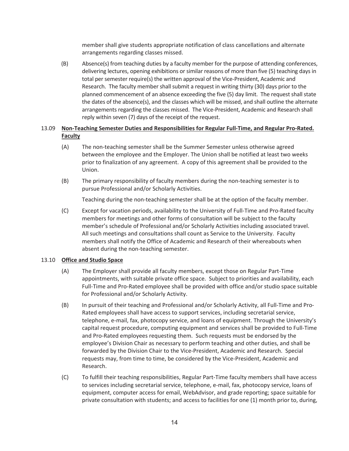member shall give students appropriate notification of class cancellations and alternate arrangements regarding classes missed.

(B) Absence(s) from teaching duties by a faculty member for the purpose of attending conferences, delivering lectures, opening exhibitions or similar reasons of more than five (5) teaching days in total per semester require(s) the written approval of the Vice-President, Academic and Research. The faculty member shall submit a request in writing thirty (30) days prior to the planned commencement of an absence exceeding the five (5) day limit. The request shall state the dates of the absence(s), and the classes which will be missed, and shall outline the alternate arrangements regarding the classes missed. The Vice-President, Academic and Research shall reply within seven (7) days of the receipt of the request.

# 13.09 **Non-Teaching Semester Duties and Responsibilities for Regular Full-Time, and Regular Pro-Rated. Faculty**

- (A) The non-teaching semester shall be the Summer Semester unless otherwise agreed between the employee and the Employer. The Union shall be notified at least two weeks prior to finalization of any agreement. A copy of this agreement shall be provided to the Union.
- (B) The primary responsibility of faculty members during the non-teaching semester is to pursue Professional and/or Scholarly Activities.

Teaching during the non-teaching semester shall be at the option of the faculty member.

(C) Except for vacation periods, availability to the University of Full-Time and Pro-Rated faculty members for meetings and other forms of consultation will be subject to the faculty member's schedule of Professional and/or Scholarly Activities including associated travel. All such meetings and consultations shall count as Service to the University. Faculty members shall notify the Office of Academic and Research of their whereabouts when absent during the non-teaching semester.

# 13.10 **Office and Studio Space**

- (A) The Employer shall provide all faculty members, except those on Regular Part-Time appointments, with suitable private office space. Subject to priorities and availability, each Full-Time and Pro-Rated employee shall be provided with office and/or studio space suitable for Professional and/or Scholarly Activity.
- (B) In pursuit of their teaching and Professional and/or Scholarly Activity, all Full-Time and Pro-Rated employees shall have access to support services, including secretarial service, telephone, e-mail, fax, photocopy service, and loans of equipment. Through the University's capital request procedure, computing equipment and services shall be provided to Full-Time and Pro-Rated employees requesting them. Such requests must be endorsed by the employee's Division Chair as necessary to perform teaching and other duties, and shall be forwarded by the Division Chair to the Vice-President, Academic and Research. Special requests may, from time to time, be considered by the Vice-President, Academic and Research.
- (C) To fulfill their teaching responsibilities, Regular Part-Time faculty members shall have access to services including secretarial service, telephone, e-mail, fax, photocopy service, loans of equipment, computer access for email, WebAdvisor, and grade reporting; space suitable for private consultation with students; and access to facilities for one (1) month prior to, during,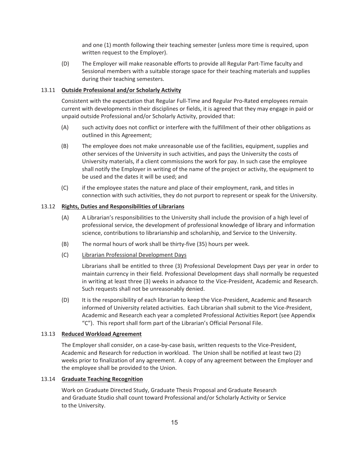and one (1) month following their teaching semester (unless more time is required, upon written request to the Employer).

(D) The Employer will make reasonable efforts to provide all Regular Part-Time faculty and Sessional members with a suitable storage space for their teaching materials and supplies during their teaching semesters.

# 13.11 **Outside Professional and/or Scholarly Activity**

 Consistent with the expectation that Regular Full-Time and Regular Pro-Rated employees remain current with developments in their disciplines or fields, it is agreed that they may engage in paid or unpaid outside Professional and/or Scholarly Activity, provided that:

- (A) such activity does not conflict or interfere with the fulfillment of their other obligations as outlined in this Agreement;
- (B) The employee does not make unreasonable use of the facilities, equipment, supplies and other services of the University in such activities, and pays the University the costs of University materials, if a client commissions the work for pay. In such case the employee shall notify the Employer in writing of the name of the project or activity, the equipment to be used and the dates it will be used; and
- (C) if the employee states the nature and place of their employment, rank, and titles in connection with such activities, they do not purport to represent or speak for the University.

# 13.12 **Rights, Duties and Responsibilities of Librarians**

- (A) A Librarian's responsibilities to the University shall include the provision of a high level of professional service, the development of professional knowledge of library and information science, contributions to librarianship and scholarship, and Service to the University.
- (B) The normal hours of work shall be thirty-five (35) hours per week.
- (C) Librarian Professional Development Days

Librarians shall be entitled to three (3) Professional Development Days per year in order to maintain currency in their field. Professional Development days shall normally be requested in writing at least three (3) weeks in advance to the Vice-President, Academic and Research. Such requests shall not be unreasonably denied.

(D) It is the responsibility of each librarian to keep the Vice-President, Academic and Research informed of University related activities. Each Librarian shall submit to the Vice-President, Academic and Research each year a completed Professional Activities Report (see Appendix "C"). This report shall form part of the Librarian's Official Personal File.

# 13.13 **Reduced Workload Agreement**

 The Employer shall consider, on a case-by-case basis, written requests to the Vice-President, Academic and Research for reduction in workload. The Union shall be notified at least two (2) weeks prior to finalization of any agreement. A copy of any agreement between the Employer and the employee shall be provided to the Union.

# 13.14 **Graduate Teaching Recognition**

Work on Graduate Directed Study, Graduate Thesis Proposal and Graduate Research and Graduate Studio shall count toward Professional and/or Scholarly Activity or Service to the University.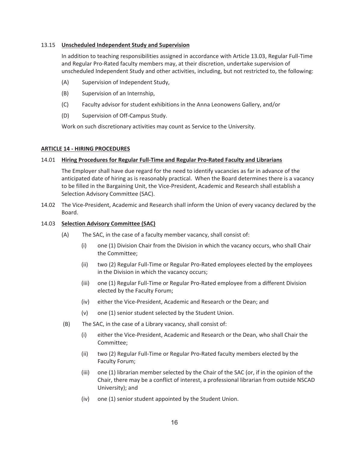## 13.15 **Unscheduled Independent Study and Supervision**

In addition to teaching responsibilities assigned in accordance with Article 13.03, Regular Full-Time and Regular Pro-Rated faculty members may, at their discretion, undertake supervision of unscheduled Independent Study and other activities, including, but not restricted to, the following:

- (A) Supervision of Independent Study,
- (B) Supervision of an Internship,
- (C) Faculty advisor for student exhibitions in the Anna Leonowens Gallery, and/or
- (D) Supervision of Off-Campus Study.

Work on such discretionary activities may count as Service to the University.

#### **ARTICLE 14 - HIRING PROCEDURES**

#### 14.01 **Hiring Procedures for Regular Full-Time and Regular Pro-Rated Faculty and Librarians**

The Employer shall have due regard for the need to identify vacancies as far in advance of the anticipated date of hiring as is reasonably practical. When the Board determines there is a vacancy to be filled in the Bargaining Unit, the Vice-President, Academic and Research shall establish a Selection Advisory Committee (SAC).

14.02 The Vice-President, Academic and Research shall inform the Union of every vacancy declared by the Board.

## 14.03 **Selection Advisory Committee (SAC)**

- (A) The SAC, in the case of a faculty member vacancy, shall consist of:
	- (i) one (1) Division Chair from the Division in which the vacancy occurs, who shall Chair the Committee;
	- (ii) two (2) Regular Full-Time or Regular Pro-Rated employees elected by the employees in the Division in which the vacancy occurs;
	- (iii) one (1) Regular Full-Time or Regular Pro-Rated employee from a different Division elected by the Faculty Forum;
	- (iv) either the Vice-President, Academic and Research or the Dean; and
	- (v) one (1) senior student selected by the Student Union.
- (B) The SAC, in the case of a Library vacancy, shall consist of:
	- (i) either the Vice-President, Academic and Research or the Dean, who shall Chair the Committee;
	- (ii) two (2) Regular Full-Time or Regular Pro-Rated faculty members elected by the Faculty Forum;
	- (iii) one (1) librarian member selected by the Chair of the SAC (or, if in the opinion of the Chair, there may be a conflict of interest, a professional librarian from outside NSCAD University); and
	- (iv) one (1) senior student appointed by the Student Union.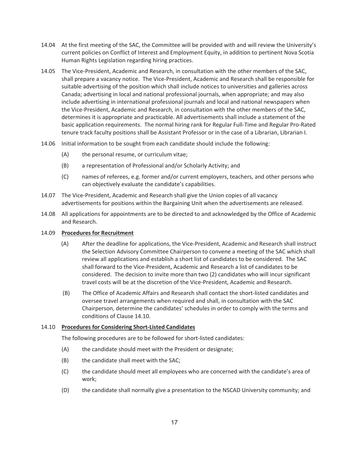- 14.04 At the first meeting of the SAC, the Committee will be provided with and will review the University's current policies on Conflict of Interest and Employment Equity, in addition to pertinent Nova Scotia Human Rights Legislation regarding hiring practices.
- 14.05 The Vice-President, Academic and Research, in consultation with the other members of the SAC, shall prepare a vacancy notice. The Vice-President, Academic and Research shall be responsible for suitable advertising of the position which shall include notices to universities and galleries across Canada; advertising in local and national professional journals, when appropriate; and may also include advertising in international professional journals and local and national newspapers when the Vice-President, Academic and Research, in consultation with the other members of the SAC, determines it is appropriate and practicable. All advertisements shall include a statement of the basic application requirements. The normal hiring rank for Regular Full-Time and Regular Pro-Rated tenure track faculty positions shall be Assistant Professor or in the case of a Librarian, Librarian I.
- 14.06 Initial information to be sought from each candidate should include the following:
	- (A) the personal resume, or curriculum vitae;
	- (B) a representation of Professional and/or Scholarly Activity; and
	- (C) names of referees, e.g. former and/or current employers, teachers, and other persons who can objectively evaluate the candidate's capabilities.
- 14.07 The Vice-President, Academic and Research shall give the Union copies of all vacancy advertisements for positions within the Bargaining Unit when the advertisements are released.
- 14.08 All applications for appointments are to be directed to and acknowledged by the Office of Academic and Research.

# 14.09 **Procedures for Recruitment**

- (A) After the deadline for applications, the Vice-President, Academic and Research shall instruct the Selection Advisory Committee Chairperson to convene a meeting of the SAC which shall review all applications and establish a short list of candidates to be considered. The SAC shall forward to the Vice-President, Academic and Research a list of candidates to be considered. The decision to invite more than two (2) candidates who will incur significant travel costs will be at the discretion of the Vice-President, Academic and Research.
- (B) The Office of Academic Affairs and Research shall contact the short-listed candidates and oversee travel arrangements when required and shall, in consultation with the SAC Chairperson, determine the candidates' schedules in order to comply with the terms and conditions of Clause 14.10.

# 14.10 **Procedures for Considering Short-Listed Candidates**

The following procedures are to be followed for short-listed candidates:

- (A) the candidate should meet with the President or designate;
- (B) the candidate shall meet with the SAC;
- (C) the candidate should meet all employees who are concerned with the candidate's area of work;
- (D) the candidate shall normally give a presentation to the NSCAD University community; and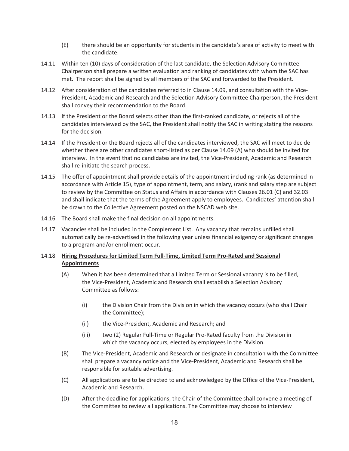- (E) there should be an opportunity for students in the candidate's area of activity to meet with the candidate.
- 14.11 Within ten (10) days of consideration of the last candidate, the Selection Advisory Committee Chairperson shall prepare a written evaluation and ranking of candidates with whom the SAC has met. The report shall be signed by all members of the SAC and forwarded to the President.
- 14.12 After consideration of the candidates referred to in Clause 14.09, and consultation with the Vice-President, Academic and Research and the Selection Advisory Committee Chairperson, the President shall convey their recommendation to the Board.
- 14.13 If the President or the Board selects other than the first-ranked candidate, or rejects all of the candidates interviewed by the SAC, the President shall notify the SAC in writing stating the reasons for the decision.
- 14.14 If the President or the Board rejects all of the candidates interviewed, the SAC will meet to decide whether there are other candidates short-listed as per Clause 14.09 (A) who should be invited for interview. In the event that no candidates are invited, the Vice-President, Academic and Research shall re-initiate the search process.
- 14.15 The offer of appointment shall provide details of the appointment including rank (as determined in accordance with Article 15), type of appointment, term, and salary, (rank and salary step are subject to review by the Committee on Status and Affairs in accordance with Clauses 26.01 (C) and 32.03 and shall indicate that the terms of the Agreement apply to employees. Candidates' attention shall be drawn to the Collective Agreement posted on the NSCAD web site.
- 14.16 The Board shall make the final decision on all appointments.
- 14.17 Vacancies shall be included in the Complement List. Any vacancy that remains unfilled shall automatically be re-advertised in the following year unless financial exigency or significant changes to a program and/or enrollment occur.

# 14.18 **Hiring Procedures for Limited Term Full-Time, Limited Term Pro-Rated and Sessional Appointments**

- (A) When it has been determined that a Limited Term or Sessional vacancy is to be filled, the Vice-President, Academic and Research shall establish a Selection Advisory Committee as follows:
	- (i) the Division Chair from the Division in which the vacancy occurs (who shall Chair the Committee);
	- (ii) the Vice-President, Academic and Research; and
	- (iii) two (2) Regular Full-Time or Regular Pro-Rated faculty from the Division in which the vacancy occurs, elected by employees in the Division.
- (B) The Vice-President, Academic and Research or designate in consultation with the Committee shall prepare a vacancy notice and the Vice-President, Academic and Research shall be responsible for suitable advertising.
- (C) All applications are to be directed to and acknowledged by the Office of the Vice-President, Academic and Research.
- (D) After the deadline for applications, the Chair of the Committee shall convene a meeting of the Committee to review all applications. The Committee may choose to interview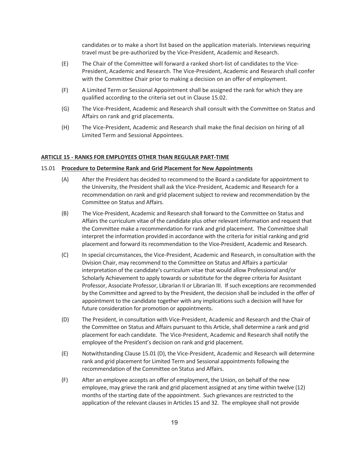candidates or to make a short list based on the application materials. Interviews requiring travel must be pre-authorized by the Vice-President, Academic and Research.

- (E) The Chair of the Committee will forward a ranked short-list of candidates to the Vice-President, Academic and Research. The Vice-President, Academic and Research shall confer with the Committee Chair prior to making a decision on an offer of employment.
- (F) A Limited Term or Sessional Appointment shall be assigned the rank for which they are qualified according to the criteria set out in Clause 15.02.
- (G) The Vice-President, Academic and Research shall consult with the Committee on Status and Affairs on rank and grid placements.
- (H) The Vice-President, Academic and Research shall make the final decision on hiring of all Limited Term and Sessional Appointees.

## **ARTICLE 15 - RANKS FOR EMPLOYEES OTHER THAN REGULAR PART-TIME**

#### 15.01 **Procedure to Determine Rank and Grid Placement for New Appointments**

- (A) After the President has decided to recommend to the Board a candidate for appointment to the University, the President shall ask the Vice-President, Academic and Research for a recommendation on rank and grid placement subject to review and recommendation by the Committee on Status and Affairs.
- (B) The Vice-President, Academic and Research shall forward to the Committee on Status and Affairs the curriculum vitae of the candidate plus other relevant information and request that the Committee make a recommendation for rank and grid placement. The Committee shall interpret the information provided in accordance with the criteria for initial ranking and grid placement and forward its recommendation to the Vice-President, Academic and Research.
- (C) In special circumstances, the Vice-President, Academic and Research, in consultation with the Division Chair, may recommend to the Committee on Status and Affairs a particular interpretation of the candidate's curriculum vitae that would allow Professional and/or Scholarly Achievement to apply towards or substitute for the degree criteria for Assistant Professor, Associate Professor, Librarian II or Librarian III. If such exceptions are recommended by the Committee and agreed to by the President, the decision shall be included in the offer of appointment to the candidate together with any implications such a decision will have for future consideration for promotion or appointments.
- (D) The President, in consultation with Vice-President, Academic and Research and the Chair of the Committee on Status and Affairs pursuant to this Article, shall determine a rank and grid placement for each candidate. The Vice-President, Academic and Research shall notify the employee of the President's decision on rank and grid placement.
- (E) Notwithstanding Clause 15.01 (D), the Vice-President, Academic and Research will determine rank and grid placement for Limited Term and Sessional appointments following the recommendation of the Committee on Status and Affairs.
- (F) After an employee accepts an offer of employment, the Union, on behalf of the new employee, may grieve the rank and grid placement assigned at any time within twelve (12) months of the starting date of the appointment. Such grievances are restricted to the application of the relevant clauses in Articles 15 and 32. The employee shall not provide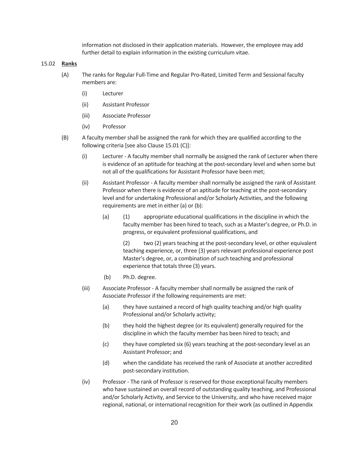information not disclosed in their application materials. However, the employee may add further detail to explain information in the existing curriculum vitae.

#### 15.02 **Ranks**

- (A) The ranks for Regular Full-Time and Regular Pro-Rated, Limited Term and Sessional faculty members are:
	- (i) Lecturer
	- (ii) Assistant Professor
	- (iii) Associate Professor
	- (iv) Professor
- (B) A faculty member shall be assigned the rank for which they are qualified according to the following criteria [see also Clause 15.01 (C)]:
	- (i) Lecturer A faculty member shall normally be assigned the rank of Lecturer when there is evidence of an aptitude for teaching at the post-secondary level and when some but not all of the qualifications for Assistant Professor have been met;
	- (ii) Assistant Professor A faculty member shall normally be assigned the rank of Assistant Professor when there is evidence of an aptitude for teaching at the post-secondary level and for undertaking Professional and/or Scholarly Activities, and the following requirements are met in either (a) or (b):
		- (a) (1) appropriate educational qualifications in the discipline in which the faculty member has been hired to teach, such as a Master's degree, or Ph.D. in progress, or equivalent professional qualifications, and

 (2) two (2) years teaching at the post-secondary level, or other equivalent teaching experience, or, three (3) years relevant professional experience post Master's degree, or, a combination of such teaching and professional experience that totals three (3) years.

- (b) Ph.D. degree.
- (iii) Associate Professor A faculty member shall normally be assigned the rank of Associate Professor if the following requirements are met:
	- (a) they have sustained a record of high quality teaching and/or high quality Professional and/or Scholarly activity;
	- (b) they hold the highest degree (or its equivalent) generally required for the discipline in which the faculty member has been hired to teach; and
	- (c) they have completed six (6) years teaching at the post-secondary level as an Assistant Professor; and
	- (d) when the candidate has received the rank of Associate at another accredited post-secondary institution.
- (iv) Professor The rank of Professor is reserved for those exceptional faculty members who have sustained an overall record of outstanding quality teaching, and Professional and/or Scholarly Activity, and Service to the University, and who have received major regional, national, or international recognition for their work (as outlined in Appendix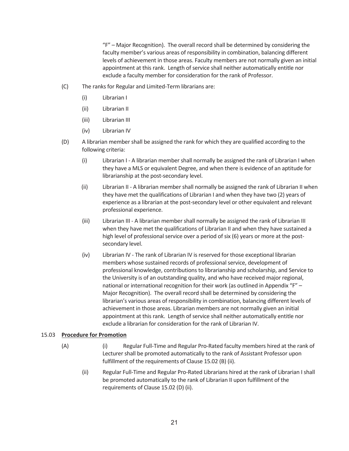"F" – Major Recognition). The overall record shall be determined by considering the faculty member's various areas of responsibility in combination, balancing different levels of achievement in those areas. Faculty members are not normally given an initial appointment at this rank. Length of service shall neither automatically entitle nor exclude a faculty member for consideration for the rank of Professor.

- (C) The ranks for Regular and Limited-Term librarians are:
	- (i) Librarian I
	- (ii) Librarian II
	- (iii) Librarian III
	- (iv) Librarian IV
- (D) A librarian member shall be assigned the rank for which they are qualified according to the following criteria:
	- (i) Librarian I A librarian member shall normally be assigned the rank of Librarian I when they have a MLS or equivalent Degree, and when there is evidence of an aptitude for librarianship at the post-secondary level.
	- (ii) Librarian II A librarian member shall normally be assigned the rank of Librarian II when they have met the qualifications of Librarian I and when they have two (2) years of experience as a librarian at the post-secondary level or other equivalent and relevant professional experience.
	- (iii) Librarian III A librarian member shall normally be assigned the rank of Librarian III when they have met the qualifications of Librarian II and when they have sustained a high level of professional service over a period of six (6) years or more at the postsecondary level.
	- (iv) Librarian IV The rank of Librarian IV is reserved for those exceptional librarian members whose sustained records of professional service, development of professional knowledge, contributions to librarianship and scholarship, and Service to the University is of an outstanding quality, and who have received major regional, national or international recognition for their work (as outlined in Appendix "F" – Major Recognition). The overall record shall be determined by considering the librarian's various areas of responsibility in combination, balancing different levels of achievement in those areas. Librarian members are not normally given an initial appointment at this rank. Length of service shall neither automatically entitle nor exclude a librarian for consideration for the rank of Librarian IV.

#### 15.03 **Procedure for Promotion**

- (A) (i) Regular Full-Time and Regular Pro-Rated faculty members hired at the rank of Lecturer shall be promoted automatically to the rank of Assistant Professor upon fulfillment of the requirements of Clause 15.02 (B) (ii).
	- (ii) Regular Full-Time and Regular Pro-Rated Librarians hired at the rank of Librarian I shall be promoted automatically to the rank of Librarian II upon fulfillment of the requirements of Clause 15.02 (D) (ii).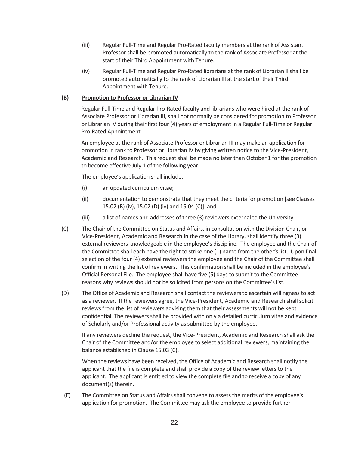- (iii) Regular Full-Time and Regular Pro-Rated faculty members at the rank of Assistant Professor shall be promoted automatically to the rank of Associate Professor at the start of their Third Appointment with Tenure.
- (iv) Regular Full-Time and Regular Pro-Rated librarians at the rank of Librarian II shall be promoted automatically to the rank of Librarian III at the start of their Third Appointment with Tenure.

# **(B) Promotion to Professor or Librarian IV**

Regular Full-Time and Regular Pro-Rated faculty and librarians who were hired at the rank of Associate Professor or Librarian III, shall not normally be considered for promotion to Professor or Librarian IV during their first four (4) years of employment in a Regular Full-Time or Regular Pro-Rated Appointment.

An employee at the rank of Associate Professor or Librarian III may make an application for promotion in rank to Professor or Librarian IV by giving written notice to the Vice-President, Academic and Research. This request shall be made no later than October 1 for the promotion to become effective July 1 of the following year.

The employee's application shall include:

- (i) an updated curriculum vitae;
- (ii) documentation to demonstrate that they meet the criteria for promotion [see Clauses 15.02 (B) (iv), 15.02 (D) (iv) and 15.04 (C)]; and
- (iii) a list of names and addresses of three (3) reviewers external to the University.
- (C) The Chair of the Committee on Status and Affairs, in consultation with the Division Chair, or Vice-President, Academic and Research in the case of the Library, shall identify three (3) external reviewers knowledgeable in the employee's discipline. The employee and the Chair of the Committee shall each have the right to strike one (1) name from the other's list. Upon final selection of the four (4) external reviewers the employee and the Chair of the Committee shall confirm in writing the list of reviewers. This confirmation shall be included in the employee's Official Personal File. The employee shall have five (5) days to submit to the Committee reasons why reviews should not be solicited from persons on the Committee's list.
- (D) The Office of Academic and Research shall contact the reviewers to ascertain willingness to act as a reviewer. If the reviewers agree, the Vice-President, Academic and Research shall solicit reviews from the list of reviewers advising them that their assessments will not be kept confidential. The reviewers shall be provided with only a detailed curriculum vitae and evidence of Scholarly and/or Professional activity as submitted by the employee.

If any reviewers decline the request, the Vice-President, Academic and Research shall ask the Chair of the Committee and/or the employee to select additional reviewers, maintaining the balance established in Clause 15.03 (C).

When the reviews have been received, the Office of Academic and Research shall notify the applicant that the file is complete and shall provide a copy of the review letters to the applicant. The applicant is entitled to view the complete file and to receive a copy of any document(s) therein.

(E) The Committee on Status and Affairs shall convene to assess the merits of the employee's application for promotion. The Committee may ask the employee to provide further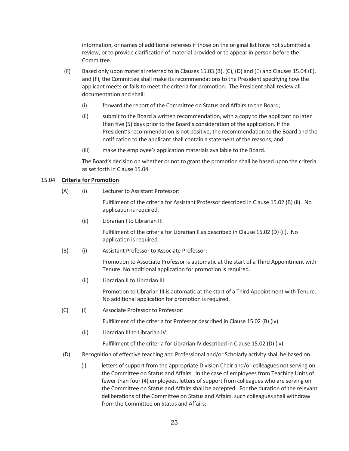information, or names of additional referees if those on the original list have not submitted a review, or to provide clarification of material provided or to appear in person before the Committee.

- (F) Based only upon material referred to in Clauses 15.03 (B), (C), (D) and (E) and Clauses 15.04 (E), and (F), the Committee shall make its recommendations to the President specifying how the applicant meets or fails to meet the criteria for promotion. The President shall review all documentation and shall:
	- (i) forward the report of the Committee on Status and Affairs to the Board;
	- (ii) submit to the Board a written recommendation, with a copy to the applicant no later than five (5) days prior to the Board's consideration of the application. If the President's recommendation is not positive, the recommendation to the Board and the notification to the applicant shall contain a statement of the reasons; and
	- (iii) make the employee's application materials available to the Board.

The Board's decision on whether or not to grant the promotion shall be based upon the criteria as set forth in Clause 15.04.

# 15.04 **Criteria for Promotion**

(A) (i) Lecturer to Assistant Professor:

 Fulfillment of the criteria for Assistant Professor described in Clause 15.02 (B) (ii). No application is required.

(ii) Librarian I to Librarian II:

 Fulfillment of the criteria for Librarian II as described in Clause 15.02 (D) (ii). No application is required.

(B) (i) Assistant Professor to Associate Professor:

Promotion to Associate Professor is automatic at the start of a Third Appointment with Tenure. No additional application for promotion is required.

(ii) Librarian II to Librarian III:

 Promotion to Librarian III is automatic at the start of a Third Appointment with Tenure. No additional application for promotion is required.

(C) (i) Associate Professor to Professor:

Fulfillment of the criteria for Professor described in Clause 15.02 (B) (iv).

(ii) Librarian III to Librarian IV:

Fulfillment of the criteria for Librarian IV described in Clause 15.02 (D) (iv).

- (D) Recognition of effective teaching and Professional and/or Scholarly activity shall be based on:
	- (i) letters of support from the appropriate Division Chair and/or colleagues not serving on the Committee on Status and Affairs. In the case of employees from Teaching Units of fewer than four (4) employees, letters of support from colleagues who are serving on the Committee on Status and Affairs shall be accepted. For the duration of the relevant deliberations of the Committee on Status and Affairs, such colleagues shall withdraw from the Committee on Status and Affairs;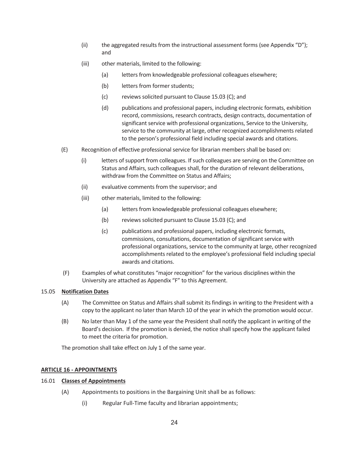- (ii) the aggregated results from the instructional assessment forms (see Appendix  $"D"$ ); and
- (iii) other materials, limited to the following:
	- (a) letters from knowledgeable professional colleagues elsewhere;
	- (b) letters from former students;
	- (c) reviews solicited pursuant to Clause 15.03 (C); and
	- (d) publications and professional papers, including electronic formats, exhibition record, commissions, research contracts, design contracts, documentation of significant service with professional organizations, Service to the University, service to the community at large, other recognized accomplishments related to the person's professional field including special awards and citations.
- (E) Recognition of effective professional service for librarian members shall be based on:
	- (i) letters of support from colleagues. If such colleagues are serving on the Committee on Status and Affairs, such colleagues shall, for the duration of relevant deliberations, withdraw from the Committee on Status and Affairs;
	- (ii) evaluative comments from the supervisor; and
	- (iii) other materials, limited to the following:
		- (a) letters from knowledgeable professional colleagues elsewhere;
		- (b) reviews solicited pursuant to Clause 15.03 (C); and
		- (c) publications and professional papers, including electronic formats, commissions, consultations, documentation of significant service with professional organizations, service to the community at large, other recognized accomplishments related to the employee's professional field including special awards and citations.
- (F) Examples of what constitutes "major recognition" for the various disciplines within the University are attached as Appendix "F" to this Agreement.

# 15.05 **Notification Dates**

- (A) The Committee on Status and Affairs shall submit its findings in writing to the President with a copy to the applicant no later than March 10 of the year in which the promotion would occur.
- (B) No later than May 1 of the same year the President shall notify the applicant in writing of the Board's decision. If the promotion is denied, the notice shall specify how the applicant failed to meet the criteria for promotion.

The promotion shall take effect on July 1 of the same year.

# **ARTICLE 16 - APPOINTMENTS**

# 16.01 **Classes of Appointments**

- (A) Appointments to positions in the Bargaining Unit shall be as follows:
	- (i) Regular Full-Time faculty and librarian appointments;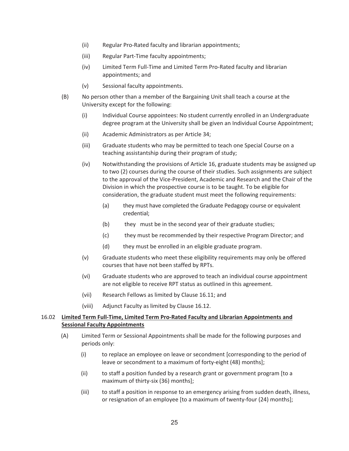- (ii) Regular Pro-Rated faculty and librarian appointments;
- (iii) Regular Part-Time faculty appointments;
- (iv) Limited Term Full-Time and Limited Term Pro-Rated faculty and librarian appointments; and
- (v) Sessional faculty appointments.
- (B) No person other than a member of the Bargaining Unit shall teach a course at the University except for the following:
	- (i) Individual Course appointees: No student currently enrolled in an Undergraduate degree program at the University shall be given an Individual Course Appointment;
	- (ii) Academic Administrators as per Article 34;
	- (iii) Graduate students who may be permitted to teach one Special Course on a teaching assistantship during their program of study;
	- (iv) Notwithstanding the provisions of Article 16, graduate students may be assigned up to two (2) courses during the course of their studies. Such assignments are subject to the approval of the Vice-President, Academic and Research and the Chair of the Division in which the prospective course is to be taught. To be eligible for consideration, the graduate student must meet the following requirements:
		- (a) they must have completed the Graduate Pedagogy course or equivalent credential;
		- (b) they must be in the second year of their graduate studies;
		- (c) they must be recommended by their respective Program Director; and
		- (d) they must be enrolled in an eligible graduate program.
	- (v) Graduate students who meet these eligibility requirements may only be offered courses that have not been staffed by RPTs.
	- (vi) Graduate students who are approved to teach an individual course appointment are not eligible to receive RPT status as outlined in this agreement.
	- (vii) Research Fellows as limited by Clause 16.11; and
	- (viii) Adjunct Faculty as limited by Clause 16.12.

# 16.02 **Limited Term Full-Time, Limited Term Pro-Rated Faculty and Librarian Appointments and Sessional Faculty Appointments**

- (A) Limited Term or Sessional Appointments shall be made for the following purposes and periods only:
	- (i) to replace an employee on leave or secondment [corresponding to the period of leave or secondment to a maximum of forty-eight (48) months];
	- (ii) to staff a position funded by a research grant or government program [to a maximum of thirty-six (36) months];
	- (iii) to staff a position in response to an emergency arising from sudden death, illness, or resignation of an employee [to a maximum of twenty-four (24) months];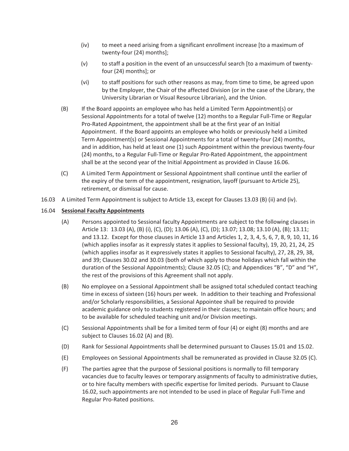- (iv) to meet a need arising from a significant enrollment increase [to a maximum of twenty-four (24) months];
- (v) to staff a position in the event of an unsuccessful search [to a maximum of twentyfour (24) months]; or
- (vi) to staff positions for such other reasons as may, from time to time, be agreed upon by the Employer, the Chair of the affected Division (or in the case of the Library, the University Librarian or Visual Resource Librarian), and the Union.
- (B) If the Board appoints an employee who has held a Limited Term Appointment(s) or Sessional Appointments for a total of twelve (12) months to a Regular Full-Time or Regular Pro-Rated Appointment, the appointment shall be at the first year of an Initial Appointment. If the Board appoints an employee who holds or previously held a Limited Term Appointment(s) or Sessional Appointments for a total of twenty-four (24) months, and in addition, has held at least one (1) such Appointment within the previous twenty-four (24) months, to a Regular Full-Time or Regular Pro-Rated Appointment, the appointment shall be at the second year of the Initial Appointment as provided in Clause 16.06.
- (C) A Limited Term Appointment or Sessional Appointment shall continue until the earlier of the expiry of the term of the appointment, resignation, layoff (pursuant to Article 25), retirement, or dismissal for cause.
- 16.03 A Limited Term Appointment is subject to Article 13, except for Clauses 13.03 (B) (ii) and (iv).

# 16.04 **Sessional Faculty Appointments**

- (A) Persons appointed to Sessional faculty Appointments are subject to the following clauses in Article 13: 13.03 (A), (B) (i), (C), (D); 13.06 (A), (C), (D); 13.07; 13.08; 13.10 (A), (B); 13.11; and 13.12. Except for those clauses in Article 13 and Articles 1, 2, 3, 4, 5, 6, 7, 8, 9, 10, 11, 16 (which applies insofar as it expressly states it applies to Sessional faculty), 19, 20, 21, 24, 25 (which applies insofar as it expressively states it applies to Sessional faculty), 27, 28, 29, 38, and 39; Clauses 30.02 and 30.03 (both of which apply to those holidays which fall within the duration of the Sessional Appointments); Clause 32.05 (C); and Appendices "B", "D" and "H", the rest of the provisions of this Agreement shall not apply.
- (B) No employee on a Sessional Appointment shall be assigned total scheduled contact teaching time in excess of sixteen (16) hours per week. In addition to their teaching and Professional and/or Scholarly responsibilities, a Sessional Appointee shall be required to provide academic guidance only to students registered in their classes; to maintain office hours; and to be available for scheduled teaching unit and/or Division meetings.
- (C) Sessional Appointments shall be for a limited term of four (4) or eight (8) months and are subject to Clauses 16.02 (A) and (B).
- (D) Rank for Sessional Appointments shall be determined pursuant to Clauses 15.01 and 15.02.
- (E) Employees on Sessional Appointments shall be remunerated as provided in Clause 32.05 (C).
- (F) The parties agree that the purpose of Sessional positions is normally to fill temporary vacancies due to faculty leaves or temporary assignments of faculty to administrative duties, or to hire faculty members with specific expertise for limited periods. Pursuant to Clause 16.02, such appointments are not intended to be used in place of Regular Full-Time and Regular Pro-Rated positions.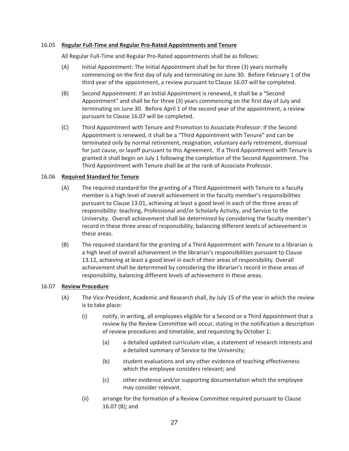## 16.05 **Regular Full-Time and Regular Pro-Rated Appointments and Tenure**

All Regular Full-Time and Regular Pro-Rated appointments shall be as follows:

- (A) Initial Appointment: The Initial Appointment shall be for three (3) years normally commencing on the first day of July and terminating on June 30. Before February 1 of the third year of the appointment, a review pursuant to Clause 16.07 will be completed.
- (B) Second Appointment: If an Initial Appointment is renewed, it shall be a "Second Appointment" and shall be for three (3) years commencing on the first day of July and terminating on June 30. Before April 1 of the second year of the appointment, a review pursuant to Clause 16.07 will be completed.
- (C) Third Appointment with Tenure and Promotion to Associate Professor: If the Second Appointment is renewed, it shall be a "Third Appointment with Tenure" and can be terminated only by normal retirement, resignation, voluntary early retirement, dismissal for just cause, or layoff pursuant to this Agreement. If a Third Appointment with Tenure is granted it shall begin on July 1 following the completion of the Second Appointment. The Third Appointment with Tenure shall be at the rank of Associate Professor.

# 16.06 **Required Standard for Tenure**

- (A) The required standard for the granting of a Third Appointment with Tenure to a faculty member is a high level of overall achievement in the faculty member's responsibilities pursuant to Clause 13.01, achieving at least a good level in each of the three areas of responsibility: teaching, Professional and/or Scholarly Activity, and Service to the University. Overall achievement shall be determined by considering the faculty member's record in these three areas of responsibility, balancing different levels of achievement in these areas.
- (B) The required standard for the granting of a Third Appointment with Tenure to a librarian is a high level of overall achievement in the librarian's responsibilities pursuant to Clause 13.12, achieving at least a good level in each of their areas of responsibility. Overall achievement shall be determined by considering the librarian's record in these areas of responsibility, balancing different levels of achievement in these areas.

## 16.07 **Review Procedure**

- (A) The Vice-President, Academic and Research shall, by July 15 of the year in which the review is to take place:
	- (i) notify, in writing, all employees eligible for a Second or a Third Appointment that a review by the Review Committee will occur, stating in the notification a description of review procedures and timetable, and requesting by October 1:
		- (a) a detailed updated curriculum vitae, a statement of research interests and a detailed summary of Service to the University;
		- (b) student evaluations and any other evidence of teaching effectiveness which the employee considers relevant; and
		- (c) other evidence and/or supporting documentation which the employee may consider relevant.
	- (ii) arrange for the formation of a Review Committee required pursuant to Clause 16.07 (B); and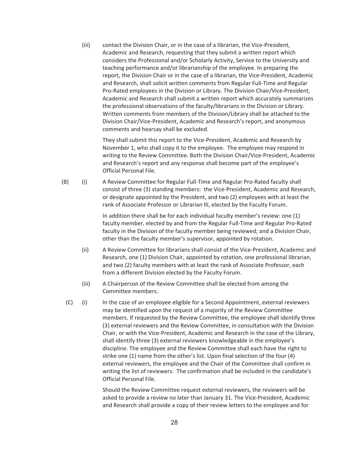(iii) contact the Division Chair, or in the case of a librarian, the Vice-President, Academic and Research, requesting that they submit a written report which considers the Professional and/or Scholarly Activity, Service to the University and teaching performance and/or librarianship of the employee. In preparing the report, the Division Chair or in the case of a librarian, the Vice-President, Academic and Research, shall solicit written comments from Regular Full-Time and Regular Pro-Rated employees in the Division or Library. The Division Chair/Vice-President, Academic and Research shall submit a written report which accurately summarizes the professional observations of the faculty/librarians in the Division or Library. Written comments from members of the Division/Library shall be attached to the Division Chair/Vice-President, Academic and Research's report, and anonymous comments and hearsay shall be excluded.

They shall submit this report to the Vice-President, Academic and Research by November 1, who shall copy it to the employee. The employee may respond in writing to the Review Committee. Both the Division Chair/Vice-President, Academic and Research's report and any response shall become part of the employee's Official Personal File.

(B) (i) A Review Committee for Regular Full-Time and Regular Pro-Rated faculty shall consist of three (3) standing members: the Vice-President, Academic and Research, or designate appointed by the President, and two (2) employees with at least the rank of Associate Professor or Librarian III, elected by the Faculty Forum.

> In addition there shall be for each individual faculty member's review: one (1) faculty member, elected by and from the Regular Full-Time and Regular Pro-Rated faculty in the Division of the faculty member being reviewed; and a Division Chair, other than the faculty member's supervisor, appointed by rotation.

- (ii) A Review Committee for librarians shall consist of the Vice-President, Academic and Research, one (1) Division Chair, appointed by rotation, one professional librarian, and two (2) faculty members with at least the rank of Associate Professor, each from a different Division elected by the Faculty Forum.
- (iii) A Chairperson of the Review Committee shall be elected from among the Committee members.
- (C) (i) In the case of an employee eligible for a Second Appointment, external reviewers may be identified upon the request of a majority of the Review Committee members. If requested by the Review Committee, the employee shall identify three (3) external reviewers and the Review Committee, in consultation with the Division Chair, or with the Vice-President, Academic and Research in the case of the Library, shall identify three (3) external reviewers knowledgeable in the employee's discipline. The employee and the Review Committee shall each have the right to strike one (1) name from the other's list. Upon final selection of the four (4) external reviewers, the employee and the Chair of the Committee shall confirm in writing the list of reviewers. The confirmation shall be included in the candidate's Official Personal File.

Should the Review Committee request external reviewers, the reviewers will be asked to provide a review no later than January 31. The Vice-President, Academic and Research shall provide a copy of their review letters to the employee and for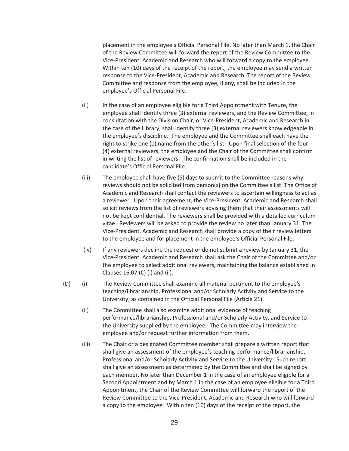placement in the employee's Official Personal File. No later than March 1, the Chair of the Review Committee will forward the report of the Review Committee to the Vice-President, Academic and Research who will forward a copy to the employee. Within ten (10) days of the receipt of the report, the employee may send a written response to the Vice-President, Academic and Research. The report of the Review Committee and response from the employee, if any, shall be included in the employee's Official Personal File.

- (ii) In the case of an employee eligible for a Third Appointment with Tenure, the employee shall identify three (3) external reviewers, and the Review Committee, in consultation with the Division Chair, or Vice-President, Academic and Research in the case of the Library, shall identify three (3) external reviewers knowledgeable in the employee's discipline. The employee and the Committee shall each have the right to strike one (1) name from the other's list. Upon final selection of the four (4) external reviewers, the employee and the Chair of the Committee shall confirm in writing the list of reviewers. The confirmation shall be included in the candidate's Official Personal File.
- (iii) The employee shall have five (5) days to submit to the Committee reasons why reviews should not be solicited from person(s) on the Committee's list. The Office of Academic and Research shall contact the reviewers to ascertain willingness to act as a reviewer. Upon their agreement, the Vice-President, Academic and Research shall solicit reviews from the list of reviewers advising them that their assessments will not be kept confidential. The reviewers shall be provided with a detailed curriculum vitae. Reviewers will be asked to provide the review no later than January 31. The Vice-President, Academic and Research shall provide a copy of their review letters to the employee and for placement in the employee's Official Personal File.
- (iv) If any reviewers decline the request or do not submit a review by January 31, the Vice-President, Academic and Research shall ask the Chair of the Committee and/or the employee to select additional reviewers, maintaining the balance established in Clauses 16.07 (C) (i) and (ii).
- (D) (i) The Review Committee shall examine all material pertinent to the employee's teaching/librarianship, Professional and/or Scholarly Activity and Service to the University, as contained in the Official Personal File (Article 21).
	- (ii) The Committee shall also examine additional evidence of teaching performance/librarianship, Professional and/or Scholarly Activity, and Service to the University supplied by the employee. The Committee may interview the employee and/or request further information from them.
	- (iii) The Chair or a designated Committee member shall prepare a written report that shall give an assessment of the employee's teaching performance/librarianship, Professional and/or Scholarly Activity and Service to the University. Such report shall give an assessment as determined by the Committee and shall be signed by each member. No later than December 1 in the case of an employee eligible for a Second Appointment and by March 1 in the case of an employee eligible for a Third Appointment, the Chair of the Review Committee will forward the report of the Review Committee to the Vice-President, Academic and Research who will forward a copy to the employee. Within ten (10) days of the receipt of the report, the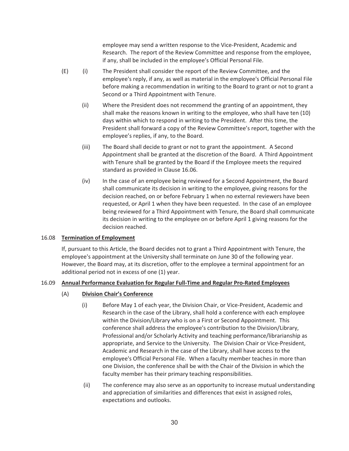employee may send a written response to the Vice-President, Academic and Research. The report of the Review Committee and response from the employee, if any, shall be included in the employee's Official Personal File.

- (E) (i) The President shall consider the report of the Review Committee, and the employee's reply, if any, as well as material in the employee's Official Personal File before making a recommendation in writing to the Board to grant or not to grant a Second or a Third Appointment with Tenure.
	- (ii) Where the President does not recommend the granting of an appointment, they shall make the reasons known in writing to the employee, who shall have ten (10) days within which to respond in writing to the President. After this time, the President shall forward a copy of the Review Committee's report, together with the employee's replies, if any, to the Board.
	- (iii) The Board shall decide to grant or not to grant the appointment. A Second Appointment shall be granted at the discretion of the Board. A Third Appointment with Tenure shall be granted by the Board if the Employee meets the required standard as provided in Clause 16.06.
	- (iv) In the case of an employee being reviewed for a Second Appointment, the Board shall communicate its decision in writing to the employee, giving reasons for the decision reached, on or before February 1 when no external reviewers have been requested, or April 1 when they have been requested. In the case of an employee being reviewed for a Third Appointment with Tenure, the Board shall communicate its decision in writing to the employee on or before April 1 giving reasons for the decision reached.

# 16.08 **Termination of Employment**

If, pursuant to this Article, the Board decides not to grant a Third Appointment with Tenure, the employee's appointment at the University shall terminate on June 30 of the following year. However, the Board may, at its discretion, offer to the employee a terminal appointment for an additional period not in excess of one (1) year.

# 16.09 **Annual Performance Evaluation for Regular Full-Time and Regular Pro-Rated Employees**

- (A) **Division Chair's Conference**
	- (i) Before May 1 of each year, the Division Chair, or Vice-President, Academic and Research in the case of the Library, shall hold a conference with each employee within the Division/Library who is on a First or Second Appointment. This conference shall address the employee's contribution to the Division/Library, Professional and/or Scholarly Activity and teaching performance/librarianship as appropriate, and Service to the University. The Division Chair or Vice-President, Academic and Research in the case of the Library, shall have access to the employee's Official Personal File. When a faculty member teaches in more than one Division, the conference shall be with the Chair of the Division in which the faculty member has their primary teaching responsibilities.
	- (ii) The conference may also serve as an opportunity to increase mutual understanding and appreciation of similarities and differences that exist in assigned roles, expectations and outlooks.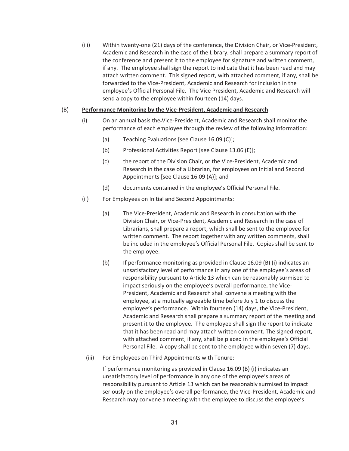(iii) Within twenty-one (21) days of the conference, the Division Chair, or Vice-President, Academic and Research in the case of the Library, shall prepare a summary report of the conference and present it to the employee for signature and written comment, if any. The employee shall sign the report to indicate that it has been read and may attach written comment. This signed report, with attached comment, if any, shall be forwarded to the Vice-President, Academic and Research for inclusion in the employee's Official Personal File. The Vice President, Academic and Research will send a copy to the employee within fourteen (14) days.

# (B) **Performance Monitoring by the Vice-President, Academic and Research**

- (i) On an annual basis the Vice-President, Academic and Research shall monitor the performance of each employee through the review of the following information:
	- (a) Teaching Evaluations [see Clause 16.09 (C)];
	- (b) Professional Activities Report [see Clause 13.06 (E)];
	- (c) the report of the Division Chair, or the Vice-President, Academic and Research in the case of a Librarian, for employees on Initial and Second Appointments [see Clause 16.09 (A)]; and
	- (d) documents contained in the employee's Official Personal File.
- (ii) For Employees on Initial and Second Appointments:
	- (a) The Vice-President, Academic and Research in consultation with the Division Chair, or Vice-President, Academic and Research in the case of Librarians, shall prepare a report, which shall be sent to the employee for written comment. The report together with any written comments, shall be included in the employee's Official Personal File. Copies shall be sent to the employee.
	- (b) If performance monitoring as provided in Clause 16.09 (B) (i) indicates an unsatisfactory level of performance in any one of the employee's areas of responsibility pursuant to Article 13 which can be reasonably surmised to impact seriously on the employee's overall performance, the Vice-President, Academic and Research shall convene a meeting with the employee, at a mutually agreeable time before July 1 to discuss the employee's performance. Within fourteen (14) days, the Vice-President, Academic and Research shall prepare a summary report of the meeting and present it to the employee. The employee shall sign the report to indicate that it has been read and may attach written comment. The signed report, with attached comment, if any, shall be placed in the employee's Official Personal File. A copy shall be sent to the employee within seven (7) days.
	- (iii) For Employees on Third Appointments with Tenure:

If performance monitoring as provided in Clause 16.09 (B) (i) indicates an unsatisfactory level of performance in any one of the employee's areas of responsibility pursuant to Article 13 which can be reasonably surmised to impact seriously on the employee's overall performance, the Vice-President, Academic and Research may convene a meeting with the employee to discuss the employee's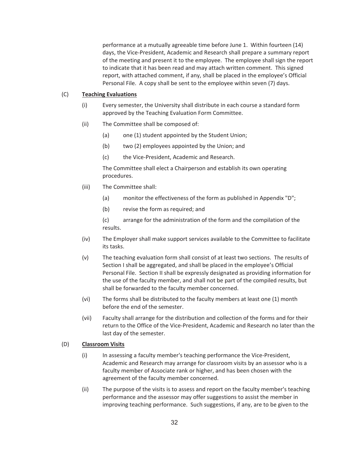performance at a mutually agreeable time before June 1. Within fourteen (14) days, the Vice-President, Academic and Research shall prepare a summary report of the meeting and present it to the employee. The employee shall sign the report to indicate that it has been read and may attach written comment. This signed report, with attached comment, if any, shall be placed in the employee's Official Personal File. A copy shall be sent to the employee within seven (7) days.

# (C) **Teaching Evaluations**

- (i) Every semester, the University shall distribute in each course a standard form approved by the Teaching Evaluation Form Committee.
- (ii) The Committee shall be composed of:
	- (a) one (1) student appointed by the Student Union;
	- (b) two (2) employees appointed by the Union; and
	- (c) the Vice-President, Academic and Research.

The Committee shall elect a Chairperson and establish its own operating procedures.

- (iii) The Committee shall:
	- (a) monitor the effectiveness of the form as published in Appendix "D";
	- (b) revise the form as required; and

(c) arrange for the administration of the form and the compilation of the results.

- (iv) The Employer shall make support services available to the Committee to facilitate its tasks.
- (v) The teaching evaluation form shall consist of at least two sections. The results of Section I shall be aggregated, and shall be placed in the employee's Official Personal File. Section II shall be expressly designated as providing information for the use of the faculty member, and shall not be part of the compiled results, but shall be forwarded to the faculty member concerned.
- (vi) The forms shall be distributed to the faculty members at least one (1) month before the end of the semester.
- (vii) Faculty shall arrange for the distribution and collection of the forms and for their return to the Office of the Vice-President, Academic and Research no later than the last day of the semester.

# (D) **Classroom Visits**

- (i) In assessing a faculty member's teaching performance the Vice-President, Academic and Research may arrange for classroom visits by an assessor who is a faculty member of Associate rank or higher, and has been chosen with the agreement of the faculty member concerned.
- (ii) The purpose of the visits is to assess and report on the faculty member's teaching performance and the assessor may offer suggestions to assist the member in improving teaching performance. Such suggestions, if any, are to be given to the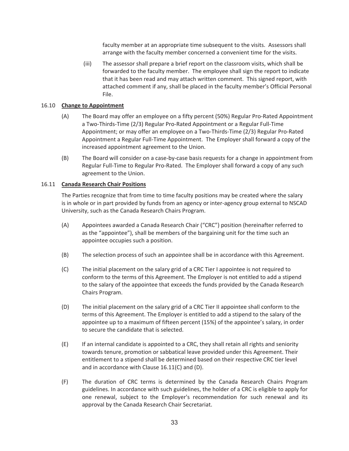faculty member at an appropriate time subsequent to the visits. Assessors shall arrange with the faculty member concerned a convenient time for the visits.

 (iii) The assessor shall prepare a brief report on the classroom visits, which shall be forwarded to the faculty member. The employee shall sign the report to indicate that it has been read and may attach written comment. This signed report, with attached comment if any, shall be placed in the faculty member's Official Personal File.

# 16.10 **Change to Appointment**

- (A) The Board may offer an employee on a fifty percent (50%) Regular Pro-Rated Appointment a Two-Thirds-Time (2/3) Regular Pro-Rated Appointment or a Regular Full-Time Appointment; or may offer an employee on a Two-Thirds-Time (2/3) Regular Pro-Rated Appointment a Regular Full-Time Appointment. The Employer shall forward a copy of the increased appointment agreement to the Union.
- (B) The Board will consider on a case-by-case basis requests for a change in appointment from Regular Full-Time to Regular Pro-Rated. The Employer shall forward a copy of any such agreement to the Union.

# 16.11 **Canada Research Chair Positions**

The Parties recognize that from time to time faculty positions may be created where the salary is in whole or in part provided by funds from an agency or inter-agency group external to NSCAD University, such as the Canada Research Chairs Program.

- (A) Appointees awarded a Canada Research Chair ("CRC") position (hereinafter referred to as the "appointee"), shall be members of the bargaining unit for the time such an appointee occupies such a position.
- (B) The selection process of such an appointee shall be in accordance with this Agreement.
- (C) The initial placement on the salary grid of a CRC Tier I appointee is not required to conform to the terms of this Agreement. The Employer is not entitled to add a stipend to the salary of the appointee that exceeds the funds provided by the Canada Research Chairs Program.
- (D) The initial placement on the salary grid of a CRC Tier II appointee shall conform to the terms of this Agreement. The Employer is entitled to add a stipend to the salary of the appointee up to a maximum of fifteen percent (15%) of the appointee's salary, in order to secure the candidate that is selected.
- (E) If an internal candidate is appointed to a CRC, they shall retain all rights and seniority towards tenure, promotion or sabbatical leave provided under this Agreement. Their entitlement to a stipend shall be determined based on their respective CRC tier level and in accordance with Clause 16.11(C) and (D).
- (F) The duration of CRC terms is determined by the Canada Research Chairs Program guidelines. In accordance with such guidelines, the holder of a CRC is eligible to apply for one renewal, subject to the Employer's recommendation for such renewal and its approval by the Canada Research Chair Secretariat.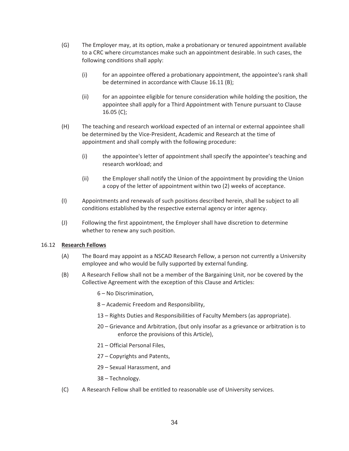- (G) The Employer may, at its option, make a probationary or tenured appointment available to a CRC where circumstances make such an appointment desirable. In such cases, the following conditions shall apply:
	- (i) for an appointee offered a probationary appointment, the appointee's rank shall be determined in accordance with Clause 16.11 (B);
	- (ii) for an appointee eligible for tenure consideration while holding the position, the appointee shall apply for a Third Appointment with Tenure pursuant to Clause 16.05 (C);
- (H) The teaching and research workload expected of an internal or external appointee shall be determined by the Vice-President, Academic and Research at the time of appointment and shall comply with the following procedure:
	- (i) the appointee's letter of appointment shall specify the appointee's teaching and research workload; and
	- (ii) the Employer shall notify the Union of the appointment by providing the Union a copy of the letter of appointment within two (2) weeks of acceptance.
- (I) Appointments and renewals of such positions described herein, shall be subject to all conditions established by the respective external agency or inter agency.
- (J) Following the first appointment, the Employer shall have discretion to determine whether to renew any such position.

# 16.12 **Research Fellows**

- (A) The Board may appoint as a NSCAD Research Fellow, a person not currently a University employee and who would be fully supported by external funding.
- (B) A Research Fellow shall not be a member of the Bargaining Unit, nor be covered by the Collective Agreement with the exception of this Clause and Articles:
	- 6 No Discrimination,
	- 8 Academic Freedom and Responsibility,
	- 13 Rights Duties and Responsibilities of Faculty Members (as appropriate).
	- 20 Grievance and Arbitration, (but only insofar as a grievance or arbitration is to enforce the provisions of this Article),
	- 21 Official Personal Files,
	- 27 Copyrights and Patents,
	- 29 Sexual Harassment, and
	- 38 Technology.
- (C) A Research Fellow shall be entitled to reasonable use of University services.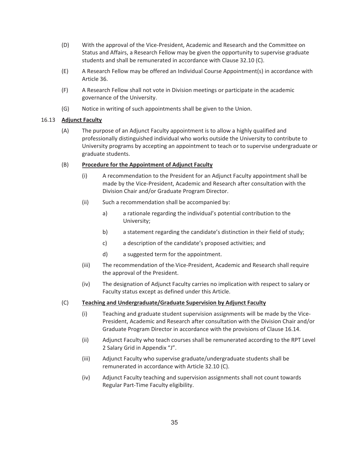- (D) With the approval of the Vice-President, Academic and Research and the Committee on Status and Affairs, a Research Fellow may be given the opportunity to supervise graduate students and shall be remunerated in accordance with Clause 32.10 (C).
- (E) A Research Fellow may be offered an Individual Course Appointment(s) in accordance with Article 36.
- (F) A Research Fellow shall not vote in Division meetings or participate in the academic governance of the University.
- (G) Notice in writing of such appointments shall be given to the Union.

# 16.13 **Adjunct Faculty**

(A) The purpose of an Adjunct Faculty appointment is to allow a highly qualified and professionally distinguished individual who works outside the University to contribute to University programs by accepting an appointment to teach or to supervise undergraduate or graduate students.

# (B) **Procedure for the Appointment of Adjunct Faculty**

- (i) A recommendation to the President for an Adjunct Faculty appointment shall be made by the Vice-President, Academic and Research after consultation with the Division Chair and/or Graduate Program Director.
- (ii) Such a recommendation shall be accompanied by:
	- a) a rationale regarding the individual's potential contribution to the University;
	- b) a statement regarding the candidate's distinction in their field of study;
	- c) a description of the candidate's proposed activities; and
	- d) a suggested term for the appointment.
- (iii) The recommendation of the Vice-President, Academic and Research shall require the approval of the President.
- (iv) The designation of Adjunct Faculty carries no implication with respect to salary or Faculty status except as defined under this Article.

# (C) **Teaching and Undergraduate/Graduate Supervision by Adjunct Faculty**

- (i) Teaching and graduate student supervision assignments will be made by the Vice-President, Academic and Research after consultation with the Division Chair and/or Graduate Program Director in accordance with the provisions of Clause 16.14.
- (ii) Adjunct Faculty who teach courses shall be remunerated according to the RPT Level 2 Salary Grid in Appendix "J".
- (iii) Adjunct Faculty who supervise graduate/undergraduate students shall be remunerated in accordance with Article 32.10 (C).
- (iv) Adjunct Faculty teaching and supervision assignments shall not count towards Regular Part-Time Faculty eligibility.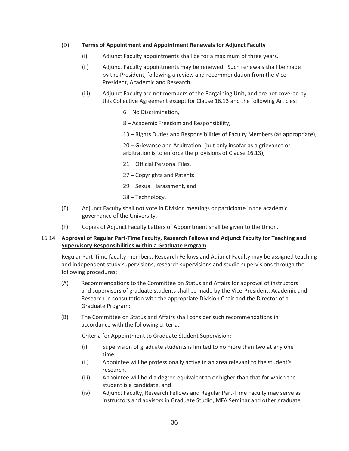## (D) **Terms of Appointment and Appointment Renewals for Adjunct Faculty**

- (i) Adjunct Faculty appointments shall be for a maximum of three years.
- (ii) Adjunct Faculty appointments may be renewed. Such renewals shall be made by the President, following a review and recommendation from the Vice-President, Academic and Research.
- (iii) Adjunct Faculty are not members of the Bargaining Unit, and are not covered by this Collective Agreement except for Clause 16.13 and the following Articles:
	- 6 No Discrimination,
	- 8 Academic Freedom and Responsibility,
	- 13 Rights Duties and Responsibilities of Faculty Members (as appropriate),

 20 – Grievance and Arbitration, (but only insofar as a grievance or arbitration is to enforce the provisions of Clause 16.13),

- 21 Official Personal Files,
- 27 Copyrights and Patents
- 29 Sexual Harassment, and
- 38 Technology.
- (E) Adjunct Faculty shall not vote in Division meetings or participate in the academic governance of the University.
- (F) Copies of Adjunct Faculty Letters of Appointment shall be given to the Union.

## 16.14 **Approval of Regular Part-Time Faculty, Research Fellows and Adjunct Faculty for Teaching and Supervisory Responsibilities within a Graduate Program**

Regular Part-Time faculty members, Research Fellows and Adjunct Faculty may be assigned teaching and independent study supervisions, research supervisions and studio supervisions through the following procedures:

- (A) Recommendations to the Committee on Status and Affairs for approval of instructors and supervisors of graduate students shall be made by the Vice-President, Academic and Research in consultation with the appropriate Division Chair and the Director of a Graduate Program;
- (B) The Committee on Status and Affairs shall consider such recommendations in accordance with the following criteria:

Criteria for Appointment to Graduate Student Supervision:

- (i) Supervision of graduate students is limited to no more than two at any one time,
- (ii) Appointee will be professionally active in an area relevant to the student's research,
- (iii) Appointee will hold a degree equivalent to or higher than that for which the student is a candidate, and
- (iv) Adjunct Faculty, Research Fellows and Regular Part-Time Faculty may serve as instructors and advisors in Graduate Studio, MFA Seminar and other graduate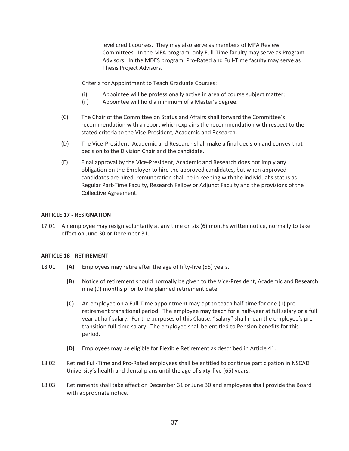level credit courses. They may also serve as members of MFA Review Committees. In the MFA program, only Full-Time faculty may serve as Program Advisors. In the MDES program, Pro-Rated and Full-Time faculty may serve as Thesis Project Advisors.

Criteria for Appointment to Teach Graduate Courses:

- (i) Appointee will be professionally active in area of course subject matter;
- (ii) Appointee will hold a minimum of a Master's degree.
- (C) The Chair of the Committee on Status and Affairs shall forward the Committee's recommendation with a report which explains the recommendation with respect to the stated criteria to the Vice-President, Academic and Research.
- (D) The Vice-President, Academic and Research shall make a final decision and convey that decision to the Division Chair and the candidate.
- (E) Final approval by the Vice-President, Academic and Research does not imply any obligation on the Employer to hire the approved candidates, but when approved candidates are hired, remuneration shall be in keeping with the individual's status as Regular Part-Time Faculty, Research Fellow or Adjunct Faculty and the provisions of the Collective Agreement.

#### **ARTICLE 17 - RESIGNATION**

17.01 An employee may resign voluntarily at any time on six (6) months written notice, normally to take effect on June 30 or December 31.

#### **ARTICLE 18 - RETIREMENT**

- 18.01 **(A)** Employees may retire after the age of fifty-five (55) years.
	- **(B)** Notice of retirement should normally be given to the Vice-President, Academic and Research nine (9) months prior to the planned retirement date.
	- **(C)** An employee on a Full-Time appointment may opt to teach half-time for one (1) preretirement transitional period. The employee may teach for a half-year at full salary or a full year at half salary. For the purposes of this Clause, "salary" shall mean the employee's pretransition full-time salary. The employee shall be entitled to Pension benefits for this period.
	- **(D)** Employees may be eligible for Flexible Retirement as described in Article 41.
- 18.02 Retired Full-Time and Pro-Rated employees shall be entitled to continue participation in NSCAD University's health and dental plans until the age of sixty-five (65) years.
- 18.03 Retirements shall take effect on December 31 or June 30 and employees shall provide the Board with appropriate notice.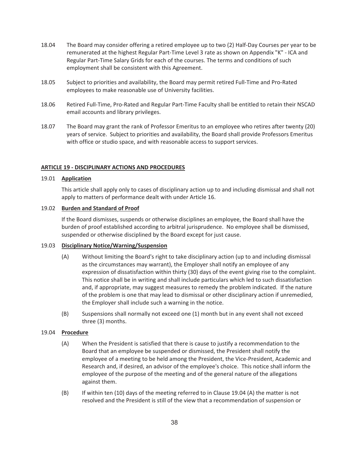- 18.04 The Board may consider offering a retired employee up to two (2) Half-Day Courses per year to be remunerated at the highest Regular Part-Time Level 3 rate as shown on Appendix "K" - ICA and Regular Part-Time Salary Grids for each of the courses. The terms and conditions of such employment shall be consistent with this Agreement.
- 18.05 Subject to priorities and availability, the Board may permit retired Full-Time and Pro-Rated employees to make reasonable use of University facilities.
- 18.06 Retired Full-Time, Pro-Rated and Regular Part-Time Faculty shall be entitled to retain their NSCAD email accounts and library privileges.
- 18.07 The Board may grant the rank of Professor Emeritus to an employee who retires after twenty (20) years of service. Subject to priorities and availability, the Board shall provide Professors Emeritus with office or studio space, and with reasonable access to support services.

## **ARTICLE 19 - DISCIPLINARY ACTIONS AND PROCEDURES**

#### 19.01 **Application**

This article shall apply only to cases of disciplinary action up to and including dismissal and shall not apply to matters of performance dealt with under Article 16.

## 19.02 **Burden and Standard of Proof**

If the Board dismisses, suspends or otherwise disciplines an employee, the Board shall have the burden of proof established according to arbitral jurisprudence. No employee shall be dismissed, suspended or otherwise disciplined by the Board except for just cause.

## 19.03 **Disciplinary Notice/Warning/Suspension**

- (A) Without limiting the Board's right to take disciplinary action (up to and including dismissal as the circumstances may warrant), the Employer shall notify an employee of any expression of dissatisfaction within thirty (30) days of the event giving rise to the complaint. This notice shall be in writing and shall include particulars which led to such dissatisfaction and, if appropriate, may suggest measures to remedy the problem indicated. If the nature of the problem is one that may lead to dismissal or other disciplinary action if unremedied, the Employer shall include such a warning in the notice.
- (B) Suspensions shall normally not exceed one (1) month but in any event shall not exceed three (3) months.

## 19.04 **Procedure**

- (A) When the President is satisfied that there is cause to justify a recommendation to the Board that an employee be suspended or dismissed, the President shall notify the employee of a meeting to be held among the President, the Vice-President, Academic and Research and, if desired, an advisor of the employee's choice. This notice shall inform the employee of the purpose of the meeting and of the general nature of the allegations against them.
- (B) If within ten (10) days of the meeting referred to in Clause 19.04 (A) the matter is not resolved and the President is still of the view that a recommendation of suspension or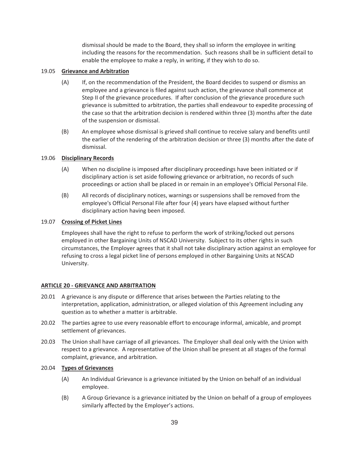dismissal should be made to the Board, they shall so inform the employee in writing including the reasons for the recommendation. Such reasons shall be in sufficient detail to enable the employee to make a reply, in writing, if they wish to do so.

## 19.05 **Grievance and Arbitration**

- (A) If, on the recommendation of the President, the Board decides to suspend or dismiss an employee and a grievance is filed against such action, the grievance shall commence at Step II of the grievance procedures. If after conclusion of the grievance procedure such grievance is submitted to arbitration, the parties shall endeavour to expedite processing of the case so that the arbitration decision is rendered within three (3) months after the date of the suspension or dismissal.
- (B) An employee whose dismissal is grieved shall continue to receive salary and benefits until the earlier of the rendering of the arbitration decision or three (3) months after the date of dismissal.

## 19.06 **Disciplinary Records**

- (A) When no discipline is imposed after disciplinary proceedings have been initiated or if disciplinary action is set aside following grievance or arbitration, no records of such proceedings or action shall be placed in or remain in an employee's Official Personal File.
- (B) All records of disciplinary notices, warnings or suspensions shall be removed from the employee's Official Personal File after four (4) years have elapsed without further disciplinary action having been imposed.

## 19.07 **Crossing of Picket Lines**

Employees shall have the right to refuse to perform the work of striking/locked out persons employed in other Bargaining Units of NSCAD University. Subject to its other rights in such circumstances, the Employer agrees that it shall not take disciplinary action against an employee for refusing to cross a legal picket line of persons employed in other Bargaining Units at NSCAD University.

## **ARTICLE 20 - GRIEVANCE AND ARBITRATION**

- 20.01 A grievance is any dispute or difference that arises between the Parties relating to the interpretation, application, administration, or alleged violation of this Agreement including any question as to whether a matter is arbitrable.
- 20.02 The parties agree to use every reasonable effort to encourage informal, amicable, and prompt settlement of grievances.
- 20.03 The Union shall have carriage of all grievances. The Employer shall deal only with the Union with respect to a grievance. A representative of the Union shall be present at all stages of the formal complaint, grievance, and arbitration.

## 20.04 **Types of Grievances**

- (A) An Individual Grievance is a grievance initiated by the Union on behalf of an individual employee.
- (B) A Group Grievance is a grievance initiated by the Union on behalf of a group of employees similarly affected by the Employer's actions.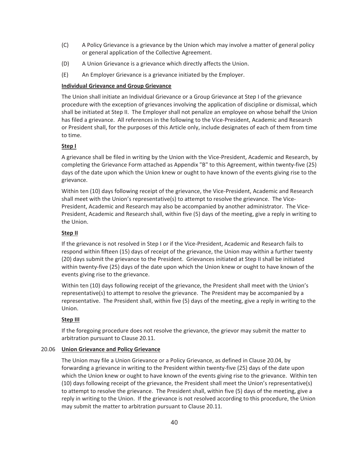- (C) A Policy Grievance is a grievance by the Union which may involve a matter of general policy or general application of the Collective Agreement.
- (D) A Union Grievance is a grievance which directly affects the Union.
- (E) An Employer Grievance is a grievance initiated by the Employer.

## **Individual Grievance and Group Grievance**

The Union shall initiate an Individual Grievance or a Group Grievance at Step I of the grievance procedure with the exception of grievances involving the application of discipline or dismissal, which shall be initiated at Step II. The Employer shall not penalize an employee on whose behalf the Union has filed a grievance. All references in the following to the Vice-President, Academic and Research or President shall, for the purposes of this Article only, include designates of each of them from time to time.

## **Step I**

A grievance shall be filed in writing by the Union with the Vice-President, Academic and Research, by completing the Grievance Form attached as Appendix "B" to this Agreement, within twenty-five (25) days of the date upon which the Union knew or ought to have known of the events giving rise to the grievance.

Within ten (10) days following receipt of the grievance, the Vice-President, Academic and Research shall meet with the Union's representative(s) to attempt to resolve the grievance. The Vice-President, Academic and Research may also be accompanied by another administrator. The Vice-President, Academic and Research shall, within five (5) days of the meeting, give a reply in writing to the Union.

## **Step II**

If the grievance is not resolved in Step I or if the Vice-President, Academic and Research fails to respond within fifteen (15) days of receipt of the grievance, the Union may within a further twenty (20) days submit the grievance to the President. Grievances initiated at Step II shall be initiated within twenty-five (25) days of the date upon which the Union knew or ought to have known of the events giving rise to the grievance.

Within ten (10) days following receipt of the grievance, the President shall meet with the Union's representative(s) to attempt to resolve the grievance. The President may be accompanied by a representative. The President shall, within five (5) days of the meeting, give a reply in writing to the Union.

## **Step III**

 If the foregoing procedure does not resolve the grievance, the grievor may submit the matter to arbitration pursuant to Clause 20.11.

## 20.06 **Union Grievance and Policy Grievance**

 The Union may file a Union Grievance or a Policy Grievance, as defined in Clause 20.04, by forwarding a grievance in writing to the President within twenty-five (25) days of the date upon which the Union knew or ought to have known of the events giving rise to the grievance. Within ten (10) days following receipt of the grievance, the President shall meet the Union's representative(s) to attempt to resolve the grievance. The President shall, within five (5) days of the meeting, give a reply in writing to the Union. If the grievance is not resolved according to this procedure, the Union may submit the matter to arbitration pursuant to Clause 20.11.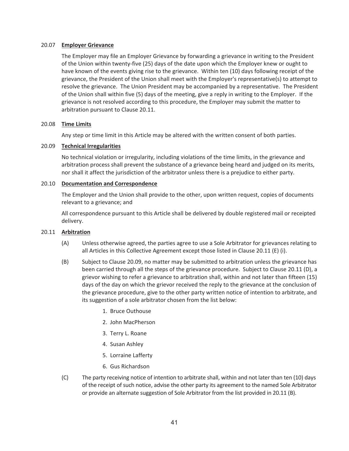### 20.07 **Employer Grievance**

The Employer may file an Employer Grievance by forwarding a grievance in writing to the President of the Union within twenty-five (25) days of the date upon which the Employer knew or ought to have known of the events giving rise to the grievance. Within ten (10) days following receipt of the grievance, the President of the Union shall meet with the Employer's representative(s) to attempt to resolve the grievance. The Union President may be accompanied by a representative. The President of the Union shall within five (5) days of the meeting, give a reply in writing to the Employer. If the grievance is not resolved according to this procedure, the Employer may submit the matter to arbitration pursuant to Clause 20.11.

## 20.08 **Time Limits**

Any step or time limit in this Article may be altered with the written consent of both parties.

#### 20.09 **Technical Irregularities**

No technical violation or irregularity, including violations of the time limits, in the grievance and arbitration process shall prevent the substance of a grievance being heard and judged on its merits, nor shall it affect the jurisdiction of the arbitrator unless there is a prejudice to either party.

#### 20.10 **Documentation and Correspondence**

The Employer and the Union shall provide to the other, upon written request, copies of documents relevant to a grievance; and

All correspondence pursuant to this Article shall be delivered by double registered mail or receipted delivery.

#### 20.11 **Arbitration**

- (A) Unless otherwise agreed, the parties agree to use a Sole Arbitrator for grievances relating to all Articles in this Collective Agreement except those listed in Clause 20.11 (E) (i).
- (B) Subject to Clause 20.09, no matter may be submitted to arbitration unless the grievance has been carried through all the steps of the grievance procedure. Subject to Clause 20.11 (D), a grievor wishing to refer a grievance to arbitration shall, within and not later than fifteen (15) days of the day on which the grievor received the reply to the grievance at the conclusion of the grievance procedure, give to the other party written notice of intention to arbitrate, and its suggestion of a sole arbitrator chosen from the list below:
	- 1. Bruce Outhouse
	- 2. John MacPherson
	- 3. Terry L. Roane
	- 4. Susan Ashley
	- 5. Lorraine Lafferty
	- 6. Gus Richardson
- (C) The party receiving notice of intention to arbitrate shall, within and not later than ten (10) days of the receipt of such notice, advise the other party its agreement to the named Sole Arbitrator or provide an alternate suggestion of Sole Arbitrator from the list provided in 20.11 (B).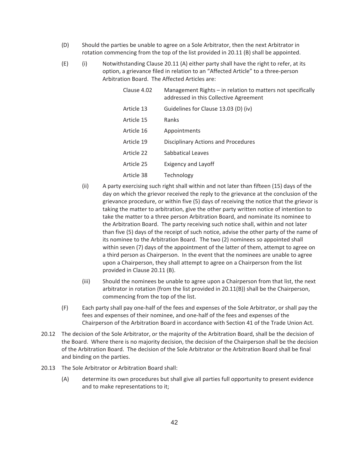- (D) Should the parties be unable to agree on a Sole Arbitrator, then the next Arbitrator in rotation commencing from the top of the list provided in 20.11 (B) shall be appointed.
- (E) (i) Notwithstanding Clause 20.11 (A) either party shall have the right to refer, at its option, a grievance filed in relation to an "Affected Article" to a three-person Arbitration Board. The Affected Articles are:

| Clause 4.02 | Management Rights – in relation to matters not specifically<br>addressed in this Collective Agreement |
|-------------|-------------------------------------------------------------------------------------------------------|
| Article 13  | Guidelines for Clause 13.03 (D) (iv)                                                                  |
| Article 15  | Ranks                                                                                                 |
| Article 16  | Appointments                                                                                          |
| Article 19  | Disciplinary Actions and Procedures                                                                   |
| Article 22  | Sabbatical Leaves                                                                                     |
| Article 25  | <b>Exigency and Layoff</b>                                                                            |
| Article 38  | Technology                                                                                            |

- (ii) A party exercising such right shall within and not later than fifteen (15) days of the day on which the grievor received the reply to the grievance at the conclusion of the grievance procedure, or within five (5) days of receiving the notice that the grievor is taking the matter to arbitration, give the other party written notice of intention to take the matter to a three person Arbitration Board, and nominate its nominee to the Arbitration Board. The party receiving such notice shall, within and not later than five (5) days of the receipt of such notice, advise the other party of the name of its nominee to the Arbitration Board. The two (2) nominees so appointed shall within seven (7) days of the appointment of the latter of them, attempt to agree on a third person as Chairperson. In the event that the nominees are unable to agree upon a Chairperson, they shall attempt to agree on a Chairperson from the list provided in Clause 20.11 (B).
- (iii) Should the nominees be unable to agree upon a Chairperson from that list, the next arbitrator in rotation (from the list provided in 20.11(B)) shall be the Chairperson, commencing from the top of the list.
- (F) Each party shall pay one-half of the fees and expenses of the Sole Arbitrator, or shall pay the fees and expenses of their nominee, and one-half of the fees and expenses of the Chairperson of the Arbitration Board in accordance with Section 41 of the Trade Union Act.
- 20.12 The decision of the Sole Arbitrator, or the majority of the Arbitration Board, shall be the decision of the Board. Where there is no majority decision, the decision of the Chairperson shall be the decision of the Arbitration Board. The decision of the Sole Arbitrator or the Arbitration Board shall be final and binding on the parties.
- 20.13 The Sole Arbitrator or Arbitration Board shall:
	- (A) determine its own procedures but shall give all parties full opportunity to present evidence and to make representations to it;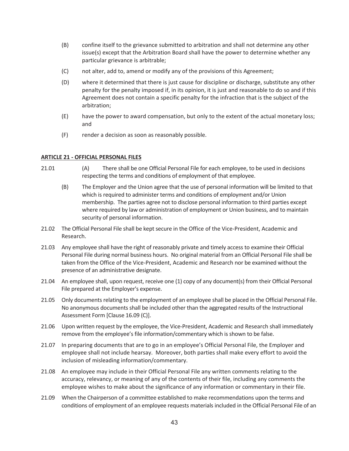- (B) confine itself to the grievance submitted to arbitration and shall not determine any other issue(s) except that the Arbitration Board shall have the power to determine whether any particular grievance is arbitrable;
- (C) not alter, add to, amend or modify any of the provisions of this Agreement;
- (D) where it determined that there is just cause for discipline or discharge, substitute any other penalty for the penalty imposed if, in its opinion, it is just and reasonable to do so and if this Agreement does not contain a specific penalty for the infraction that is the subject of the arbitration;
- (E) have the power to award compensation, but only to the extent of the actual monetary loss; and
- (F) render a decision as soon as reasonably possible.

#### **ARTICLE 21 - OFFICIAL PERSONAL FILES**

- 21.01 (A) There shall be one Official Personal File for each employee, to be used in decisions respecting the terms and conditions of employment of that employee.
	- (B) The Employer and the Union agree that the use of personal information will be limited to that which is required to administer terms and conditions of employment and/or Union membership. The parties agree not to disclose personal information to third parties except where required by law or administration of employment or Union business, and to maintain security of personal information.
- 21.02 The Official Personal File shall be kept secure in the Office of the Vice-President, Academic and Research.
- 21.03 Any employee shall have the right of reasonably private and timely access to examine their Official Personal File during normal business hours. No original material from an Official Personal File shall be taken from the Office of the Vice-President, Academic and Research nor be examined without the presence of an administrative designate.
- 21.04 An employee shall, upon request, receive one (1) copy of any document(s) from their Official Personal File prepared at the Employer's expense.
- 21.05 Only documents relating to the employment of an employee shall be placed in the Official Personal File. No anonymous documents shall be included other than the aggregated results of the Instructional Assessment Form [Clause 16.09 (C)].
- 21.06 Upon written request by the employee, the Vice-President, Academic and Research shall immediately remove from the employee's file information/commentary which is shown to be false.
- 21.07 In preparing documents that are to go in an employee's Official Personal File, the Employer and employee shall not include hearsay. Moreover, both parties shall make every effort to avoid the inclusion of misleading information/commentary.
- 21.08 An employee may include in their Official Personal File any written comments relating to the accuracy, relevancy, or meaning of any of the contents of their file, including any comments the employee wishes to make about the significance of any information or commentary in their file.
- 21.09 When the Chairperson of a committee established to make recommendations upon the terms and conditions of employment of an employee requests materials included in the Official Personal File of an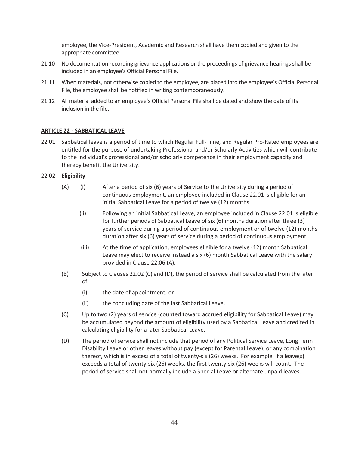employee, the Vice-President, Academic and Research shall have them copied and given to the appropriate committee.

- 21.10 No documentation recording grievance applications or the proceedings of grievance hearings shall be included in an employee's Official Personal File.
- 21.11 When materials, not otherwise copied to the employee, are placed into the employee's Official Personal File, the employee shall be notified in writing contemporaneously.
- 21.12 All material added to an employee's Official Personal File shall be dated and show the date of its inclusion in the file.

## **ARTICLE 22 - SABBATICAL LEAVE**

22.01 Sabbatical leave is a period of time to which Regular Full-Time, and Regular Pro-Rated employees are entitled for the purpose of undertaking Professional and/or Scholarly Activities which will contribute to the individual's professional and/or scholarly competence in their employment capacity and thereby benefit the University.

#### 22.02 **Eligibility**

- (A) (i) After a period of six (6) years of Service to the University during a period of continuous employment, an employee included in Clause 22.01 is eligible for an initial Sabbatical Leave for a period of twelve (12) months.
	- (ii) Following an initial Sabbatical Leave, an employee included in Clause 22.01 is eligible for further periods of Sabbatical Leave of six (6) months duration after three (3) years of service during a period of continuous employment or of twelve (12) months duration after six (6) years of service during a period of continuous employment.
	- (iii) At the time of application, employees eligible for a twelve (12) month Sabbatical Leave may elect to receive instead a six (6) month Sabbatical Leave with the salary provided in Clause 22.06 (A).
- (B) Subject to Clauses 22.02 (C) and (D), the period of service shall be calculated from the later of:
	- (i) the date of appointment; or
	- (ii) the concluding date of the last Sabbatical Leave.
- (C) Up to two (2) years of service (counted toward accrued eligibility for Sabbatical Leave) may be accumulated beyond the amount of eligibility used by a Sabbatical Leave and credited in calculating eligibility for a later Sabbatical Leave.
- (D) The period of service shall not include that period of any Political Service Leave, Long Term Disability Leave or other leaves without pay (except for Parental Leave), or any combination thereof, which is in excess of a total of twenty-six (26) weeks. For example, if a leave(s) exceeds a total of twenty-six (26) weeks, the first twenty-six (26) weeks will count. The period of service shall not normally include a Special Leave or alternate unpaid leaves.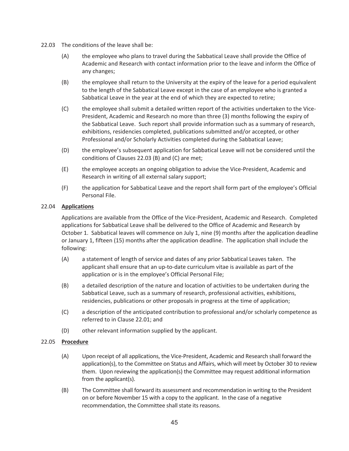- 22.03 The conditions of the leave shall be:
	- (A) the employee who plans to travel during the Sabbatical Leave shall provide the Office of Academic and Research with contact information prior to the leave and inform the Office of any changes;
	- (B) the employee shall return to the University at the expiry of the leave for a period equivalent to the length of the Sabbatical Leave except in the case of an employee who is granted a Sabbatical Leave in the year at the end of which they are expected to retire;
	- (C) the employee shall submit a detailed written report of the activities undertaken to the Vice-President, Academic and Research no more than three (3) months following the expiry of the Sabbatical Leave. Such report shall provide information such as a summary of research, exhibitions, residencies completed, publications submitted and/or accepted, or other Professional and/or Scholarly Activities completed during the Sabbatical Leave;
	- (D) the employee's subsequent application for Sabbatical Leave will not be considered until the conditions of Clauses 22.03 (B) and (C) are met;
	- (E) the employee accepts an ongoing obligation to advise the Vice-President, Academic and Research in writing of all external salary support;
	- (F) the application for Sabbatical Leave and the report shall form part of the employee's Official Personal File.

## 22.04 **Applications**

Applications are available from the Office of the Vice-President, Academic and Research. Completed applications for Sabbatical Leave shall be delivered to the Office of Academic and Research by October 1. Sabbatical leaves will commence on July 1, nine (9) months after the application deadline or January 1, fifteen (15) months after the application deadline. The application shall include the following:

- (A) a statement of length of service and dates of any prior Sabbatical Leaves taken. The applicant shall ensure that an up-to-date curriculum vitae is available as part of the application or is in the employee's Official Personal File;
- (B) a detailed description of the nature and location of activities to be undertaken during the Sabbatical Leave, such as a summary of research, professional activities, exhibitions, residencies, publications or other proposals in progress at the time of application;
- (C) a description of the anticipated contribution to professional and/or scholarly competence as referred to in Clause 22.01; and
- (D) other relevant information supplied by the applicant.

## 22.05 **Procedure**

- (A) Upon receipt of all applications, the Vice-President, Academic and Research shall forward the application(s), to the Committee on Status and Affairs, which will meet by October 30 to review them. Upon reviewing the application(s) the Committee may request additional information from the applicant(s).
- (B) The Committee shall forward its assessment and recommendation in writing to the President on or before November 15 with a copy to the applicant. In the case of a negative recommendation, the Committee shall state its reasons.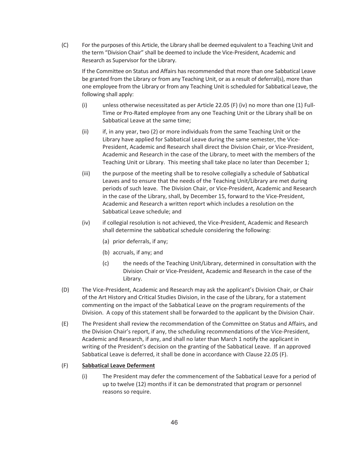(C) For the purposes of this Article, the Library shall be deemed equivalent to a Teaching Unit and the term "Division Chair" shall be deemed to include the Vice-President, Academic and Research as Supervisor for the Library.

If the Committee on Status and Affairs has recommended that more than one Sabbatical Leave be granted from the Library or from any Teaching Unit, or as a result of deferral(s), more than one employee from the Library or from any Teaching Unit is scheduled for Sabbatical Leave, the following shall apply:

- (i) unless otherwise necessitated as per Article 22.05 (F) (iv) no more than one (1) Full-Time or Pro-Rated employee from any one Teaching Unit or the Library shall be on Sabbatical Leave at the same time;
- (ii) if, in any year, two (2) or more individuals from the same Teaching Unit or the Library have applied for Sabbatical Leave during the same semester, the Vice-President, Academic and Research shall direct the Division Chair, or Vice-President, Academic and Research in the case of the Library, to meet with the members of the Teaching Unit or Library. This meeting shall take place no later than December 1;
- (iii) the purpose of the meeting shall be to resolve collegially a schedule of Sabbatical Leaves and to ensure that the needs of the Teaching Unit/Library are met during periods of such leave. The Division Chair, or Vice-President, Academic and Research in the case of the Library, shall, by December 15, forward to the Vice-President, Academic and Research a written report which includes a resolution on the Sabbatical Leave schedule; and
- (iv) if collegial resolution is not achieved, the Vice-President, Academic and Research shall determine the sabbatical schedule considering the following:
	- (a) prior deferrals, if any;
	- (b) accruals, if any; and
	- (c) the needs of the Teaching Unit/Library, determined in consultation with the Division Chair or Vice-President, Academic and Research in the case of the Library.
- (D) The Vice-President, Academic and Research may ask the applicant's Division Chair, or Chair of the Art History and Critical Studies Division, in the case of the Library, for a statement commenting on the impact of the Sabbatical Leave on the program requirements of the Division. A copy of this statement shall be forwarded to the applicant by the Division Chair.
- (E) The President shall review the recommendation of the Committee on Status and Affairs, and the Division Chair's report, if any, the scheduling recommendations of the Vice-President, Academic and Research, if any, and shall no later than March 1 notify the applicant in writing of the President's decision on the granting of the Sabbatical Leave. If an approved Sabbatical Leave is deferred, it shall be done in accordance with Clause 22.05 (F).

## (F) **Sabbatical Leave Deferment**

(i) The President may defer the commencement of the Sabbatical Leave for a period of up to twelve (12) months if it can be demonstrated that program or personnel reasons so require.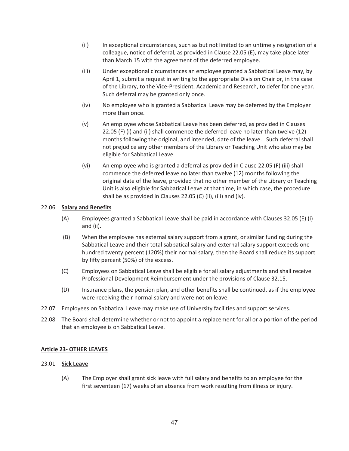- (ii) In exceptional circumstances, such as but not limited to an untimely resignation of a colleague, notice of deferral, as provided in Clause 22.05 (E), may take place later than March 15 with the agreement of the deferred employee.
- (iii) Under exceptional circumstances an employee granted a Sabbatical Leave may, by April 1, submit a request in writing to the appropriate Division Chair or, in the case of the Library, to the Vice-President, Academic and Research, to defer for one year. Such deferral may be granted only once.
- (iv) No employee who is granted a Sabbatical Leave may be deferred by the Employer more than once.
- (v) An employee whose Sabbatical Leave has been deferred, as provided in Clauses 22.05 (F) (i) and (ii) shall commence the deferred leave no later than twelve (12) months following the original, and intended, date of the leave. Such deferral shall not prejudice any other members of the Library or Teaching Unit who also may be eligible for Sabbatical Leave.
- (vi) An employee who is granted a deferral as provided in Clause 22.05 (F) (iii) shall commence the deferred leave no later than twelve (12) months following the original date of the leave, provided that no other member of the Library or Teaching Unit is also eligible for Sabbatical Leave at that time, in which case, the procedure shall be as provided in Clauses 22.05 (C) (ii), (iii) and (iv).

## 22.06 **Salary and Benefits**

- (A) Employees granted a Sabbatical Leave shall be paid in accordance with Clauses 32.05 (E) (i) and (ii).
- (B) When the employee has external salary support from a grant, or similar funding during the Sabbatical Leave and their total sabbatical salary and external salary support exceeds one hundred twenty percent (120%) their normal salary, then the Board shall reduce its support by fifty percent (50%) of the excess.
- (C) Employees on Sabbatical Leave shall be eligible for all salary adjustments and shall receive Professional Development Reimbursement under the provisions of Clause 32.15.
- (D) Insurance plans, the pension plan, and other benefits shall be continued, as if the employee were receiving their normal salary and were not on leave.
- 22.07 Employees on Sabbatical Leave may make use of University facilities and support services.
- 22.08 The Board shall determine whether or not to appoint a replacement for all or a portion of the period that an employee is on Sabbatical Leave.

## **Article 23- OTHER LEAVES**

## 23.01 **Sick Leave**

(A) The Employer shall grant sick leave with full salary and benefits to an employee for the first seventeen (17) weeks of an absence from work resulting from illness or injury.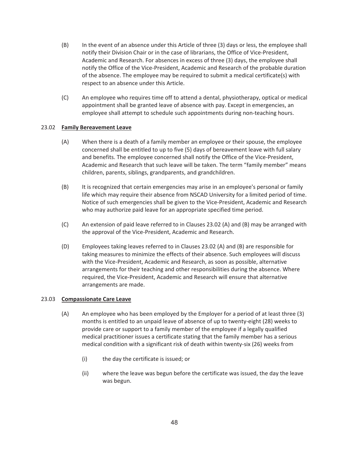- (B) In the event of an absence under this Article of three (3) days or less, the employee shall notify their Division Chair or in the case of librarians, the Office of Vice-President, Academic and Research. For absences in excess of three (3) days, the employee shall notify the Office of the Vice-President, Academic and Research of the probable duration of the absence. The employee may be required to submit a medical certificate(s) with respect to an absence under this Article.
- (C) An employee who requires time off to attend a dental, physiotherapy, optical or medical appointment shall be granted leave of absence with pay. Except in emergencies, an employee shall attempt to schedule such appointments during non-teaching hours.

## 23.02 **Family Bereavement Leave**

- (A) When there is a death of a family member an employee or their spouse, the employee concerned shall be entitled to up to five (5) days of bereavement leave with full salary and benefits. The employee concerned shall notify the Office of the Vice-President, Academic and Research that such leave will be taken. The term "family member" means children, parents, siblings, grandparents, and grandchildren.
- (B) It is recognized that certain emergencies may arise in an employee's personal or family life which may require their absence from NSCAD University for a limited period of time. Notice of such emergencies shall be given to the Vice-President, Academic and Research who may authorize paid leave for an appropriate specified time period.
- (C) An extension of paid leave referred to in Clauses 23.02 (A) and (B) may be arranged with the approval of the Vice-President, Academic and Research.
- (D) Employees taking leaves referred to in Clauses 23.02 (A) and (B) are responsible for taking measures to minimize the effects of their absence. Such employees will discuss with the Vice-President, Academic and Research, as soon as possible, alternative arrangements for their teaching and other responsibilities during the absence. Where required, the Vice-President, Academic and Research will ensure that alternative arrangements are made.

## 23.03 **Compassionate Care Leave**

- (A) An employee who has been employed by the Employer for a period of at least three (3) months is entitled to an unpaid leave of absence of up to twenty-eight (28) weeks to provide care or support to a family member of the employee if a legally qualified medical practitioner issues a certificate stating that the family member has a serious medical condition with a significant risk of death within twenty-six (26) weeks from
	- (i) the day the certificate is issued; or
	- (ii) where the leave was begun before the certificate was issued, the day the leave was begun.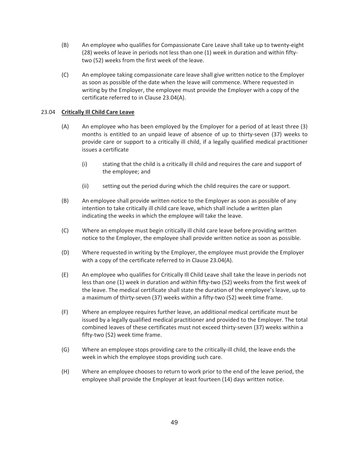- (B) An employee who qualifies for Compassionate Care Leave shall take up to twenty-eight (28) weeks of leave in periods not less than one (1) week in duration and within fiftytwo (52) weeks from the first week of the leave.
- (C) An employee taking compassionate care leave shall give written notice to the Employer as soon as possible of the date when the leave will commence. Where requested in writing by the Employer, the employee must provide the Employer with a copy of the certificate referred to in Clause 23.04(A).

## 23.04 **Critically Ill Child Care Leave**

- (A) An employee who has been employed by the Employer for a period of at least three (3) months is entitled to an unpaid leave of absence of up to thirty-seven (37) weeks to provide care or support to a critically ill child, if a legally qualified medical practitioner issues a certificate
	- (i) stating that the child is a critically ill child and requires the care and support of the employee; and
	- (ii) setting out the period during which the child requires the care or support.
- (B) An employee shall provide written notice to the Employer as soon as possible of any intention to take critically ill child care leave, which shall include a written plan indicating the weeks in which the employee will take the leave.
- (C) Where an employee must begin critically ill child care leave before providing written notice to the Employer, the employee shall provide written notice as soon as possible.
- (D) Where requested in writing by the Employer, the employee must provide the Employer with a copy of the certificate referred to in Clause 23.04(A).
- (E) An employee who qualifies for Critically Ill Child Leave shall take the leave in periods not less than one (1) week in duration and within fifty-two (52) weeks from the first week of the leave. The medical certificate shall state the duration of the employee's leave, up to a maximum of thirty-seven (37) weeks within a fifty-two (52) week time frame.
- (F) Where an employee requires further leave, an additional medical certificate must be issued by a legally qualified medical practitioner and provided to the Employer. The total combined leaves of these certificates must not exceed thirty-seven (37) weeks within a fifty-two (52) week time frame.
- (G) Where an employee stops providing care to the critically-ill child, the leave ends the week in which the employee stops providing such care.
- (H) Where an employee chooses to return to work prior to the end of the leave period, the employee shall provide the Employer at least fourteen (14) days written notice.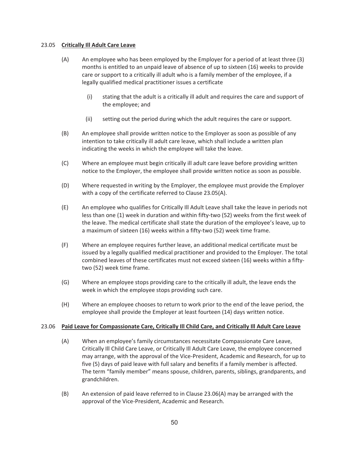### 23.05 **Critically Ill Adult Care Leave**

- (A) An employee who has been employed by the Employer for a period of at least three (3) months is entitled to an unpaid leave of absence of up to sixteen (16) weeks to provide care or support to a critically ill adult who is a family member of the employee, if a legally qualified medical practitioner issues a certificate
	- (i) stating that the adult is a critically ill adult and requires the care and support of the employee; and
	- (ii) setting out the period during which the adult requires the care or support.
- (B) An employee shall provide written notice to the Employer as soon as possible of any intention to take critically ill adult care leave, which shall include a written plan indicating the weeks in which the employee will take the leave.
- (C) Where an employee must begin critically ill adult care leave before providing written notice to the Employer, the employee shall provide written notice as soon as possible.
- (D) Where requested in writing by the Employer, the employee must provide the Employer with a copy of the certificate referred to Clause 23.05(A).
- (E) An employee who qualifies for Critically Ill Adult Leave shall take the leave in periods not less than one (1) week in duration and within fifty-two (52) weeks from the first week of the leave. The medical certificate shall state the duration of the employee's leave, up to a maximum of sixteen (16) weeks within a fifty-two (52) week time frame.
- (F) Where an employee requires further leave, an additional medical certificate must be issued by a legally qualified medical practitioner and provided to the Employer. The total combined leaves of these certificates must not exceed sixteen (16) weeks within a fiftytwo (52) week time frame.
- (G) Where an employee stops providing care to the critically ill adult, the leave ends the week in which the employee stops providing such care.
- (H) Where an employee chooses to return to work prior to the end of the leave period, the employee shall provide the Employer at least fourteen (14) days written notice.

## 23.06 **Paid Leave for Compassionate Care, Critically Ill Child Care, and Critically Ill Adult Care Leave**

- (A) When an employee's family circumstances necessitate Compassionate Care Leave, Critically Ill Child Care Leave, or Critically Ill Adult Care Leave, the employee concerned may arrange, with the approval of the Vice-President, Academic and Research, for up to five (5) days of paid leave with full salary and benefits if a family member is affected. The term "family member" means spouse, children, parents, siblings, grandparents, and grandchildren.
- (B) An extension of paid leave referred to in Clause 23.06(A) may be arranged with the approval of the Vice-President, Academic and Research.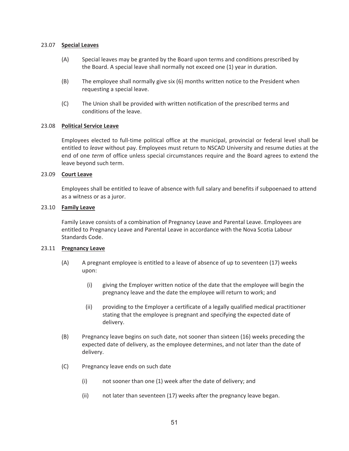#### 23.07 **Special Leaves**

- (A) Special leaves may be granted by the Board upon terms and conditions prescribed by the Board. A special leave shall normally not exceed one (1) year in duration.
- (B) The employee shall normally give six (6) months written notice to the President when requesting a special leave.
- (C) The Union shall be provided with written notification of the prescribed terms and conditions of the leave.

#### 23.08 **Political Service Leave**

Employees elected to full-time political office at the municipal, provincial or federal level shall be entitled to *leave* without pay. Employees must return to NSCAD University and resume duties at the end of one *term* of office unless special circumstances require and the Board agrees to extend the leave beyond such term.

#### 23.09 **Court Leave**

Employees shall be entitled to leave of absence with full salary and benefits if subpoenaed to attend as a witness or as a juror.

#### 23.10 **Family Leave**

Family Leave consists of a combination of Pregnancy Leave and Parental Leave. Employees are entitled to Pregnancy Leave and Parental Leave in accordance with the Nova Scotia Labour Standards Code.

#### 23.11 **Pregnancy Leave**

- (A) A pregnant employee is entitled to a leave of absence of up to seventeen (17) weeks upon:
	- (i) giving the Employer written notice of the date that the employee will begin the pregnancy leave and the date the employee will return to work; and
	- (ii) providing to the Employer a certificate of a legally qualified medical practitioner stating that the employee is pregnant and specifying the expected date of delivery.
- (B) Pregnancy leave begins on such date, not sooner than sixteen (16) weeks preceding the expected date of delivery, as the employee determines, and not later than the date of delivery.
- (C) Pregnancy leave ends on such date
	- (i) not sooner than one (1) week after the date of delivery; and
	- (ii) not later than seventeen (17) weeks after the pregnancy leave began.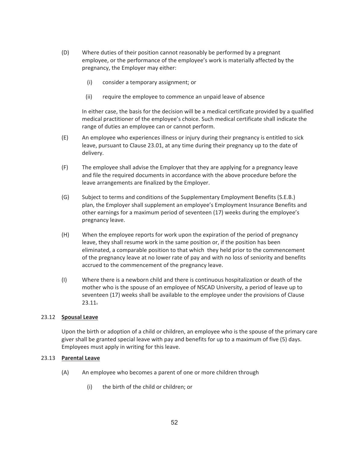- (D) Where duties of their position cannot reasonably be performed by a pregnant employee, or the performance of the employee's work is materially affected by the pregnancy, the Employer may either:
	- (i) consider a temporary assignment; or
	- (ii) require the employee to commence an unpaid leave of absence

In either case, the basis for the decision will be a medical certificate provided by a qualified medical practitioner of the employee's choice. Such medical certificate shall indicate the range of duties an employee can or cannot perform.

- (E) An employee who experiences illness or injury during their pregnancy is entitled to sick leave, pursuant to Clause 23.01, at any time during their pregnancy up to the date of delivery.
- (F) The employee shall advise the Employer that they are applying for a pregnancy leave and file the required documents in accordance with the above procedure before the leave arrangements are finalized by the Employer.
- (G) Subject to terms and conditions of the Supplementary Employment Benefits (S.E.B.) plan, the Employer shall supplement an employee's Employment Insurance Benefits and other earnings for a maximum period of seventeen (17) weeks during the employee's pregnancy leave.
- (H) When the employee reports for work upon the expiration of the period of pregnancy leave, they shall resume work in the same position or, if the position has been eliminated, a comparable position to that which they held prior to the commencement of the pregnancy leave at no lower rate of pay and with no loss of seniority and benefits accrued to the commencement of the pregnancy leave.
- (I) Where there is a newborn child and there is continuous hospitalization or death of the mother who is the spouse of an employee of NSCAD University, a period of leave up to seventeen (17) weeks shall be available to the employee under the provisions of Clause 23.11.

## 23.12 **Spousal Leave**

Upon the birth or adoption of a child or children, an employee who is the spouse of the primary care giver shall be granted special leave with pay and benefits for up to a maximum of five (5) days. Employees must apply in writing for this leave.

## 23.13 **Parental Leave**

- (A) An employee who becomes a parent of one or more children through
	- (i) the birth of the child or children; or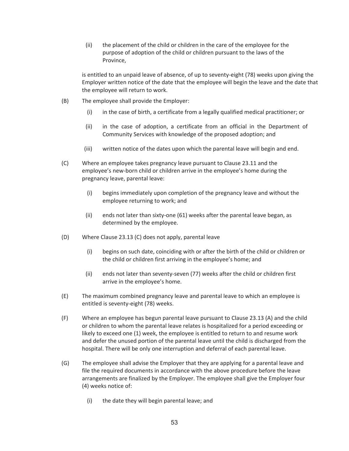(ii) the placement of the child or children in the care of the employee for the purpose of adoption of the child or children pursuant to the laws of the Province,

is entitled to an unpaid leave of absence, of up to seventy-eight (78) weeks upon giving the Employer written notice of the date that the employee will begin the leave and the date that the employee will return to work.

- (B) The employee shall provide the Employer:
	- (i) in the case of birth, a certificate from a legally qualified medical practitioner; or
	- (ii) in the case of adoption, a certificate from an official in the Department of Community Services with knowledge of the proposed adoption; and
	- (iii) written notice of the dates upon which the parental leave will begin and end.
- (C) Where an employee takes pregnancy leave pursuant to Clause 23.11 and the employee's new-born child or children arrive in the employee's home during the pregnancy leave, parental leave:
	- (i) begins immediately upon completion of the pregnancy leave and without the employee returning to work; and
	- (ii) ends not later than sixty-one (61) weeks after the parental leave began, as determined by the employee.
- (D) Where Clause 23.13 (C) does not apply, parental leave
	- (i) begins on such date, coinciding with or after the birth of the child or children or the child or children first arriving in the employee's home; and
	- (ii) ends not later than seventy-seven (77) weeks after the child or children first arrive in the employee's home.
- (E) The maximum combined pregnancy leave and parental leave to which an employee is entitled is seventy-eight (78) weeks.
- (F) Where an employee has begun parental leave pursuant to Clause 23.13 (A) and the child or children to whom the parental leave relates is hospitalized for a period exceeding or likely to exceed one (1) week, the employee is entitled to return to and resume work and defer the unused portion of the parental leave until the child is discharged from the hospital. There will be only one interruption and deferral of each parental leave.
- (G) The employee shall advise the Employer that they are applying for a parental leave and file the required documents in accordance with the above procedure before the leave arrangements are finalized by the Employer. The employee shall give the Employer four (4) weeks notice of:
	- (i) the date they will begin parental leave; and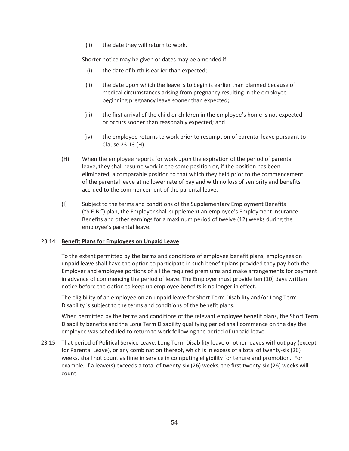(ii) the date they will return to work.

Shorter notice may be given or dates may be amended if:

- (i) the date of birth is earlier than expected;
- (ii) the date upon which the leave is to begin is earlier than planned because of medical circumstances arising from pregnancy resulting in the employee beginning pregnancy leave sooner than expected;
- (iii) the first arrival of the child or children in the employee's home is not expected or occurs sooner than reasonably expected; and
- (iv) the employee returns to work prior to resumption of parental leave pursuant to Clause 23.13 (H).
- (H) When the employee reports for work upon the expiration of the period of parental leave, they shall resume work in the same position or, if the position has been eliminated, a comparable position to that which they held prior to the commencement of the parental leave at no lower rate of pay and with no loss of seniority and benefits accrued to the commencement of the parental leave.
- (I) Subject to the terms and conditions of the Supplementary Employment Benefits ("S.E.B.") plan, the Employer shall supplement an employee's Employment Insurance Benefits and other earnings for a maximum period of twelve (12) weeks during the employee's parental leave.

## 23.14 **Benefit Plans for Employees on Unpaid Leave**

To the extent permitted by the terms and conditions of employee benefit plans, employees on unpaid leave shall have the option to participate in such benefit plans provided they pay both the Employer and employee portions of all the required premiums and make arrangements for payment in advance of commencing the period of leave. The Employer must provide ten (10) days written notice before the option to keep up employee benefits is no longer in effect.

The eligibility of an employee on an unpaid leave for Short Term Disability and/or Long Term Disability is subject to the terms and conditions of the benefit plans.

When permitted by the terms and conditions of the relevant employee benefit plans, the Short Term Disability benefits and the Long Term Disability qualifying period shall commence on the day the employee was scheduled to return to work following the period of unpaid leave.

23.15 That period of Political Service Leave, Long Term Disability leave or other leaves without pay (except for Parental Leave), or any combination thereof, which is in excess of a total of twenty-six (26) weeks, shall not count as time in service in computing eligibility for tenure and promotion. For example, if a leave(s) exceeds a total of twenty-six (26) weeks, the first twenty-six (26) weeks will count.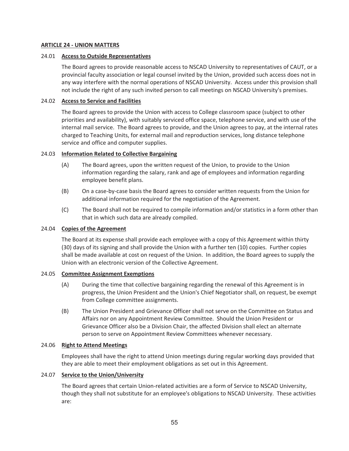### **ARTICLE 24 - UNION MATTERS**

#### 24.01 **Access to Outside Representatives**

The Board agrees to provide reasonable access to NSCAD University to representatives of CAUT, or a provincial faculty association or legal counsel invited by the Union, provided such access does not in any way interfere with the normal operations of NSCAD University. Access under this provision shall not include the right of any such invited person to call meetings on NSCAD University's premises.

#### 24.02 **Access to Service and Facilities**

The Board agrees to provide the Union with access to College classroom space (subject to other priorities and availability), with suitably serviced office space, telephone service, and with use of the internal mail service. The Board agrees to provide, and the Union agrees to pay, at the internal rates charged to Teaching Units, for external mail and reproduction services, long distance telephone service and office and computer supplies.

#### 24.03 **Information Related to Collective Bargaining**

- (A) The Board agrees, upon the written request of the Union, to provide to the Union information regarding the salary, rank and age of employees and information regarding employee benefit plans.
- (B) On a case-by-case basis the Board agrees to consider written requests from the Union for additional information required for the negotiation of the Agreement.
- (C) The Board shall not be required to compile information and/or statistics in a form other than that in which such data are already compiled.

### 24.04 **Copies of the Agreement**

The Board at its expense shall provide each employee with a copy of this Agreement within thirty (30) days of its signing and shall provide the Union with a further ten (10) copies. Further copies shall be made available at cost on request of the Union. In addition, the Board agrees to supply the Union with an electronic version of the Collective Agreement.

#### 24.05 **Committee Assignment Exemptions**

- (A) During the time that collective bargaining regarding the renewal of this Agreement is in progress, the Union President and the Union's Chief Negotiator shall, on request, be exempt from College committee assignments.
- (B) The Union President and Grievance Officer shall not serve on the Committee on Status and Affairs nor on any Appointment Review Committee. Should the Union President or Grievance Officer also be a Division Chair, the affected Division shall elect an alternate person to serve on Appointment Review Committees whenever necessary.

#### 24.06 **Right to Attend Meetings**

Employees shall have the right to attend Union meetings during regular working days provided that they are able to meet their employment obligations as set out in this Agreement.

#### 24.07 **Service to the Union/University**

The Board agrees that certain Union-related activities are a form of Service to NSCAD University, though they shall not substitute for an employee's obligations to NSCAD University. These activities are: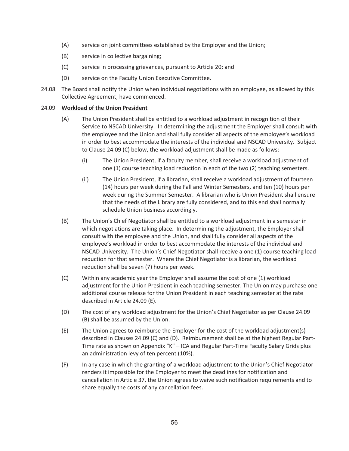- (A) service on joint committees established by the Employer and the Union;
- (B) service in collective bargaining;
- (C) service in processing grievances, pursuant to Article 20; and
- (D) service on the Faculty Union Executive Committee.
- 24.08 The Board shall notify the Union when individual negotiations with an employee, as allowed by this Collective Agreement, have commenced.

## 24.09 **Workload of the Union President**

- (A) The Union President shall be entitled to a workload adjustment in recognition of their Service to NSCAD University. In determining the adjustment the Employer shall consult with the employee and the Union and shall fully consider all aspects of the employee's workload in order to best accommodate the interests of the individual and NSCAD University. Subject to Clause 24.09 (C) below, the workload adjustment shall be made as follows:
	- (i) The Union President, if a faculty member, shall receive a workload adjustment of one (1) course teaching load reduction in each of the two (2) teaching semesters.
	- (ii) The Union President, if a librarian, shall receive a workload adjustment of fourteen (14) hours per week during the Fall and Winter Semesters, and ten (10) hours per week during the Summer Semester. A librarian who is Union President shall ensure that the needs of the Library are fully considered, and to this end shall normally schedule Union business accordingly.
- (B) The Union's Chief Negotiator shall be entitled to a workload adjustment in a semester in which negotiations are taking place. In determining the adjustment, the Employer shall consult with the employee and the Union, and shall fully consider all aspects of the employee's workload in order to best accommodate the interests of the individual and NSCAD University. The Union's Chief Negotiator shall receive a one (1) course teaching load reduction for that semester. Where the Chief Negotiator is a librarian, the workload reduction shall be seven (7) hours per week.
- (C) Within any academic year the Employer shall assume the cost of one (1) workload adjustment for the Union President in each teaching semester. The Union may purchase one additional course release for the Union President in each teaching semester at the rate described in Article 24.09 (E).
- (D) The cost of any workload adjustment for the Union's Chief Negotiator as per Clause 24.09 (B) shall be assumed by the Union.
- (E) The Union agrees to reimburse the Employer for the cost of the workload adjustment(s) described in Clauses 24.09 (C) and (D). Reimbursement shall be at the highest Regular Part-Time rate as shown on Appendix "K" – ICA and Regular Part-Time Faculty Salary Grids plus an administration levy of ten percent (10%).
- (F) In any case in which the granting of a workload adjustment to the Union's Chief Negotiator renders it impossible for the Employer to meet the deadlines for notification and cancellation in Article 37, the Union agrees to waive such notification requirements and to share equally the costs of any cancellation fees.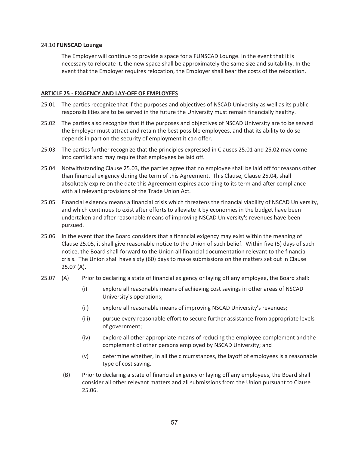#### 24.10 **FUNSCAD Lounge**

The Employer will continue to provide a space for a FUNSCAD Lounge. In the event that it is necessary to relocate it, the new space shall be approximately the same size and suitability. In the event that the Employer requires relocation, the Employer shall bear the costs of the relocation.

### **ARTICLE 25 - EXIGENCY AND LAY-OFF OF EMPLOYEES**

- 25.01 The parties recognize that if the purposes and objectives of NSCAD University as well as its public responsibilities are to be served in the future the University must remain financially healthy.
- 25.02 The parties also recognize that if the purposes and objectives of NSCAD University are to be served the Employer must attract and retain the best possible employees, and that its ability to do so depends in part on the security of employment it can offer.
- 25.03 The parties further recognize that the principles expressed in Clauses 25.01 and 25.02 may come into conflict and may require that employees be laid off.
- 25.04 Notwithstanding Clause 25.03, the parties agree that no employee shall be laid off for reasons other than financial exigency during the term of this Agreement. This Clause, Clause 25.04, shall absolutely expire on the date this Agreement expires according to its term and after compliance with all relevant provisions of the Trade Union Act.
- 25.05 Financial exigency means a financial crisis which threatens the financial viability of NSCAD University, and which continues to exist after efforts to alleviate it by economies in the budget have been undertaken and after reasonable means of improving NSCAD University's revenues have been pursued.
- 25.06 In the event that the Board considers that a financial exigency may exist within the meaning of Clause 25.05, it shall give reasonable notice to the Union of such belief. Within five (5) days of such notice, the Board shall forward to the Union all financial documentation relevant to the financial crisis. The Union shall have sixty (60) days to make submissions on the matters set out in Clause 25.07 (A).
- 25.07 (A) Prior to declaring a state of financial exigency or laying off any employee, the Board shall:
	- (i) explore all reasonable means of achieving cost savings in other areas of NSCAD University's operations;
	- (ii) explore all reasonable means of improving NSCAD University's revenues;
	- (iii) pursue every reasonable effort to secure further assistance from appropriate levels of government;
	- (iv) explore all other appropriate means of reducing the employee complement and the complement of other persons employed by NSCAD University; and
	- (v) determine whether, in all the circumstances, the layoff of employees is a reasonable type of cost saving.
	- (B) Prior to declaring a state of financial exigency or laying off any employees, the Board shall consider all other relevant matters and all submissions from the Union pursuant to Clause 25.06.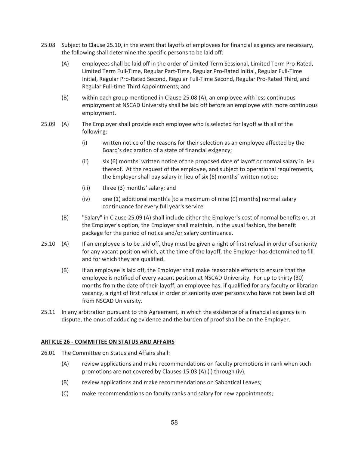- 25.08 Subject to Clause 25.10, in the event that layoffs of employees for financial exigency are necessary, the following shall determine the specific persons to be laid off:
	- (A) employees shall be laid off in the order of Limited Term Sessional, Limited Term Pro-Rated, Limited Term Full-Time, Regular Part-Time, Regular Pro-Rated Initial, Regular Full-Time Initial, Regular Pro-Rated Second, Regular Full-Time Second, Regular Pro-Rated Third, and Regular Full-time Third Appointments; and
	- (B) within each group mentioned in Clause 25.08 (A), an employee with less continuous employment at NSCAD University shall be laid off before an employee with more continuous employment.
- 25.09 (A) The Employer shall provide each employee who is selected for layoff with all of the following:
	- (i) written notice of the reasons for their selection as an employee affected by the Board's declaration of a state of financial exigency;
	- (ii) six (6) months' written notice of the proposed date of layoff or normal salary in lieu thereof. At the request of the employee, and subject to operational requirements, the Employer shall pay salary in lieu of six (6) months' written notice;
	- (iii) three (3) months' salary; and
	- (iv) one (1) additional month's [to a maximum of nine (9) months] normal salary continuance for every full year's service.
	- (B) "Salary" in Clause 25.09 (A) shall include either the Employer's cost of normal benefits or, at the Employer's option, the Employer shall maintain, in the usual fashion, the benefit package for the period of notice and/or salary continuance.
- 25.10 (A) If an employee is to be laid off, they must be given a right of first refusal in order of seniority for any vacant position which, at the time of the layoff, the Employer has determined to fill and for which they are qualified.
	- (B) If an employee is laid off, the Employer shall make reasonable efforts to ensure that the employee is notified of every vacant position at NSCAD University. For up to thirty (30) months from the date of their layoff, an employee has, if qualified for any faculty or librarian vacancy, a right of first refusal in order of seniority over persons who have not been laid off from NSCAD University.
- 25.11 In any arbitration pursuant to this Agreement, in which the existence of a financial exigency is in dispute, the onus of adducing evidence and the burden of proof shall be on the Employer.

## **ARTICLE 26 - COMMITTEE ON STATUS AND AFFAIRS**

- 26.01 The Committee on Status and Affairs shall:
	- (A) review applications and make recommendations on faculty promotions in rank when such promotions are not covered by Clauses 15.03 (A) (i) through (iv);
	- (B) review applications and make recommendations on Sabbatical Leaves;
	- (C) make recommendations on faculty ranks and salary for new appointments;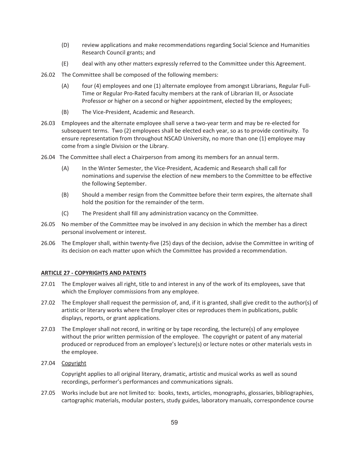- (D) review applications and make recommendations regarding Social Science and Humanities Research Council grants; and
- (E) deal with any other matters expressly referred to the Committee under this Agreement.
- 26.02 The Committee shall be composed of the following members:
	- (A) four (4) employees and one (1) alternate employee from amongst Librarians, Regular Full-Time or Regular Pro-Rated faculty members at the rank of Librarian III, or Associate Professor or higher on a second or higher appointment, elected by the employees;
	- (B) The Vice-President, Academic and Research.
- 26.03 Employees and the alternate employee shall serve a two-year term and may be re-elected for subsequent terms. Two (2) employees shall be elected each year, so as to provide continuity. To ensure representation from throughout NSCAD University, no more than one (1) employee may come from a single Division or the Library.
- 26.04 The Committee shall elect a Chairperson from among its members for an annual term.
	- (A) In the Winter Semester, the Vice-President, Academic and Research shall call for nominations and supervise the election of new members to the Committee to be effective the following September.
	- (B) Should a member resign from the Committee before their term expires, the alternate shall hold the position for the remainder of the term.
	- (C) The President shall fill any administration vacancy on the Committee.
- 26.05 No member of the Committee may be involved in any decision in which the member has a direct personal involvement or interest.
- 26.06 The Employer shall, within twenty-five (25) days of the decision, advise the Committee in writing of its decision on each matter upon which the Committee has provided a recommendation.

## **ARTICLE 27 - COPYRIGHTS AND PATENTS**

- 27.01 The Employer waives all right, title to and interest in any of the work of its employees, save that which the Employer commissions from any employee.
- 27.02 The Employer shall request the permission of, and, if it is granted, shall give credit to the author(s) of artistic or literary works where the Employer cites or reproduces them in publications, public displays, reports, or grant applications.
- 27.03 The Employer shall not record, in writing or by tape recording, the lecture(s) of any employee without the prior written permission of the employee. The copyright or patent of any material produced or reproduced from an employee's lecture(s) or lecture notes or other materials vests in the employee.
- 27.04 Copyright

Copyright applies to all original literary, dramatic, artistic and musical works as well as sound recordings, performer's performances and communications signals.

27.05 Works include but are not limited to: books, texts, articles, monographs, glossaries, bibliographies, cartographic materials, modular posters, study guides, laboratory manuals, correspondence course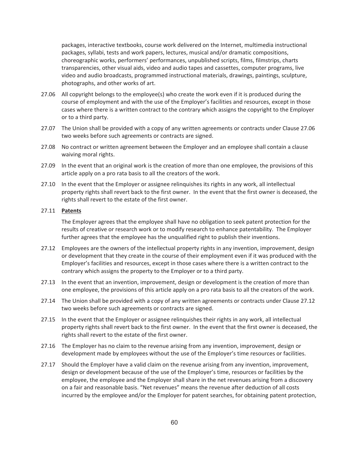packages, interactive textbooks, course work delivered on the Internet, multimedia instructional packages, syllabi, tests and work papers, lectures, musical and/or dramatic compositions, choreographic works, performers' performances, unpublished scripts, films, filmstrips, charts transparencies, other visual aids, video and audio tapes and cassettes, computer programs, live video and audio broadcasts, programmed instructional materials, drawings, paintings, sculpture, photographs, and other works of art.

- 27.06 All copyright belongs to the employee(s) who create the work even if it is produced during the course of employment and with the use of the Employer's facilities and resources, except in those cases where there is a written contract to the contrary which assigns the copyright to the Employer or to a third party.
- 27.07 The Union shall be provided with a copy of any written agreements or contracts under Clause 27.06 two weeks before such agreements or contracts are signed.
- 27.08 No contract or written agreement between the Employer and an employee shall contain a clause waiving moral rights.
- 27.09 In the event that an original work is the creation of more than one employee, the provisions of this article apply on a pro rata basis to all the creators of the work.
- 27.10 In the event that the Employer or assignee relinquishes its rights in any work, all intellectual property rights shall revert back to the first owner. In the event that the first owner is deceased, the rights shall revert to the estate of the first owner.

#### 27.11 **Patents**

The Employer agrees that the employee shall have no obligation to seek patent protection for the results of creative or research work or to modify research to enhance patentability. The Employer further agrees that the employee has the unqualified right to publish their inventions.

- 27.12 Employees are the owners of the intellectual property rights in any invention, improvement, design or development that they create in the course of their employment even if it was produced with the Employer's facilities and resources, except in those cases where there is a written contract to the contrary which assigns the property to the Employer or to a third party.
- 27.13 In the event that an invention, improvement, design or development is the creation of more than one employee, the provisions of this article apply on a pro rata basis to all the creators of the work.
- 27.14 The Union shall be provided with a copy of any written agreements or contracts under Clause 27.12 two weeks before such agreements or contracts are signed.
- 27.15 In the event that the Employer or assignee relinquishes their rights in any work, all intellectual property rights shall revert back to the first owner. In the event that the first owner is deceased, the rights shall revert to the estate of the first owner.
- 27.16 The Employer has no claim to the revenue arising from any invention, improvement, design or development made by employees without the use of the Employer's time resources or facilities.
- 27.17 Should the Employer have a valid claim on the revenue arising from any invention, improvement, design or development because of the use of the Employer's time, resources or facilities by the employee, the employee and the Employer shall share in the net revenues arising from a discovery on a fair and reasonable basis. "Net revenues" means the revenue after deduction of all costs incurred by the employee and/or the Employer for patent searches, for obtaining patent protection,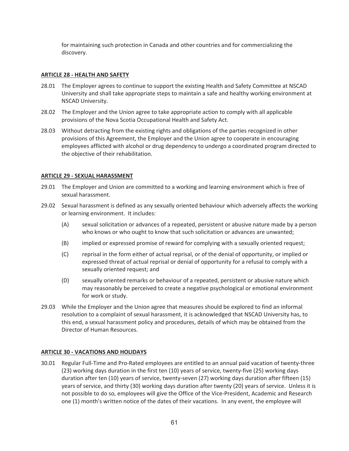for maintaining such protection in Canada and other countries and for commercializing the discovery.

### **ARTICLE 28 - HEALTH AND SAFETY**

- 28.01 The Employer agrees to continue to support the existing Health and Safety Committee at NSCAD University and shall take appropriate steps to maintain a safe and healthy working environment at NSCAD University.
- 28.02 The Employer and the Union agree to take appropriate action to comply with all applicable provisions of the Nova Scotia Occupational Health and Safety Act.
- 28.03 Without detracting from the existing rights and obligations of the parties recognized in other provisions of this Agreement, the Employer and the Union agree to cooperate in encouraging employees afflicted with alcohol or drug dependency to undergo a coordinated program directed to the objective of their rehabilitation.

#### **ARTICLE 29 - SEXUAL HARASSMENT**

- 29.01 The Employer and Union are committed to a working and learning environment which is free of sexual harassment.
- 29.02 Sexual harassment is defined as any sexually oriented behaviour which adversely affects the working or learning environment. It includes:
	- (A) sexual solicitation or advances of a repeated, persistent or abusive nature made by a person who knows or who ought to know that such solicitation or advances are unwanted;
	- (B) implied or expressed promise of reward for complying with a sexually oriented request;
	- (C) reprisal in the form either of actual reprisal, or of the denial of opportunity, or implied or expressed threat of actual reprisal or denial of opportunity for a refusal to comply with a sexually oriented request; and
	- (D) sexually oriented remarks or behaviour of a repeated, persistent or abusive nature which may reasonably be perceived to create a negative psychological or emotional environment for work or study.
- 29.03 While the Employer and the Union agree that measures should be explored to find an informal resolution to a complaint of sexual harassment, it is acknowledged that NSCAD University has, to this end, a sexual harassment policy and procedures, details of which may be obtained from the Director of Human Resources.

## **ARTICLE 30 - VACATIONS AND HOLIDAYS**

30.01 Regular Full-Time and Pro-Rated employees are entitled to an annual paid vacation of twenty-three (23) working days duration in the first ten (10) years of service, twenty-five (25) working days duration after ten (10) years of service, twenty-seven (27) working days duration after fifteen (15) years of service, and thirty (30) working days duration after twenty (20) years of service. Unless it is not possible to do so, employees will give the Office of the Vice-President, Academic and Research one (1) month's written notice of the dates of their vacations. In any event, the employee will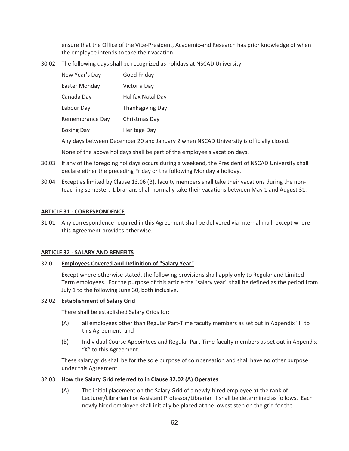ensure that the Office of the Vice-President, Academic and Research has prior knowledge of when the employee intends to take their vacation.

30.02 The following days shall be recognized as holidays at NSCAD University:

| New Year's Day    | Good Friday             |
|-------------------|-------------------------|
| Easter Monday     | Victoria Day            |
| Canada Day        | Halifax Natal Day       |
| Labour Day        | <b>Thanksgiving Day</b> |
| Remembrance Day   | Christmas Day           |
| <b>Boxing Day</b> | <b>Heritage Day</b>     |
|                   |                         |

Any days between December 20 and January 2 when NSCAD University is officially closed.

None of the above holidays shall be part of the employee's vacation days.

- 30.03 If any of the foregoing holidays occurs during a weekend, the President of NSCAD University shall declare either the preceding Friday or the following Monday a holiday.
- 30.04 Except as limited by Clause 13.06 (B), faculty members shall take their vacations during the nonteaching semester. Librarians shall normally take their vacations between May 1 and August 31.

#### **ARTICLE 31 - CORRESPONDENCE**

31.01 Any correspondence required in this Agreement shall be delivered via internal mail, except where this Agreement provides otherwise.

#### **ARTICLE 32 - SALARY AND BENEFITS**

#### 32.01 **Employees Covered and Definition of "Salary Year"**

Except where otherwise stated, the following provisions shall apply only to Regular and Limited Term employees. For the purpose of this article the "salary year" shall be defined as the period from July 1 to the following June 30, both inclusive.

#### 32.02 **Establishment of Salary Grid**

There shall be established Salary Grids for:

- (A) all employees other than Regular Part-Time faculty members as set out in Appendix "I" to this Agreement; and
- (B) Individual Course Appointees and Regular Part-Time faculty members as set out in Appendix "K" to this Agreement.

These salary grids shall be for the sole purpose of compensation and shall have no other purpose under this Agreement.

#### 32.03 **How the Salary Grid referred to in Clause 32.02 (A) Operates**

(A) The initial placement on the Salary Grid of a newly-hired employee at the rank of Lecturer/Librarian I or Assistant Professor/Librarian II shall be determined as follows. Each newly hired employee shall initially be placed at the lowest step on the grid for the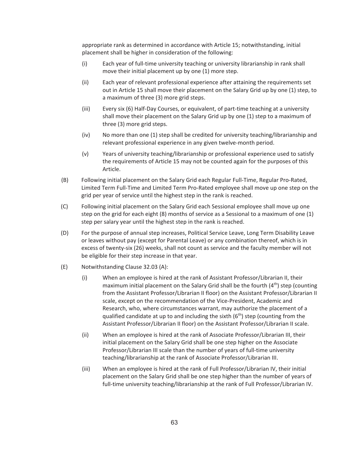appropriate rank as determined in accordance with Article 15; notwithstanding, initial placement shall be higher in consideration of the following:

- (i) Each year of full-time university teaching or university librarianship in rank shall move their initial placement up by one (1) more step.
- (ii) Each year of relevant professional experience after attaining the requirements set out in Article 15 shall move their placement on the Salary Grid up by one (1) step, to a maximum of three (3) more grid steps.
- (iii) Every six (6) Half-Day Courses, or equivalent, of part-time teaching at a university shall move their placement on the Salary Grid up by one (1) step to a maximum of three (3) more grid steps.
- (iv) No more than one (1) step shall be credited for university teaching/librarianship and relevant professional experience in any given twelve-month period.
- (v) Years of university teaching/librarianship or professional experience used to satisfy the requirements of Article 15 may not be counted again for the purposes of this Article.
- (B) Following initial placement on the Salary Grid each Regular Full-Time, Regular Pro-Rated, Limited Term Full-Time and Limited Term Pro-Rated employee shall move up one step on the grid per year of service until the highest step in the rank is reached.
- (C) Following initial placement on the Salary Grid each Sessional employee shall move up one step on the grid for each eight (8) months of service as a Sessional to a maximum of one (1) step per salary year until the highest step in the rank is reached.
- (D) For the purpose of annual step increases, Political Service Leave, Long Term Disability Leave or leaves without pay (except for Parental Leave) or any combination thereof, which is in excess of twenty-six (26) weeks, shall not count as service and the faculty member will not be eligible for their step increase in that year.
- (E) Notwithstanding Clause 32.03 (A):
	- (i) When an employee is hired at the rank of Assistant Professor/Librarian II, their maximum initial placement on the Salary Grid shall be the fourth  $(4<sup>th</sup>)$  step (counting from the Assistant Professor/Librarian II floor) on the Assistant Professor/Librarian II scale, except on the recommendation of the Vice-President, Academic and Research, who, where circumstances warrant, may authorize the placement of a qualified candidate at up to and including the sixth  $(6<sup>th</sup>)$  step (counting from the Assistant Professor/Librarian II floor) on the Assistant Professor/Librarian II scale.
	- (ii) When an employee is hired at the rank of Associate Professor/Librarian III, their initial placement on the Salary Grid shall be one step higher on the Associate Professor/Librarian III scale than the number of years of full-time university teaching/librarianship at the rank of Associate Professor/Librarian III.
	- (iii) When an employee is hired at the rank of Full Professor/Librarian IV, their initial placement on the Salary Grid shall be one step higher than the number of years of full-time university teaching/librarianship at the rank of Full Professor/Librarian IV.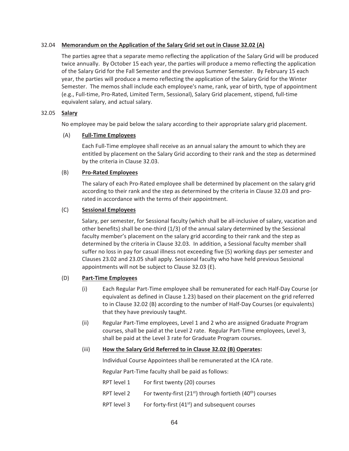## 32.04 **Memorandum on the Application of the Salary Grid set out in Clause 32.02 (A)**

The parties agree that a separate memo reflecting the application of the Salary Grid will be produced twice annually. By October 15 each year, the parties will produce a memo reflecting the application of the Salary Grid for the Fall Semester and the previous Summer Semester. By February 15 each year, the parties will produce a memo reflecting the application of the Salary Grid for the Winter Semester. The memos shall include each employee's name, rank, year of birth, type of appointment (e.g., Full-time, Pro-Rated, Limited Term, Sessional), Salary Grid placement, stipend, full-time equivalent salary, and actual salary.

## 32.05 **Salary**

No employee may be paid below the salary according to their appropriate salary grid placement.

## (A) **Full-Time Employees**

 Each Full-Time employee shall receive as an annual salary the amount to which they are entitled by placement on the Salary Grid according to their rank and the step as determined by the criteria in Clause 32.03.

## (B) **Pro-Rated Employees**

 The salary of each Pro-Rated employee shall be determined by placement on the salary grid according to their rank and the step as determined by the criteria in Clause 32.03 and prorated in accordance with the terms of their appointment.

## (C) **Sessional Employees**

Salary, per semester, for Sessional faculty (which shall be all-inclusive of salary, vacation and other benefits) shall be one-third (1/3) of the annual salary determined by the Sessional faculty member's placement on the salary grid according to their rank and the step as determined by the criteria in Clause 32.03. In addition, a Sessional faculty member shall suffer no loss in pay for casual illness not exceeding five (5) working days per semester and Clauses 23.02 and 23.05 shall apply. Sessional faculty who have held previous Sessional appointments will not be subject to Clause 32.03 (E).

## (D) **Part-Time Employees**

- (i) Each Regular Part-Time employee shall be remunerated for each Half-Day Course (or equivalent as defined in Clause 1.23) based on their placement on the grid referred to in Clause 32.02 (B) according to the number of Half-Day Courses (or equivalents) that they have previously taught.
- (ii) Regular Part-Time employees, Level 1 and 2 who are assigned Graduate Program courses, shall be paid at the Level 2 rate. Regular Part-Time employees, Level 3, shall be paid at the Level 3 rate for Graduate Program courses.

## (iii) **How the Salary Grid Referred to in Clause 32.02 (B) Operates:**

Individual Course Appointees shall be remunerated at the ICA rate.

Regular Part-Time faculty shall be paid as follows:

- RPT level 1 For first twenty (20) courses
- RPT level 2 For twenty-first  $(21^{st})$  through fortieth  $(40^{th})$  courses
- RPT level 3 For forty-first  $(41<sup>st</sup>)$  and subsequent courses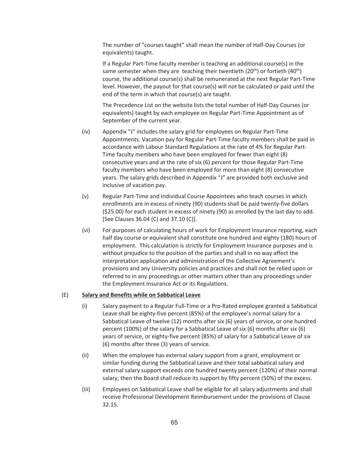The number of "courses taught" shall mean the number of Half-Day Courses (or equivalents) taught.

If a Regular Part-Time faculty member is teaching an additional course(s) in the same semester when they are teaching their twentieth  $(20<sup>th</sup>)$  or fortieth  $(40<sup>th</sup>)$ course, the additional course(s) shall be remunerated at the next Regular Part-Time level. However, the payout for that course(s) will not be calculated or paid until the end of the term in which that course(s) are taught.

The Precedence List on the website lists the total number of Half-Day Courses (or equivalents) taught by each employee on Regular Part-Time Appointment as of September of the current year.

- (iv) Appendix "J" includes the salary grid for employees on Regular Part-Time Appointments. Vacation pay for Regular Part-Time faculty members shall be paid in accordance with Labour Standard Regulations at the rate of 4% for Regular Part-Time faculty members who have been employed for fewer than eight (8) consecutive years and at the rate of six (6) percent for those Regular Part-Time faculty members who have been employed for more than eight (8) consecutive years. The salary grids described in Appendix "J" are provided both exclusive and inclusive of vacation pay.
- (v) Regular Part-Time and Individual Course Appointees who teach courses in which enrollments are in excess of ninety (90) students shall be paid twenty-five dollars (\$25.00) for each student in excess of ninety (90) as enrolled by the last day to add. [See Clauses 36.04 (C) and 37.10 (C)].
- (vi) For purposes of calculating hours of work for Employment Insurance reporting, each half day course or equivalent shall constitute one hundred and eighty (180) hours of employment. This calculation is strictly for Employment Insurance purposes and is without prejudice to the position of the parties and shall in no way affect the interpretation application and administration of the Collective Agreement's provisions and any University policies and practices and shall not be relied upon or referred to in any proceedings or other matters other than any proceedings under the Employment Insurance Act or its Regulations.

## (E) **Salary and Benefits while on Sabbatical Leave**

- (i) Salary payment to a Regular Full-Time or a Pro-Rated employee granted a Sabbatical Leave shall be eighty-five percent (85%) of the employee's normal salary for a Sabbatical Leave of twelve (12) months after six (6) years of service, or one hundred percent (100%) of the salary for a Sabbatical Leave of six (6) months after six (6) years of service, or eighty-five percent (85%) of salary for a Sabbatical Leave of six (6) months after three (3) years of service.
- (ii) When the employee has external salary support from a grant, employment or similar funding during the Sabbatical Leave and their total sabbatical salary and external salary support exceeds one hundred twenty percent (120%) of their normal salary, then the Board shall reduce its support by fifty percent (50%) of the excess.
- (iii) Employees on Sabbatical Leave shall be eligible for all salary adjustments and shall receive Professional Development Reimbursement under the provisions of Clause 32.15.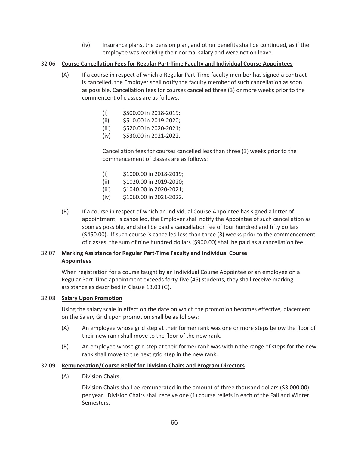(iv) Insurance plans, the pension plan, and other benefits shall be continued, as if the employee was receiving their normal salary and were not on leave.

## 32.06 **Course Cancellation Fees for Regular Part-Time Faculty and Individual Course Appointees**

- (A) If a course in respect of which a Regular Part-Time faculty member has signed a contract is cancelled, the Employer shall notify the faculty member of such cancellation as soon as possible. Cancellation fees for courses cancelled three (3) or more weeks prior to the commencent of classes are as follows:
	- (i) \$500.00 in 2018-2019;
	- (ii) \$510.00 in 2019-2020;
	- (iii) \$520.00 in 2020-2021;
	- (iv) \$530.00 in 2021-2022.

Cancellation fees for courses cancelled less than three (3) weeks prior to the commencement of classes are as follows:

- (i) \$1000.00 in 2018-2019;
- (ii) \$1020.00 in 2019-2020;
- (iii) \$1040.00 in 2020-2021;
- (iv) \$1060.00 in 2021-2022.
- (B) If a course in respect of which an Individual Course Appointee has signed a letter of appointment, is cancelled, the Employer shall notify the Appointee of such cancellation as soon as possible, and shall be paid a cancellation fee of four hundred and fifty dollars (\$450.00). If such course is cancelled less than three (3) weeks prior to the commencement of classes, the sum of nine hundred dollars (\$900.00) shall be paid as a cancellation fee.

# 32.07 **Marking Assistance for Regular Part-Time Faculty and Individual Course Appointees**

When registration for a course taught by an Individual Course Appointee or an employee on a Regular Part-Time appointment exceeds forty-five (45) students, they shall receive marking assistance as described in Clause 13.03 (G).

## 32.08 **Salary Upon Promotion**

Using the salary scale in effect on the date on which the promotion becomes effective, placement on the Salary Grid upon promotion shall be as follows:

- (A) An employee whose grid step at their former rank was one or more steps below the floor of their new rank shall move to the floor of the new rank.
- (B) An employee whose grid step at their former rank was within the range of steps for the new rank shall move to the next grid step in the new rank.

## 32.09 **Remuneration/Course Relief for Division Chairs and Program Directors**

(A) Division Chairs:

Division Chairs shall be remunerated in the amount of three thousand dollars (\$3,000.00) per year. Division Chairs shall receive one (1) course reliefs in each of the Fall and Winter Semesters.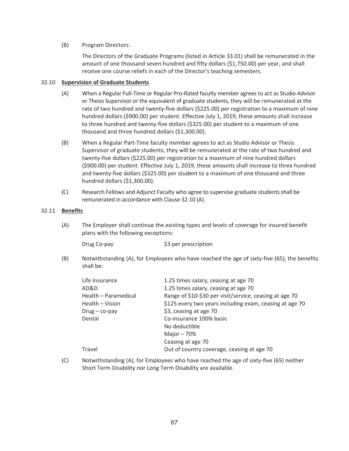## (B) Program Directors:

The Directors of the Graduate Programs (listed in Article 33.01) shall be remunerated in the amount of one thousand seven hundred and fifty dollars (\$1,750.00) per year, and shall receive one course reliefs in each of the Director's teaching semesters.

## 32.10 **Supervision of Graduate Students**

- (A) When a Regular Full-Time or Regular Pro-Rated faculty member agrees to act as Studio Advisor or Thesis Supervisor or the equivalent of graduate students, they will be remunerated at the rate of two hundred and twenty-five dollars (\$225.00) per registration to a maximum of nine hundred dollars (\$900.00) per student. Effective July 1, 2019, these amounts shall increase to three hundred and twenty-five dollars (\$325.00) per student to a maximum of one thousand and three hundred dollars (\$1,300.00).
- (B) When a Regular Part-Time faculty member agrees to act as Studio Advisor or Thesis Supervisor of graduate students, they will be remunerated at the rate of two hundred and twenty-five dollars (\$225.00) per registration to a maximum of nine hundred dollars (\$900.00) per student. Effective July 1, 2019, these amounts shall increase to three hundred and twenty-five dollars (\$325.00) per student to a maximum of one thousand and three hundred dollars (\$1,300.00).
- (C) Research Fellows and Adjunct Faculty who agree to supervise graduate students shall be remunerated in accordance with Clause 32.10 (A).

## 32.11 **Benefits**

(A) The Employer shall continue the existing types and levels of coverage for insured benefit plans with the following exceptions:

Drug Co-pay  $$3$  per prescription

(B) Notwithstanding (A), for Employees who have reached the age of sixty-five (65), the benefits shall be:

| Life Insurance       | 1.25 times salary, ceasing at age 70                    |
|----------------------|---------------------------------------------------------|
| AD&D                 | 1.25 times salary, ceasing at age 70                    |
| Health - Paramedical | Range of \$10-\$30 per visit/service, ceasing at age 70 |
| Health - Vision      | \$125 every two years including exam, ceasing at age 70 |
| $Drug - co-pay$      | \$3, ceasing at age 70                                  |
| Dental               | Co-insurance 100% basic                                 |
|                      | No deductible                                           |
|                      | Major $-70%$                                            |
|                      | Ceasing at age 70                                       |
| Travel               | Out of country coverage, ceasing at age 70              |
|                      |                                                         |

(C) Notwithstanding (A), for Employees who have reached the age of sixty-five (65) neither Short Term Disability nor Long Term Disability are available.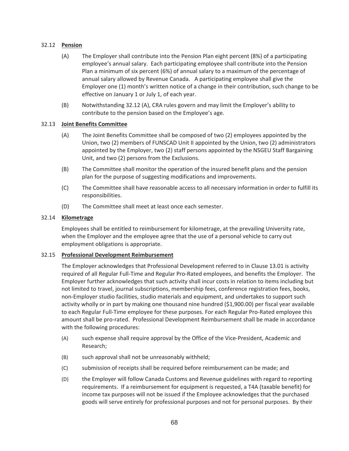## 32.12 **Pension**

- (A) The Employer shall contribute into the Pension Plan eight percent (8%) of a participating employee's annual salary. Each participating employee shall contribute into the Pension Plan a minimum of six percent (6%) of annual salary to a maximum of the percentage of annual salary allowed by Revenue Canada. A participating employee shall give the Employer one (1) month's written notice of a change in their contribution, such change to be effective on January 1 or July 1, of each year.
- (B) Notwithstanding 32.12 (A), CRA rules govern and may limit the Employer's ability to contribute to the pension based on the Employee's age.

## 32.13 **Joint Benefits Committee**

- (A) The Joint Benefits Committee shall be composed of two (2) employees appointed by the Union, two (2) members of FUNSCAD Unit II appointed by the Union, two (2) administrators appointed by the Employer, two (2) staff persons appointed by the NSGEU Staff Bargaining Unit, and two (2) persons from the Exclusions.
- (B) The Committee shall monitor the operation of the insured benefit plans and the pension plan for the purpose of suggesting modifications and improvements.
- (C) The Committee shall have reasonable access to all necessary information in order to fulfill its responsibilities.
- (D) The Committee shall meet at least once each semester.

## 32.14 **Kilometrage**

Employees shall be entitled to reimbursement for kilometrage, at the prevailing University rate, when the Employer and the employee agree that the use of a personal vehicle to carry out employment obligations is appropriate.

## 32.15 **Professional Development Reimbursement**

The Employer acknowledges that Professional Development referred to in Clause 13.01 is activity required of all Regular Full-Time and Regular Pro-Rated employees, and benefits the Employer. The Employer further acknowledges that such activity shall incur costs in relation to items including but not limited to travel, journal subscriptions, membership fees, conference registration fees, books, non-Employer studio facilities, studio materials and equipment, and undertakes to support such activity wholly or in part by making one thousand nine hundred (\$1,900.00) per fiscal year available to each Regular Full-Time employee for these purposes. For each Regular Pro-Rated employee this amount shall be pro-rated. Professional Development Reimbursement shall be made in accordance with the following procedures:

- (A) such expense shall require approval by the Office of the Vice-President, Academic and Research;
- (B) such approval shall not be unreasonably withheld;
- (C) submission of receipts shall be required before reimbursement can be made; and
- (D) the Employer will follow Canada Customs and Revenue guidelines with regard to reporting requirements. If a reimbursement for equipment is requested, a T4A (taxable benefit) for income tax purposes will not be issued if the Employee acknowledges that the purchased goods will serve entirely for professional purposes and not for personal purposes. By their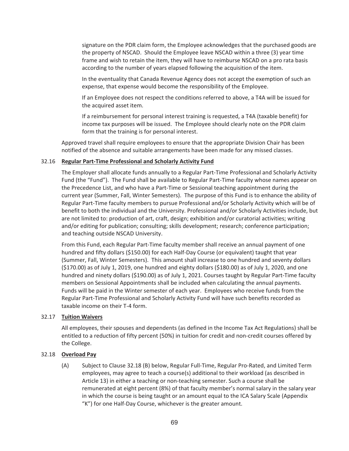signature on the PDR claim form, the Employee acknowledges that the purchased goods are the property of NSCAD. Should the Employee leave NSCAD within a three (3) year time frame and wish to retain the item, they will have to reimburse NSCAD on a pro rata basis according to the number of years elapsed following the acquisition of the item.

In the eventuality that Canada Revenue Agency does not accept the exemption of such an expense, that expense would become the responsibility of the Employee.

If an Employee does not respect the conditions referred to above, a T4A will be issued for the acquired asset item.

If a reimbursement for personal interest training is requested, a T4A (taxable benefit) for income tax purposes will be issued. The Employee should clearly note on the PDR claim form that the training is for personal interest.

Approved travel shall require employees to ensure that the appropriate Division Chair has been notified of the absence and suitable arrangements have been made for any missed classes.

## 32.16 **Regular Part-Time Professional and Scholarly Activity Fund**

The Employer shall allocate funds annually to a Regular Part-Time Professional and Scholarly Activity Fund (the "Fund"). The Fund shall be available to Regular Part-Time faculty whose names appear on the Precedence List, and who have a Part-Time or Sessional teaching appointment during the current year (Summer, Fall, Winter Semesters). The purpose of this Fund is to enhance the ability of Regular Part-Time faculty members to pursue Professional and/or Scholarly Activity which will be of benefit to both the individual and the University. Professional and/or Scholarly Activities include, but are not limited to: production of art, craft, design; exhibition and/or curatorial activities; writing and/or editing for publication; consulting; skills development; research; conference participation; and teaching outside NSCAD University.

From this Fund, each Regular Part-Time faculty member shall receive an annual payment of one hundred and fifty dollars (\$150.00) for each Half-Day Course (or equivalent) taught that year (Summer, Fall, Winter Semesters). This amount shall increase to one hundred and seventy dollars (\$170.00) as of July 1, 2019, one hundred and eighty dollars (\$180.00) as of July 1, 2020, and one hundred and ninety dollars (\$190.00) as of July 1, 2021. Courses taught by Regular Part-Time faculty members on Sessional Appointments shall be included when calculating the annual payments. Funds will be paid in the Winter semester of each year. Employees who receive funds from the Regular Part-Time Professional and Scholarly Activity Fund will have such benefits recorded as taxable income on their T-4 form.

## 32.17 **Tuition Waivers**

All employees, their spouses and dependents (as defined in the Income Tax Act Regulations) shall be entitled to a reduction of fifty percent (50%) in tuition for credit and non-credit courses offered by the College.

## 32.18 **Overload Pay**

(A) Subject to Clause 32.18 (B) below, Regular Full-Time, Regular Pro-Rated, and Limited Term employees, may agree to teach a course(s) additional to their workload (as described in Article 13) in either a teaching or non-teaching semester. Such a course shall be remunerated at eight percent (8%) of that faculty member's normal salary in the salary year in which the course is being taught or an amount equal to the ICA Salary Scale (Appendix "K") for one Half-Day Course, whichever is the greater amount.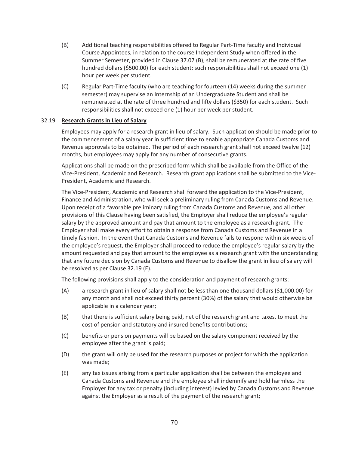- (B) Additional teaching responsibilities offered to Regular Part-Time faculty and Individual Course Appointees, in relation to the course Independent Study when offered in the Summer Semester, provided in Clause 37.07 (B), shall be remunerated at the rate of five hundred dollars (\$500.00) for each student; such responsibilities shall not exceed one (1) hour per week per student.
- (C) Regular Part-Time faculty (who are teaching for fourteen (14) weeks during the summer semester) may supervise an Internship of an Undergraduate Student and shall be remunerated at the rate of three hundred and fifty dollars (\$350) for each student. Such responsibilities shall not exceed one (1) hour per week per student.

## 32.19 **Research Grants in Lieu of Salary**

Employees may apply for a research grant in lieu of salary. Such application should be made prior to the commencement of a salary year in sufficient time to enable appropriate Canada Customs and Revenue approvals to be obtained. The period of each research grant shall not exceed twelve (12) months, but employees may apply for any number of consecutive grants.

Applications shall be made on the prescribed form which shall be available from the Office of the Vice-President, Academic and Research. Research grant applications shall be submitted to the Vice-President, Academic and Research.

The Vice-President, Academic and Research shall forward the application to the Vice-President, Finance and Administration, who will seek a preliminary ruling from Canada Customs and Revenue. Upon receipt of a favorable preliminary ruling from Canada Customs and Revenue, and all other provisions of this Clause having been satisfied, the Employer shall reduce the employee's regular salary by the approved amount and pay that amount to the employee as a research grant. The Employer shall make every effort to obtain a response from Canada Customs and Revenue in a timely fashion. In the event that Canada Customs and Revenue fails to respond within six weeks of the employee's request, the Employer shall proceed to reduce the employee's regular salary by the amount requested and pay that amount to the employee as a research grant with the understanding that any future decision by Canada Customs and Revenue to disallow the grant in lieu of salary will be resolved as per Clause 32.19 (E).

The following provisions shall apply to the consideration and payment of research grants:

- (A) a research grant in lieu of salary shall not be less than one thousand dollars (\$1,000.00) for any month and shall not exceed thirty percent (30%) of the salary that would otherwise be applicable in a calendar year;
- (B) that there is sufficient salary being paid, net of the research grant and taxes, to meet the cost of pension and statutory and insured benefits contributions;
- (C) benefits or pension payments will be based on the salary component received by the employee after the grant is paid;
- (D) the grant will only be used for the research purposes or project for which the application was made;
- (E) any tax issues arising from a particular application shall be between the employee and Canada Customs and Revenue and the employee shall indemnify and hold harmless the Employer for any tax or penalty (including interest) levied by Canada Customs and Revenue against the Employer as a result of the payment of the research grant;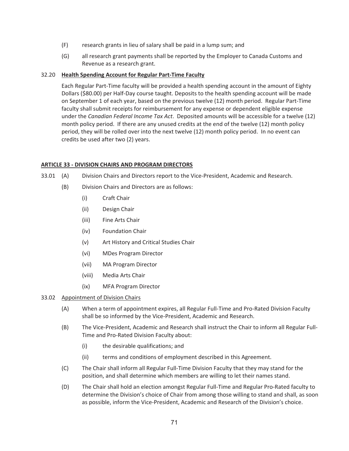- (F) research grants in lieu of salary shall be paid in a lump sum; and
- (G) all research grant payments shall be reported by the Employer to Canada Customs and Revenue as a research grant.

## 32.20 **Health Spending Account for Regular Part-Time Faculty**

 Each Regular Part-Time faculty will be provided a health spending account in the amount of Eighty Dollars (\$80.00) per Half-Day course taught. Deposits to the health spending account will be made on September 1 of each year, based on the previous twelve (12) month period. Regular Part-Time faculty shall submit receipts for reimbursement for any expense or dependent eligible expense under the *Canadian Federal Income Tax Act*. Deposited amounts will be accessible for a twelve (12) month policy period. If there are any unused credits at the end of the twelve (12) month policy period, they will be rolled over into the next twelve (12) month policy period. In no event can credits be used after two (2) years.

## **ARTICLE 33 - DIVISION CHAIRS AND PROGRAM DIRECTORS**

- 33.01 (A) Division Chairs and Directors report to the Vice-President, Academic and Research.
	- (B) Division Chairs and Directors are as follows:
		- (i) Craft Chair
		- (ii) Design Chair
		- (iii) Fine Arts Chair
		- (iv) Foundation Chair
		- (v) Art History and Critical Studies Chair
		- (vi) MDes Program Director
		- (vii) MA Program Director
		- (viii) Media Arts Chair
		- (ix) MFA Program Director

## 33.02 Appointment of Division Chairs

- (A) When a term of appointment expires, all Regular Full-Time and Pro-Rated Division Faculty shall be so informed by the Vice-President, Academic and Research.
- (B) The Vice-President, Academic and Research shall instruct the Chair to inform all Regular Full-Time and Pro-Rated Division Faculty about:
	- (i) the desirable qualifications; and
	- (ii) terms and conditions of employment described in this Agreement.
- (C) The Chair shall inform all Regular Full-Time Division Faculty that they may stand for the position, and shall determine which members are willing to let their names stand.
- (D) The Chair shall hold an election amongst Regular Full-Time and Regular Pro-Rated faculty to determine the Division's choice of Chair from among those willing to stand and shall, as soon as possible, inform the Vice-President, Academic and Research of the Division's choice.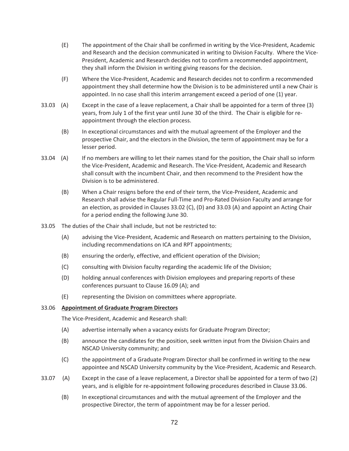- (E) The appointment of the Chair shall be confirmed in writing by the Vice-President, Academic and Research and the decision communicated in writing to Division Faculty. Where the Vice-President, Academic and Research decides not to confirm a recommended appointment, they shall inform the Division in writing giving reasons for the decision.
- (F) Where the Vice-President, Academic and Research decides not to confirm a recommended appointment they shall determine how the Division is to be administered until a new Chair is appointed. In no case shall this interim arrangement exceed a period of one (1) year.
- 33.03 (A) Except in the case of a leave replacement, a Chair shall be appointed for a term of three (3) years, from July 1 of the first year until June 30 of the third. The Chair is eligible for reappointment through the election process.
	- (B) In exceptional circumstances and with the mutual agreement of the Employer and the prospective Chair, and the electors in the Division, the term of appointment may be for a lesser period.
- 33.04 (A) If no members are willing to let their names stand for the position, the Chair shall so inform the Vice-President, Academic and Research. The Vice-President, Academic and Research shall consult with the incumbent Chair, and then recommend to the President how the Division is to be administered.
	- (B) When a Chair resigns before the end of their term, the Vice-President, Academic and Research shall advise the Regular Full-Time and Pro-Rated Division Faculty and arrange for an election, as provided in Clauses 33.02 (C), (D) and 33.03 (A) and appoint an Acting Chair for a period ending the following June 30.
- 33.05 The duties of the Chair shall include, but not be restricted to:
	- (A) advising the Vice-President, Academic and Research on matters pertaining to the Division, including recommendations on ICA and RPT appointments;
	- (B) ensuring the orderly, effective, and efficient operation of the Division;
	- (C) consulting with Division faculty regarding the academic life of the Division;
	- (D) holding annual conferences with Division employees and preparing reports of these conferences pursuant to Clause 16.09 (A); and
	- (E) representing the Division on committees where appropriate.

#### 33.06 **Appointment of Graduate Program Directors**

The Vice-President, Academic and Research shall:

- (A) advertise internally when a vacancy exists for Graduate Program Director;
- (B) announce the candidates for the position, seek written input from the Division Chairs and NSCAD University community; and
- (C) the appointment of a Graduate Program Director shall be confirmed in writing to the new appointee and NSCAD University community by the Vice-President, Academic and Research.
- 33.07 (A) Except in the case of a leave replacement, a Director shall be appointed for a term of two (2) years, and is eligible for re-appointment following procedures described in Clause 33.06.
	- (B) In exceptional circumstances and with the mutual agreement of the Employer and the prospective Director, the term of appointment may be for a lesser period.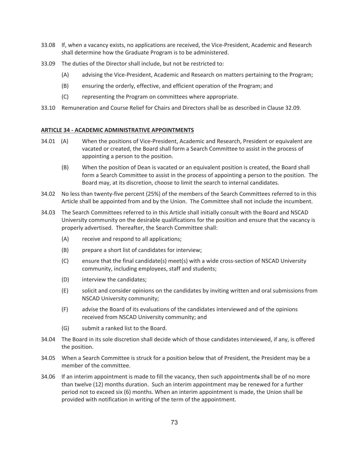- 33.08 If, when a vacancy exists, no applications are received, the Vice-President, Academic and Research shall determine how the Graduate Program is to be administered.
- 33.09 The duties of the Director shall include, but not be restricted to:
	- (A) advising the Vice-President, Academic and Research on matters pertaining to the Program;
	- (B) ensuring the orderly, effective, and efficient operation of the Program; and
	- (C) representing the Program on committees where appropriate.
- 33.10 Remuneration and Course Relief for Chairs and Directors shall be as described in Clause 32.09.

#### **ARTICLE 34 - ACADEMIC ADMINISTRATIVE APPOINTMENTS**

- 34.01 (A) When the positions of Vice-President, Academic and Research, President or equivalent are vacated or created, the Board shall form a Search Committee to assist in the process of appointing a person to the position.
	- (B) When the position of Dean is vacated or an equivalent position is created, the Board shall form a Search Committee to assist in the process of appointing a person to the position. The Board may, at its discretion, choose to limit the search to internal candidates.
- 34.02 No less than twenty-five percent (25%) of the members of the Search Committees referred to in this Article shall be appointed from and by the Union. The Committee shall not include the incumbent.
- 34.03 The Search Committees referred to in this Article shall initially consult with the Board and NSCAD University community on the desirable qualifications for the position and ensure that the vacancy is properly advertised. Thereafter, the Search Committee shall:
	- (A) receive and respond to all applications;
	- (B) prepare a short list of candidates for interview;
	- (C) ensure that the final candidate(s) meet(s) with a wide cross-section of NSCAD University community, including employees, staff and students;
	- (D) interview the candidates;
	- (E) solicit and consider opinions on the candidates by inviting written and oral submissions from NSCAD University community;
	- (F) advise the Board of its evaluations of the candidates interviewed and of the opinions received from NSCAD University community; and
	- (G) submit a ranked list to the Board.
- 34.04 The Board in its sole discretion shall decide which of those candidates interviewed, if any, is offered the position.
- 34.05 When a Search Committee is struck for a position below that of President, the President may be a member of the committee.
- 34.06 If an interim appointment is made to fill the vacancy, then such appointments shall be of no more than twelve (12) months duration. Such an interim appointment may be renewed for a further period not to exceed six (6) months. When an interim appointment is made, the Union shall be provided with notification in writing of the term of the appointment.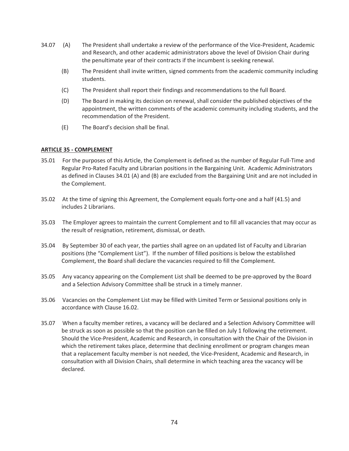- 34.07 (A) The President shall undertake a review of the performance of the Vice-President, Academic and Research, and other academic administrators above the level of Division Chair during the penultimate year of their contracts if the incumbent is seeking renewal.
	- (B) The President shall invite written, signed comments from the academic community including students.
	- (C) The President shall report their findings and recommendations to the full Board.
	- (D) The Board in making its decision on renewal, shall consider the published objectives of the appointment, the written comments of the academic community including students, and the recommendation of the President.
	- (E) The Board's decision shall be final.

### **ARTICLE 35 - COMPLEMENT**

- 35.01 For the purposes of this Article, the Complement is defined as the number of Regular Full-Time and Regular Pro-Rated Faculty and Librarian positions in the Bargaining Unit. Academic Administrators as defined in Clauses 34.01 (A) and (B) are excluded from the Bargaining Unit and are not included in the Complement.
- 35.02 At the time of signing this Agreement, the Complement equals forty-one and a half (41.5) and includes 2 Librarians.
- 35.03 The Employer agrees to maintain the current Complement and to fill all vacancies that may occur as the result of resignation, retirement, dismissal, or death.
- 35.04 By September 30 of each year, the parties shall agree on an updated list of Faculty and Librarian positions (the "Complement List"). If the number of filled positions is below the established Complement, the Board shall declare the vacancies required to fill the Complement.
- 35.05 Any vacancy appearing on the Complement List shall be deemed to be pre-approved by the Board and a Selection Advisory Committee shall be struck in a timely manner.
- 35.06 Vacancies on the Complement List may be filled with Limited Term or Sessional positions only in accordance with Clause 16.02.
- 35.07 When a faculty member retires, a vacancy will be declared and a Selection Advisory Committee will be struck as soon as possible so that the position can be filled on July 1 following the retirement. Should the Vice-President, Academic and Research, in consultation with the Chair of the Division in which the retirement takes place, determine that declining enrollment or program changes mean that a replacement faculty member is not needed, the Vice-President, Academic and Research, in consultation with all Division Chairs, shall determine in which teaching area the vacancy will be declared.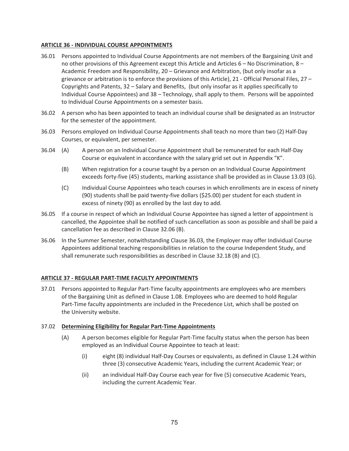### **ARTICLE 36 - INDIVIDUAL COURSE APPOINTMENTS**

- 36.01 Persons appointed to Individual Course Appointments are not members of the Bargaining Unit and no other provisions of this Agreement except this Article and Articles  $6 -$  No Discrimination,  $8 -$ Academic Freedom and Responsibility, 20 – Grievance and Arbitration, (but only insofar as a grievance or arbitration is to enforce the provisions of this Article), 21 - Official Personal Files, 27 – Copyrights and Patents, 32 – Salary and Benefits, (but only insofar as it applies specifically to Individual Course Appointees) and 38 – Technology, shall apply to them. Persons will be appointed to Individual Course Appointments on a semester basis.
- 36.02 A person who has been appointed to teach an individual course shall be designated as an Instructor for the semester of the appointment.
- 36.03 Persons employed on Individual Course Appointments shall teach no more than two (2) Half-Day Courses, or equivalent, per semester.
- 36.04 (A) A person on an Individual Course Appointment shall be remunerated for each Half-Day Course or equivalent in accordance with the salary grid set out in Appendix "K".
	- (B) When registration for a course taught by a person on an Individual Course Appointment exceeds forty-five (45) students, marking assistance shall be provided as in Clause 13.03 (G).
	- (C) Individual Course Appointees who teach courses in which enrollments are in excess of ninety (90) students shall be paid twenty-five dollars (\$25.00) per student for each student in excess of ninety (90) as enrolled by the last day to add.
- 36.05 If a course in respect of which an Individual Course Appointee has signed a letter of appointment is cancelled, the Appointee shall be notified of such cancellation as soon as possible and shall be paid a cancellation fee as described in Clause 32.06 (B).
- 36.06 In the Summer Semester, notwithstanding Clause 36.03, the Employer may offer Individual Course Appointees additional teaching responsibilities in relation to the course Independent Study, and shall remunerate such responsibilities as described in Clause 32.18 (B) and (C).

# **ARTICLE 37 - REGULAR PART-TIME FACULTY APPOINTMENTS**

37.01 Persons appointed to Regular Part-Time faculty appointments are employees who are members of the Bargaining Unit as defined in Clause 1.08. Employees who are deemed to hold Regular Part-Time faculty appointments are included in the Precedence List, which shall be posted on the University website.

### 37.02 **Determining Eligibility for Regular Part-Time Appointments**

- (A) A person becomes eligible for Regular Part-Time faculty status when the person has been employed as an Individual Course Appointee to teach at least:
	- (i) eight (8) individual Half-Day Courses or equivalents, as defined in Clause 1.24 within three (3) consecutive Academic Years, including the current Academic Year; or
	- (ii) an individual Half-Day Course each year for five (5) consecutive Academic Years, including the current Academic Year.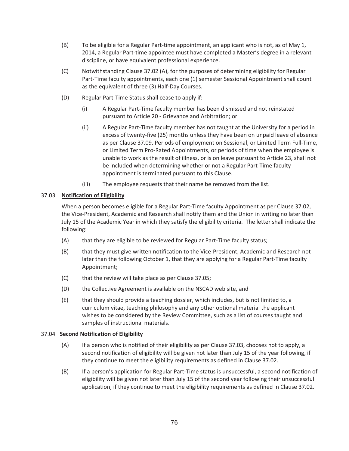- (B) To be eligible for a Regular Part-time appointment, an applicant who is not, as of May 1, 2014, a Regular Part-time appointee must have completed a Master's degree in a relevant discipline, or have equivalent professional experience.
- (C) Notwithstanding Clause 37.02 (A), for the purposes of determining eligibility for Regular Part-Time faculty appointments, each one (1) semester Sessional Appointment shall count as the equivalent of three (3) Half-Day Courses.
- (D) Regular Part-Time Status shall cease to apply if:
	- (i) A Regular Part-Time faculty member has been dismissed and not reinstated pursuant to Article 20 - Grievance and Arbitration; or
	- (ii) A Regular Part-Time faculty member has not taught at the University for a period in excess of twenty-five (25) months unless they have been on unpaid leave of absence as per Clause 37.09. Periods of employment on Sessional, or Limited Term Full-Time, or Limited Term Pro-Rated Appointments, or periods of time when the employee is unable to work as the result of illness, or is on leave pursuant to Article 23, shall not be included when determining whether or not a Regular Part-Time faculty appointment is terminated pursuant to this Clause.
	- (iii) The employee requests that their name be removed from the list.

# 37.03 **Notification of Eligibility**

When a person becomes eligible for a Regular Part-Time faculty Appointment as per Clause 37.02, the Vice-President, Academic and Research shall notify them and the Union in writing no later than July 15 of the Academic Year in which they satisfy the eligibility criteria. The letter shall indicate the following:

- (A) that they are eligible to be reviewed for Regular Part-Time faculty status;
- (B) that they must give written notification to the Vice-President, Academic and Research not later than the following October 1, that they are applying for a Regular Part-Time faculty Appointment;
- (C) that the review will take place as per Clause 37.05;
- (D) the Collective Agreement is available on the NSCAD web site, and
- (E) that they should provide a teaching dossier, which includes, but is not limited to, a curriculum vitae, teaching philosophy and any other optional material the applicant wishes to be considered by the Review Committee, such as a list of courses taught and samples of instructional materials.

# 37.04 **Second Notification of Eligibility**

- (A) If a person who is notified of their eligibility as per Clause 37.03, chooses not to apply, a second notification of eligibility will be given not later than July 15 of the year following, if they continue to meet the eligibility requirements as defined in Clause 37.02.
- (B) If a person's application for Regular Part-Time status is unsuccessful, a second notification of eligibility will be given not later than July 15 of the second year following their unsuccessful application, if they continue to meet the eligibility requirements as defined in Clause 37.02.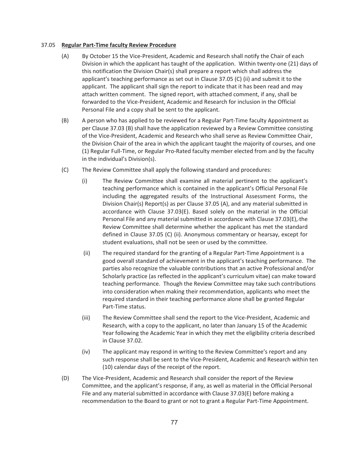### 37.05 **Regular Part-Time faculty Review Procedure**

- (A) By October 15 the Vice-President, Academic and Research shall notify the Chair of each Division in which the applicant has taught of the application. Within twenty-one (21) days of this notification the Division Chair(s) shall prepare a report which shall address the applicant's teaching performance as set out in Clause 37.05 (C) (ii) and submit it to the applicant. The applicant shall sign the report to indicate that it has been read and may attach written comment. The signed report, with attached comment, if any, shall be forwarded to the Vice-President, Academic and Research for inclusion in the Official Personal File and a copy shall be sent to the applicant.
- (B) A person who has applied to be reviewed for a Regular Part-Time faculty Appointment as per Clause 37.03 (B) shall have the application reviewed by a Review Committee consisting of the Vice-President, Academic and Research who shall serve as Review Committee Chair, the Division Chair of the area in which the applicant taught the majority of courses, and one (1) Regular Full-Time, or Regular Pro-Rated faculty member elected from and by the faculty in the individual's Division(s).
- (C) The Review Committee shall apply the following standard and procedures:
	- (i) The Review Committee shall examine all material pertinent to the applicant's teaching performance which is contained in the applicant's Official Personal File including the aggregated results of the Instructional Assessment Forms, the Division Chair(s) Report(s) as per Clause 37.05 (A), and any material submitted in accordance with Clause 37.03(E). Based solely on the material in the Official Personal File and any material submitted in accordance with Clause 37.03(E), the Review Committee shall determine whether the applicant has met the standard defined in Clause 37.05 (C) (ii). Anonymous commentary or hearsay, except for student evaluations, shall not be seen or used by the committee.
	- (ii) The required standard for the granting of a Regular Part-Time Appointment is a good overall standard of achievement in the applicant's teaching performance. The parties also recognize the valuable contributions that an active Professional and/or Scholarly practice (as reflected in the applicant's curriculum vitae) can make toward teaching performance. Though the Review Committee may take such contributions into consideration when making their recommendation, applicants who meet the required standard in their teaching performance alone shall be granted Regular Part-Time status.
	- (iii) The Review Committee shall send the report to the Vice-President, Academic and Research, with a copy to the applicant, no later than January 15 of the Academic Year following the Academic Year in which they met the eligibility criteria described in Clause 37.02.
	- (iv) The applicant may respond in writing to the Review Committee's report and any such response shall be sent to the Vice-President, Academic and Research within ten (10) calendar days of the receipt of the report.
- (D) The Vice-President, Academic and Research shall consider the report of the Review Committee, and the applicant's response, if any, as well as material in the Official Personal File and any material submitted in accordance with Clause 37.03(E) before making a recommendation to the Board to grant or not to grant a Regular Part-Time Appointment.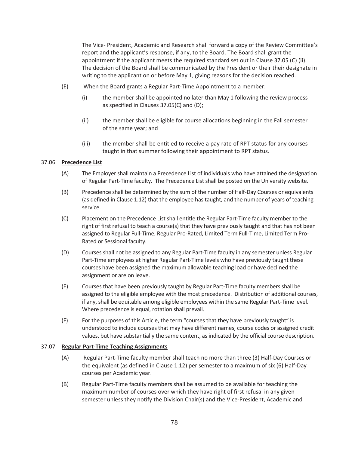The Vice- President, Academic and Research shall forward a copy of the Review Committee's report and the applicant's response, if any, to the Board. The Board shall grant the appointment if the applicant meets the required standard set out in Clause 37.05 (C) (ii). The decision of the Board shall be communicated by the President or their their designate in writing to the applicant on or before May 1, giving reasons for the decision reached.

- (E) When the Board grants a Regular Part-Time Appointment to a member:
	- (i) the member shall be appointed no later than May 1 following the review process as specified in Clauses 37.05(C) and (D);
	- (ii) the member shall be eligible for course allocations beginning in the Fall semester of the same year; and
	- (iii) the member shall be entitled to receive a pay rate of RPT status for any courses taught in that summer following their appointment to RPT status.

#### 37.06 **Precedence List**

- (A) The Employer shall maintain a Precedence List of individuals who have attained the designation of Regular Part-Time faculty. The Precedence List shall be posted on the University website.
- (B) Precedence shall be determined by the sum of the number of Half-Day Courses or equivalents (as defined in Clause 1.12) that the employee has taught, and the number of years of teaching service.
- (C) Placement on the Precedence List shall entitle the Regular Part-Time faculty member to the right of first refusal to teach a course(s) that they have previously taught and that has not been assigned to Regular Full-Time, Regular Pro-Rated, Limited Term Full-Time, Limited Term Pro-Rated or Sessional faculty.
- (D) Courses shall not be assigned to any Regular Part-Time faculty in any semester unless Regular Part-Time employees at higher Regular Part-Time levels who have previously taught these courses have been assigned the maximum allowable teaching load or have declined the assignment or are on leave.
- (E) Courses that have been previously taught by Regular Part-Time faculty members shall be assigned to the eligible employee with the most precedence. Distribution of additional courses, if any, shall be equitable among eligible employees within the same Regular Part-Time level. Where precedence is equal, rotation shall prevail.
- (F) For the purposes of this Article, the term "courses that they have previously taught" is understood to include courses that may have different names, course codes or assigned credit values, but have substantially the same content, as indicated by the official course description.

#### 37.07 **Regular Part-Time Teaching Assignments**

- (A) Regular Part-Time faculty member shall teach no more than three (3) Half-Day Courses or the equivalent (as defined in Clause 1.12) per semester to a maximum of six (6) Half-Day courses per Academic year.
- (B) Regular Part-Time faculty members shall be assumed to be available for teaching the maximum number of courses over which they have right of first refusal in any given semester unless they notify the Division Chair(s) and the Vice-President, Academic and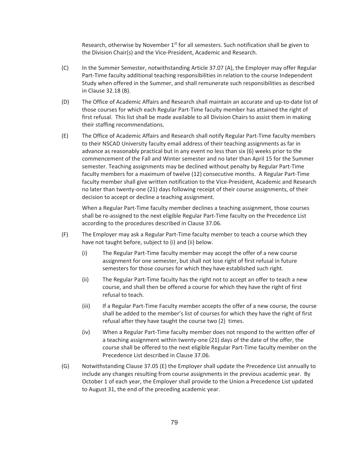Research, otherwise by November  $1<sup>st</sup>$  for all semesters. Such notification shall be given to the Division Chair(s) and the Vice-President, Academic and Research.

- (C) In the Summer Semester, notwithstanding Article 37.07 (A), the Employer may offer Regular Part-Time faculty additional teaching responsibilities in relation to the course Independent Study when offered in the Summer, and shall remunerate such responsibilities as described in Clause 32.18 (B).
- (D) The Office of Academic Affairs and Research shall maintain an accurate and up-to-date list of those courses for which each Regular Part-Time faculty member has attained the right of first refusal. This list shall be made available to all Division Chairs to assist them in making their staffing recommendations.
- (E) The Office of Academic Affairs and Research shall notify Regular Part-Time faculty members to their NSCAD University faculty email address of their teaching assignments as far in advance as reasonably practical but in any event no less than six (6) weeks prior to the commencement of the Fall and Winter semester and no later than April 15 for the Summer semester. Teaching assignments may be declined without penalty by Regular Part-Time faculty members for a maximum of twelve (12) consecutive months. A Regular Part-Time faculty member shall give written notification to the Vice-President, Academic and Research no later than twenty-one (21) days following receipt of their course assignments, of their decision to accept or decline a teaching assignment.

 When a Regular Part-Time faculty member declines a teaching assignment, those courses shall be re-assigned to the next eligible Regular Part-Time faculty on the Precedence List according to the procedures described in Clause 37.06.

- (F) The Employer may ask a Regular Part-Time faculty member to teach a course which they have not taught before, subject to (i) and (ii) below.
	- (i) The Regular Part-Time faculty member may accept the offer of a new course assignment for one semester, but shall not lose right of first refusal in future semesters for those courses for which they have established such right.
	- (ii) The Regular Part-Time faculty has the right not to accept an offer to teach a new course, and shall then be offered a course for which they have the right of first refusal to teach.
	- (iii) If a Regular Part-Time Faculty member accepts the offer of a new course, the course shall be added to the member's list of courses for which they have the right of first refusal after they have taught the course two (2) times.
	- (iv) When a Regular Part-Time faculty member does not respond to the written offer of a teaching assignment within twenty-one (21) days of the date of the offer, the course shall be offered to the next eligible Regular Part-Time faculty member on the Precedence List described in Clause 37.06.
- (G) Notwithstanding Clause 37.05 (E) the Employer shall update the Precedence List annually to include any changes resulting from course assignments in the previous academic year. By October 1 of each year, the Employer shall provide to the Union a Precedence List updated to August 31, the end of the preceding academic year.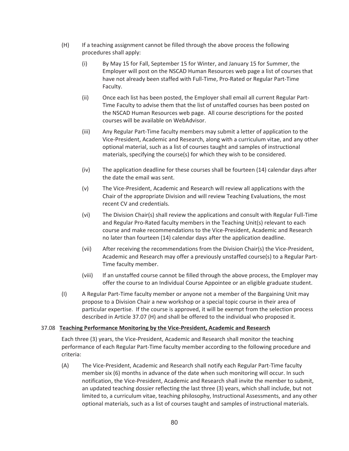- (H) If a teaching assignment cannot be filled through the above process the following procedures shall apply:
	- (i) By May 15 for Fall, September 15 for Winter, and January 15 for Summer, the Employer will post on the NSCAD Human Resources web page a list of courses that have not already been staffed with Full-Time, Pro-Rated or Regular Part-Time Faculty.
	- (ii) Once each list has been posted, the Employer shall email all current Regular Part-Time Faculty to advise them that the list of unstaffed courses has been posted on the NSCAD Human Resources web page. All course descriptions for the posted courses will be available on WebAdvisor.
	- (iii) Any Regular Part-Time faculty members may submit a letter of application to the Vice-President, Academic and Research, along with a curriculum vitae, and any other optional material, such as a list of courses taught and samples of instructional materials, specifying the course(s) for which they wish to be considered.
	- (iv) The application deadline for these courses shall be fourteen (14) calendar days after the date the email was sent.
	- (v) The Vice-President, Academic and Research will review all applications with the Chair of the appropriate Division and will review Teaching Evaluations, the most recent CV and credentials.
	- (vi) The Division Chair(s) shall review the applications and consult with Regular Full-Time and Regular Pro-Rated faculty members in the Teaching Unit(s) relevant to each course and make recommendations to the Vice-President, Academic and Research no later than fourteen (14) calendar days after the application deadline.
	- (vii) After receiving the recommendations from the Division Chair(s) the Vice-President, Academic and Research may offer a previously unstaffed course(s) to a Regular Part-Time faculty member.
	- (viii) If an unstaffed course cannot be filled through the above process, the Employer may offer the course to an Individual Course Appointee or an eligible graduate student.
- (I) A Regular Part-Time faculty member or anyone not a member of the Bargaining Unit may propose to a Division Chair a new workshop or a special topic course in their area of particular expertise. If the course is approved, it will be exempt from the selection process described in Article 37.07 (H) and shall be offered to the individual who proposed it.

### 37.08 **Teaching Performance Monitoring by the Vice-President, Academic and Research**

Each three (3) years, the Vice-President, Academic and Research shall monitor the teaching performance of each Regular Part-Time faculty member according to the following procedure and criteria:

(A) The Vice-President, Academic and Research shall notify each Regular Part-Time faculty member six (6) months in advance of the date when such monitoring will occur. In such notification, the Vice-President, Academic and Research shall invite the member to submit, an updated teaching dossier reflecting the last three (3) years, which shall include, but not limited to, a curriculum vitae, teaching philosophy, Instructional Assessments, and any other optional materials, such as a list of courses taught and samples of instructional materials.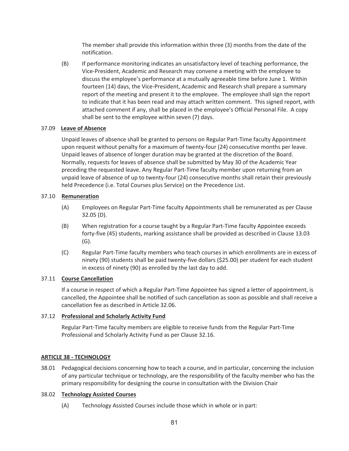The member shall provide this information within three (3) months from the date of the notification.

(B) If performance monitoring indicates an unsatisfactory level of teaching performance, the Vice-President, Academic and Research may convene a meeting with the employee to discuss the employee's performance at a mutually agreeable time before June 1. Within fourteen (14) days, the Vice-President, Academic and Research shall prepare a summary report of the meeting and present it to the employee. The employee shall sign the report to indicate that it has been read and may attach written comment. This signed report, with attached comment if any, shall be placed in the employee's Official Personal File. A copy shall be sent to the employee within seven (7) days.

### 37.09 **Leave of Absence**

Unpaid leaves of absence shall be granted to persons on Regular Part-Time faculty Appointment upon request without penalty for a maximum of twenty-four (24) consecutive months per leave. Unpaid leaves of absence of longer duration may be granted at the discretion of the Board. Normally, requests for leaves of absence shall be submitted by May 30 of the Academic Year preceding the requested leave. Any Regular Part-Time faculty member upon returning from an unpaid leave of absence of up to twenty-four (24) consecutive months shall retain their previously held Precedence (i.e. Total Courses plus Service) on the Precedence List.

### 37.10 **Remuneration**

- (A) Employees on Regular Part-Time faculty Appointments shall be remunerated as per Clause 32.05 (D).
- (B) When registration for a course taught by a Regular Part-Time faculty Appointee exceeds forty-five (45) students, marking assistance shall be provided as described in Clause 13.03 (G).
- (C) Regular Part-Time faculty members who teach courses in which enrollments are in excess of ninety (90) students shall be paid twenty-five dollars (\$25.00) per student for each student in excess of ninety (90) as enrolled by the last day to add.

# 37.11 **Course Cancellation**

If a course in respect of which a Regular Part-Time Appointee has signed a letter of appointment, is cancelled, the Appointee shall be notified of such cancellation as soon as possible and shall receive a cancellation fee as described in Article 32.06.

### 37.12 **Professional and Scholarly Activity Fund**

Regular Part-Time faculty members are eligible to receive funds from the Regular Part-Time Professional and Scholarly Activity Fund as per Clause 32.16.

### **ARTICLE 38 - TECHNOLOGY**

38.01 Pedagogical decisions concerning how to teach a course, and in particular, concerning the inclusion of any particular technique or technology, are the responsibility of the faculty member who has the primary responsibility for designing the course in consultation with the Division Chair

### 38.02 **Technology Assisted Courses**

(A) Technology Assisted Courses include those which in whole or in part: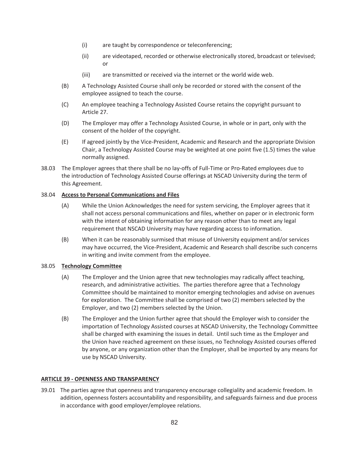- (i) are taught by correspondence or teleconferencing;
- (ii) are videotaped, recorded or otherwise electronically stored, broadcast or televised; or
- (iii) are transmitted or received via the internet or the world wide web.
- (B) A Technology Assisted Course shall only be recorded or stored with the consent of the employee assigned to teach the course.
- (C) An employee teaching a Technology Assisted Course retains the copyright pursuant to Article 27.
- (D) The Employer may offer a Technology Assisted Course, in whole or in part, only with the consent of the holder of the copyright.
- (E) If agreed jointly by the Vice-President, Academic and Research and the appropriate Division Chair, a Technology Assisted Course may be weighted at one point five (1.5) times the value normally assigned.
- 38.03 The Employer agrees that there shall be no lay-offs of Full-Time or Pro-Rated employees due to the introduction of Technology Assisted Course offerings at NSCAD University during the term of this Agreement.

### 38.04 **Access to Personal Communications and Files**

- (A) While the Union Acknowledges the need for system servicing, the Employer agrees that it shall not access personal communications and files, whether on paper or in electronic form with the intent of obtaining information for any reason other than to meet any legal requirement that NSCAD University may have regarding access to information.
- (B) When it can be reasonably surmised that misuse of University equipment and/or services may have occurred, the Vice-President, Academic and Research shall describe such concerns in writing and invite comment from the employee.

### 38.05 **Technology Committee**

- (A) The Employer and the Union agree that new technologies may radically affect teaching, research, and administrative activities. The parties therefore agree that a Technology Committee should be maintained to monitor emerging technologies and advise on avenues for exploration. The Committee shall be comprised of two (2) members selected by the Employer, and two (2) members selected by the Union.
- (B) The Employer and the Union further agree that should the Employer wish to consider the importation of Technology Assisted courses at NSCAD University, the Technology Committee shall be charged with examining the issues in detail. Until such time as the Employer and the Union have reached agreement on these issues, no Technology Assisted courses offered by anyone, or any organization other than the Employer, shall be imported by any means for use by NSCAD University.

# **ARTICLE 39 - OPENNESS AND TRANSPARENCY**

39.01 The parties agree that openness and transparency encourage collegiality and academic freedom. In addition, openness fosters accountability and responsibility, and safeguards fairness and due process in accordance with good employer/employee relations.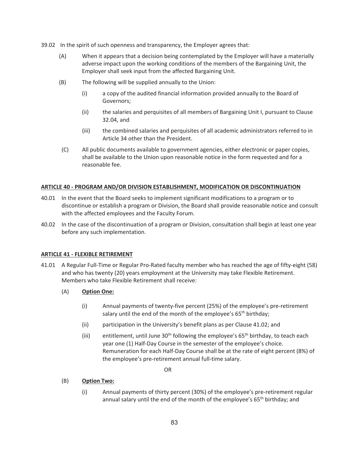- 39.02 In the spirit of such openness and transparency, the Employer agrees that:
	- (A) When it appears that a decision being contemplated by the Employer will have a materially adverse impact upon the working conditions of the members of the Bargaining Unit, the Employer shall seek input from the affected Bargaining Unit.
	- (B) The following will be supplied annually to the Union:
		- (i) a copy of the audited financial information provided annually to the Board of Governors;
		- (ii) the salaries and perquisites of all members of Bargaining Unit I, pursuant to Clause 32.04, and
		- (iii) the combined salaries and perquisites of all academic administrators referred to in Article 34 other than the President.
	- (C) All public documents available to government agencies, either electronic or paper copies, shall be available to the Union upon reasonable notice in the form requested and for a reasonable fee.

#### **ARTICLE 40 - PROGRAM AND/OR DIVISION ESTABLISHMENT, MODIFICATION OR DISCONTINUATION**

- 40.01 In the event that the Board seeks to implement significant modifications to a program or to discontinue or establish a program or Division, the Board shall provide reasonable notice and consult with the affected employees and the Faculty Forum.
- 40.02 In the case of the discontinuation of a program or Division, consultation shall begin at least one year before any such implementation.

#### **ARTICLE 41 - FLEXIBLE RETIREMENT**

41.01 A Regular Full-Time or Regular Pro-Rated faculty member who has reached the age of fifty-eight (58) and who has twenty (20) years employment at the University may take Flexible Retirement. Members who take Flexible Retirement shall receive:

#### (A) **Option One:**

- (i) Annual payments of twenty-five percent (25%) of the employee's pre-retirement salary until the end of the month of the employee's  $65<sup>th</sup>$  birthday;
- (ii) participation in the University's benefit plans as per Clause 41.02; and
- (iii) entitlement, until June  $30<sup>th</sup>$  following the employee's 65<sup>th</sup> birthday, to teach each year one (1) Half-Day Course in the semester of the employee's choice. Remuneration for each Half-Day Course shall be at the rate of eight percent (8%) of the employee's pre-retirement annual full-time salary.

**OR** Service Service Service Service Service Service Service Service Service Service Service Service Service Service Service Service Service Service Service Service Service Service Service Service Service Service Service S

### (B) **Option Two:**

(i) Annual payments of thirty percent (30%) of the employee's pre-retirement regular annual salary until the end of the month of the employee's  $65<sup>th</sup>$  birthday; and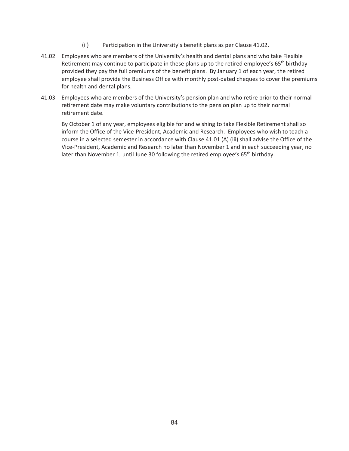- (ii) Participation in the University's benefit plans as per Clause 41.02.
- 41.02 Employees who are members of the University's health and dental plans and who take Flexible Retirement may continue to participate in these plans up to the retired employee's 65<sup>th</sup> birthday provided they pay the full premiums of the benefit plans. By January 1 of each year, the retired employee shall provide the Business Office with monthly post-dated cheques to cover the premiums for health and dental plans.
- 41.03 Employees who are members of the University's pension plan and who retire prior to their normal retirement date may make voluntary contributions to the pension plan up to their normal retirement date.

By October 1 of any year, employees eligible for and wishing to take Flexible Retirement shall so inform the Office of the Vice-President, Academic and Research. Employees who wish to teach a course in a selected semester in accordance with Clause 41.01 (A) (iii) shall advise the Office of the Vice-President, Academic and Research no later than November 1 and in each succeeding year, no later than November 1, until June 30 following the retired employee's 65<sup>th</sup> birthday.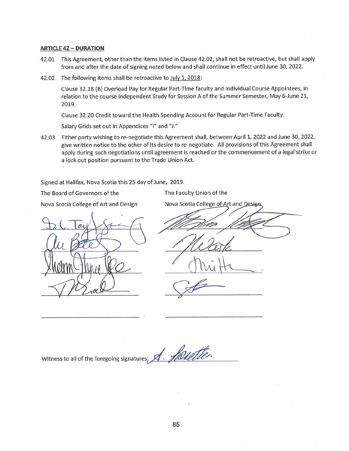#### **ARTICLE 42 - DURATION**

- 42.01 This Agreement, other than the items listed in Clause 42.02, shall not be retroactive, but shall apply from and after the date of signing noted below and shall continue in effect until June 30, 2022.
- 42.02 The following items shall be retroactive to July 1, 2018:

Clause 32.18 (B) Overload Pay for Regular Part-Time faculty and Individual Course Appointees, in relation to the course Independent Study for Session A of the Summer Semester, May 6-June 21, 2019.

Clause 32.20 Credit toward the Health Spending Account for Regular Part-Time Faculty.

Salary Grids set out in Appendices "I" and "J."

42.03 Either party wishing to re-negotiate this Agreement shall, between April 1, 2022 and June 30, 2022, give written notice to the other of its desire to re-negotiate. All provisions of this Agreement shall apply during such negotiations until agreement is reached or the commencement of a legal strike or a lock out position pursuant to the Trade Union Act.

Signed at Halifax, Nova Scotia this 25 day of June, 2019.

The Board of Governors of the

The Faculty Union of the

Nova Scotia College of Art and Design

Nova Scotia College of Art and Design

Witness to all of the foregoing signatures; A. Shoulter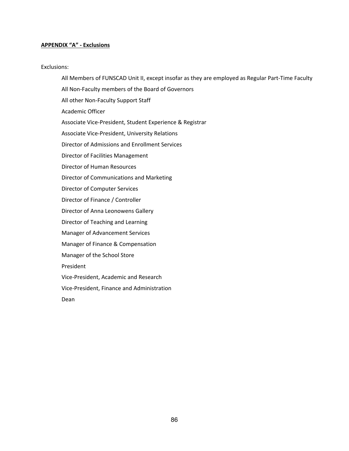### **APPENDIX "A" ‐ Exclusions**

#### Exclusions:

All Members of FUNSCAD Unit II, except insofar as they are employed as Regular Part‐Time Faculty

All Non‐Faculty members of the Board of Governors

All other Non‐Faculty Support Staff

Academic Officer

Associate Vice‐President, Student Experience & Registrar

Associate Vice‐President, University Relations

Director of Admissions and Enrollment Services

Director of Facilities Management

Director of Human Resources

Director of Communications and Marketing

Director of Computer Services

Director of Finance / Controller

Director of Anna Leonowens Gallery

Director of Teaching and Learning

Manager of Advancement Services

Manager of Finance & Compensation

Manager of the School Store

President

Vice‐President, Academic and Research

Vice‐President, Finance and Administration

Dean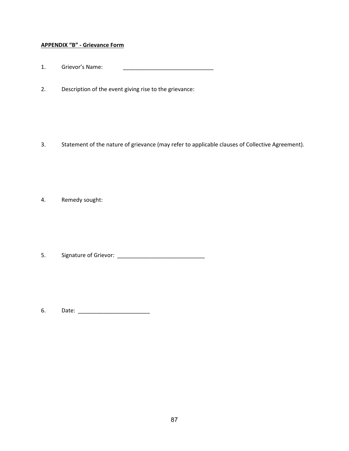# **APPENDIX "B" ‐ Grievance Form**

- 1. Grievor's Name: \_\_\_\_\_\_\_\_\_\_\_\_\_\_\_\_\_\_\_\_\_\_\_\_\_\_\_\_\_
- 2. Description of the event giving rise to the grievance:

3. Statement of the nature of grievance (may refer to applicable clauses of Collective Agreement).

4. Remedy sought:

5. Signature of Grievor: \_\_\_\_\_\_\_\_\_\_\_\_\_\_\_\_\_\_\_\_\_\_\_\_\_\_\_\_

6. Date: \_\_\_\_\_\_\_\_\_\_\_\_\_\_\_\_\_\_\_\_\_\_\_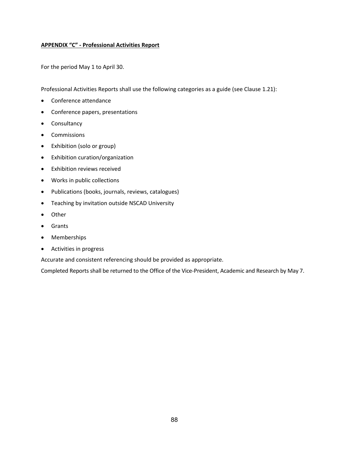### **APPENDIX "C" ‐ Professional Activities Report**

For the period May 1 to April 30.

Professional Activities Reports shall use the following categories as a guide (see Clause 1.21):

- Conference attendance
- Conference papers, presentations
- Consultancy
- Commissions
- Exhibition (solo or group)
- Exhibition curation/organization
- Exhibition reviews received
- Works in public collections
- Publications (books, journals, reviews, catalogues)
- Teaching by invitation outside NSCAD University
- Other
- Grants
- Memberships
- Activities in progress

Accurate and consistent referencing should be provided as appropriate.

Completed Reports shall be returned to the Office of the Vice‐President, Academic and Research by May 7.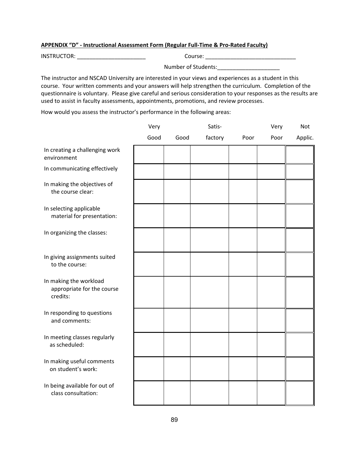### **APPENDIX "D" ‐ Instructional Assessment Form (Regular Full‐Time & Pro‐Rated Faculty)**

INSTRUCTOR: \_\_\_\_\_\_\_\_\_\_\_\_\_\_\_\_\_\_\_\_\_\_ Course: \_\_\_\_\_\_\_\_\_\_\_\_\_\_\_\_\_\_\_\_\_\_\_\_\_\_\_\_\_

Number of Students:\_\_\_\_\_\_\_\_\_\_\_\_\_\_\_\_\_\_\_\_

The instructor and NSCAD University are interested in your views and experiences as a student in this course. Your written comments and your answers will help strengthen the curriculum. Completion of the questionnaire is voluntary. Please give careful and serious consideration to your responses as the results are used to assist in faculty assessments, appointments, promotions, and review processes.

How would you assess the instructor's performance in the following areas:

|                                                                  | Very |      | Satis-  |      | Very | Not     |
|------------------------------------------------------------------|------|------|---------|------|------|---------|
|                                                                  | Good | Good | factory | Poor | Poor | Applic. |
| In creating a challenging work<br>environment                    |      |      |         |      |      |         |
| In communicating effectively                                     |      |      |         |      |      |         |
| In making the objectives of<br>the course clear:                 |      |      |         |      |      |         |
| In selecting applicable<br>material for presentation:            |      |      |         |      |      |         |
| In organizing the classes:                                       |      |      |         |      |      |         |
| In giving assignments suited<br>to the course:                   |      |      |         |      |      |         |
| In making the workload<br>appropriate for the course<br>credits: |      |      |         |      |      |         |
| In responding to questions<br>and comments:                      |      |      |         |      |      |         |
| In meeting classes regularly<br>as scheduled:                    |      |      |         |      |      |         |
| In making useful comments<br>on student's work:                  |      |      |         |      |      |         |
| In being available for out of<br>class consultation:             |      |      |         |      |      |         |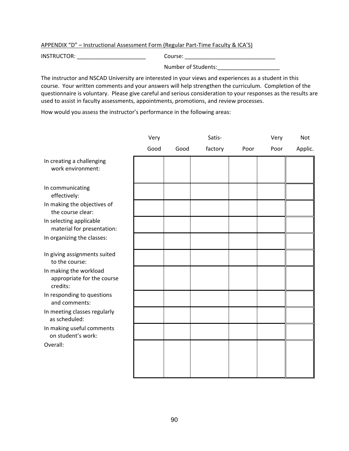APPENDIX "D" – Instructional Assessment Form (Regular Part-Time Faculty & ICA'S)

INSTRUCTOR: \_\_\_\_\_\_\_\_\_\_\_\_\_\_\_\_\_\_\_\_\_\_ Course: \_\_\_\_\_\_\_\_\_\_\_\_\_\_\_\_\_\_\_\_\_\_\_\_\_\_\_\_\_

Number of Students:

The instructor and NSCAD University are interested in your views and experiences as a student in this course. Your written comments and your answers will help strengthen the curriculum. Completion of the questionnaire is voluntary. Please give careful and serious consideration to your responses as the results are used to assist in faculty assessments, appointments, promotions, and review processes.

How would you assess the instructor's performance in the following areas:

|                                                                  | Very |      | Satis-  |      | Very | Not     |
|------------------------------------------------------------------|------|------|---------|------|------|---------|
|                                                                  | Good | Good | factory | Poor | Poor | Applic. |
| In creating a challenging<br>work environment:                   |      |      |         |      |      |         |
| In communicating<br>effectively:                                 |      |      |         |      |      |         |
| In making the objectives of<br>the course clear:                 |      |      |         |      |      |         |
| In selecting applicable<br>material for presentation:            |      |      |         |      |      |         |
| In organizing the classes:                                       |      |      |         |      |      |         |
| In giving assignments suited<br>to the course:                   |      |      |         |      |      |         |
| In making the workload<br>appropriate for the course<br>credits: |      |      |         |      |      |         |
| In responding to questions<br>and comments:                      |      |      |         |      |      |         |
| In meeting classes regularly<br>as scheduled:                    |      |      |         |      |      |         |
| In making useful comments<br>on student's work:                  |      |      |         |      |      |         |
| Overall:                                                         |      |      |         |      |      |         |
|                                                                  |      |      |         |      |      |         |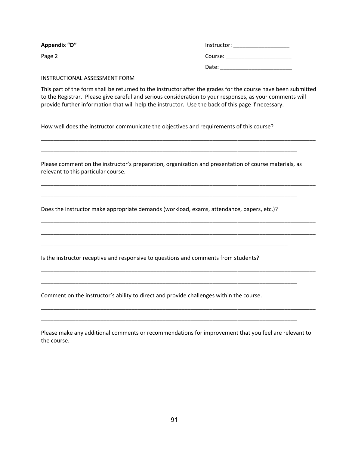| Appendix "D" | Instructor: |
|--------------|-------------|
| Page 2       | Course:     |
|              | Date:       |

#### INSTRUCTIONAL ASSESSMENT FORM

This part of the form shall be returned to the instructor after the grades for the course have been submitted to the Registrar. Please give careful and serious consideration to your responses, as your comments will provide further information that will help the instructor. Use the back of this page if necessary.

\_\_\_\_\_\_\_\_\_\_\_\_\_\_\_\_\_\_\_\_\_\_\_\_\_\_\_\_\_\_\_\_\_\_\_\_\_\_\_\_\_\_\_\_\_\_\_\_\_\_\_\_\_\_\_\_\_\_\_\_\_\_\_\_\_\_\_\_\_\_\_\_\_\_\_\_\_\_\_\_\_\_\_\_\_\_\_\_

\_\_\_\_\_\_\_\_\_\_\_\_\_\_\_\_\_\_\_\_\_\_\_\_\_\_\_\_\_\_\_\_\_\_\_\_\_\_\_\_\_\_\_\_\_\_\_\_\_\_\_\_\_\_\_\_\_\_\_\_\_\_\_\_\_\_\_\_\_\_\_\_\_\_\_\_\_\_\_\_\_\_\_\_\_\_\_\_

\_\_\_\_\_\_\_\_\_\_\_\_\_\_\_\_\_\_\_\_\_\_\_\_\_\_\_\_\_\_\_\_\_\_\_\_\_\_\_\_\_\_\_\_\_\_\_\_\_\_\_\_\_\_\_\_\_\_\_\_\_\_\_\_\_\_\_\_\_\_\_\_\_\_\_\_\_\_\_\_\_\_\_\_\_\_\_\_

\_\_\_\_\_\_\_\_\_\_\_\_\_\_\_\_\_\_\_\_\_\_\_\_\_\_\_\_\_\_\_\_\_\_\_\_\_\_\_\_\_\_\_\_\_\_\_\_\_\_\_\_\_\_\_\_\_\_\_\_\_\_\_\_\_\_\_\_\_\_\_\_\_\_\_\_\_\_\_\_\_\_\_\_\_\_\_\_

\_\_\_\_\_\_\_\_\_\_\_\_\_\_\_\_\_\_\_\_\_\_\_\_\_\_\_\_\_\_\_\_\_\_\_\_\_\_\_\_\_\_\_\_\_\_\_\_\_\_\_\_\_\_\_\_\_\_\_\_\_\_\_\_\_\_\_\_\_\_\_\_\_\_\_\_\_\_\_\_\_\_\_\_\_\_\_\_

\_\_\_\_\_\_\_\_\_\_\_\_\_\_\_\_\_\_\_\_\_\_\_\_\_\_\_\_\_\_\_\_\_\_\_\_\_\_\_\_\_\_\_\_\_\_\_\_\_\_\_\_\_\_\_\_\_\_\_\_\_\_\_\_\_\_\_\_\_\_\_\_\_\_\_\_\_\_\_\_\_\_

\_\_\_\_\_\_\_\_\_\_\_\_\_\_\_\_\_\_\_\_\_\_\_\_\_\_\_\_\_\_\_\_\_\_\_\_\_\_\_\_\_\_\_\_\_\_\_\_\_\_\_\_\_\_\_\_\_\_\_\_\_\_\_\_\_\_\_\_\_\_\_\_\_\_\_\_\_\_\_\_\_\_

How well does the instructor communicate the objectives and requirements of this course?

Please comment on the instructor's preparation, organization and presentation of course materials, as relevant to this particular course.

\_\_\_\_\_\_\_\_\_\_\_\_\_\_\_\_\_\_\_\_\_\_\_\_\_\_\_\_\_\_\_\_\_\_\_\_\_\_\_\_\_\_\_\_\_\_\_\_\_\_\_\_\_\_\_\_\_\_\_\_\_\_\_\_\_\_\_\_\_\_\_\_\_\_\_\_\_\_\_\_\_\_

\_\_\_\_\_\_\_\_\_\_\_\_\_\_\_\_\_\_\_\_\_\_\_\_\_\_\_\_\_\_\_\_\_\_\_\_\_\_\_\_\_\_\_\_\_\_\_\_\_\_\_\_\_\_\_\_\_\_\_\_\_\_\_\_\_\_\_\_\_\_\_\_\_\_\_\_\_\_\_\_\_\_

Does the instructor make appropriate demands (workload, exams, attendance, papers, etc.)?

\_\_\_\_\_\_\_\_\_\_\_\_\_\_\_\_\_\_\_\_\_\_\_\_\_\_\_\_\_\_\_\_\_\_\_\_\_\_\_\_\_\_\_\_\_\_\_\_\_\_\_\_\_\_\_\_\_\_\_\_\_\_\_\_\_\_\_\_\_\_\_\_\_\_\_\_\_\_\_

Is the instructor receptive and responsive to questions and comments from students?

Comment on the instructor's ability to direct and provide challenges within the course.

| Please make any additional comments or recommendations for improvement that you feel are relevant to |
|------------------------------------------------------------------------------------------------------|
| the course.                                                                                          |

\_\_\_\_\_\_\_\_\_\_\_\_\_\_\_\_\_\_\_\_\_\_\_\_\_\_\_\_\_\_\_\_\_\_\_\_\_\_\_\_\_\_\_\_\_\_\_\_\_\_\_\_\_\_\_\_\_\_\_\_\_\_\_\_\_\_\_\_\_\_\_\_\_\_\_\_\_\_\_\_\_\_\_\_\_\_\_\_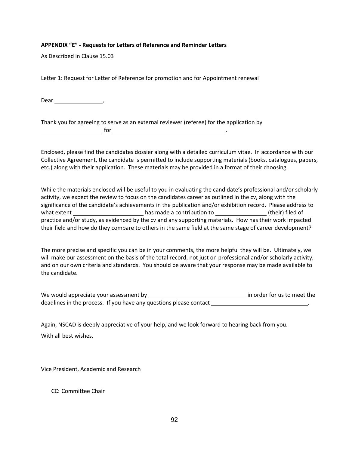### **APPENDIX "E" ‐ Requests for Letters of Reference and Reminder Letters**

As Described in Clause 15.03

Letter 1: Request for Letter of Reference for promotion and for Appointment renewal

Dear ,

Thank you for agreeing to serve as an external reviewer (referee) for the application by  $\mathsf{for}$  . The set of  $\mathsf{for}$  is a set of  $\mathsf{for}$  is a set of  $\mathsf{for}$  is a set of  $\mathsf{for}$ 

Enclosed, please find the candidates dossier along with a detailed curriculum vitae. In accordance with our Collective Agreement, the candidate is permitted to include supporting materials (books, catalogues, papers, etc.) along with their application. These materials may be provided in a format of their choosing.

While the materials enclosed will be useful to you in evaluating the candidate's professional and/or scholarly activity, we expect the review to focus on the candidates career as outlined in the cv, along with the significance of the candidate's achievements in the publication and/or exhibition record. Please address to what extent **be a contribution** to their) filed of their induction to their extent of their  $\theta$ practice and/or study, as evidenced by the cv and any supporting materials. How has their work impacted their field and how do they compare to others in the same field at the same stage of career development?

The more precise and specific you can be in your comments, the more helpful they will be. Ultimately, we will make our assessment on the basis of the total record, not just on professional and/or scholarly activity, and on our own criteria and standards. You should be aware that your response may be made available to the candidate.

We would appreciate your assessment by in order for us to meet the deadlines in the process. If you have any questions please contact \_\_\_\_\_\_\_\_\_\_\_\_\_

Again, NSCAD is deeply appreciative of your help, and we look forward to hearing back from you. With all best wishes,

Vice President, Academic and Research

CC: Committee Chair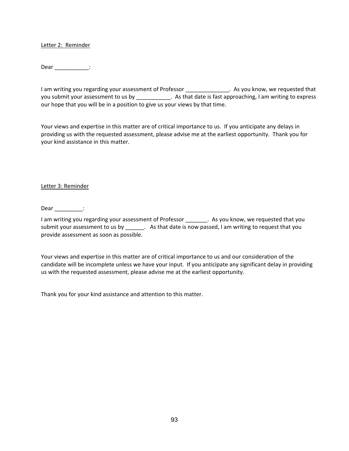#### Letter 2: Reminder

Dear \_\_\_\_\_\_\_\_\_\_\_\_\_:

I am writing you regarding your assessment of Professor \_\_\_\_\_\_\_\_\_\_\_\_\_\_. As you know, we requested that you submit your assessment to us by \_\_\_\_\_\_\_\_\_\_\_\_. As that date is fast approaching, I am writing to express our hope that you will be in a position to give us your views by that time.

Your views and expertise in this matter are of critical importance to us. If you anticipate any delays in providing us with the requested assessment, please advise me at the earliest opportunity. Thank you for your kind assistance in this matter.

#### Letter 3: Reminder

Dear  $\qquad$  :

I am writing you regarding your assessment of Professor \_\_\_\_\_\_\_. As you know, we requested that you submit your assessment to us by \_\_\_\_\_\_\_. As that date is now passed, I am writing to request that you provide assessment as soon as possible.

Your views and expertise in this matter are of critical importance to us and our consideration of the candidate will be incomplete unless we have your input. If you anticipate any significant delay in providing us with the requested assessment, please advise me at the earliest opportunity.

Thank you for your kind assistance and attention to this matter.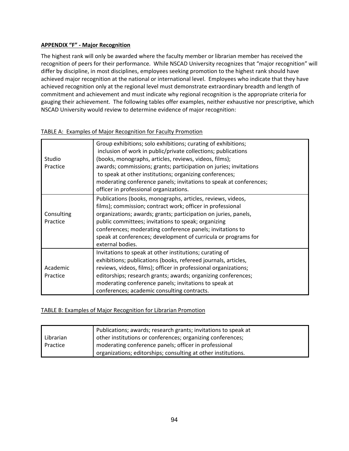## **APPENDIX "F" ‐ Major Recognition**

The highest rank will only be awarded where the faculty member or librarian member has received the recognition of peers for their performance. While NSCAD University recognizes that "major recognition" will differ by discipline, in most disciplines, employees seeking promotion to the highest rank should have achieved major recognition at the national or international level. Employees who indicate that they have achieved recognition only at the regional level must demonstrate extraordinary breadth and length of commitment and achievement and must indicate why regional recognition is the appropriate criteria for gauging their achievement. The following tables offer examples, neither exhaustive nor prescriptive, which NSCAD University would review to determine evidence of major recognition:

| Studio<br>Practice | Group exhibitions; solo exhibitions; curating of exhibitions;<br>inclusion of work in public/private collections; publications<br>(books, monographs, articles, reviews, videos, films);<br>awards; commissions; grants; participation on juries; invitations<br>to speak at other institutions; organizing conferences; |
|--------------------|--------------------------------------------------------------------------------------------------------------------------------------------------------------------------------------------------------------------------------------------------------------------------------------------------------------------------|
|                    | moderating conference panels; invitations to speak at conferences;<br>officer in professional organizations.                                                                                                                                                                                                             |
|                    | Publications (books, monographs, articles, reviews, videos,<br>films); commission; contract work; officer in professional                                                                                                                                                                                                |
| Consulting         | organizations; awards; grants; participation on juries, panels,                                                                                                                                                                                                                                                          |
| Practice           | public committees; invitations to speak; organizing                                                                                                                                                                                                                                                                      |
|                    | conferences; moderating conference panels; invitations to                                                                                                                                                                                                                                                                |
|                    | speak at conferences; development of curricula or programs for                                                                                                                                                                                                                                                           |
|                    | external bodies.                                                                                                                                                                                                                                                                                                         |
|                    | Invitations to speak at other institutions; curating of                                                                                                                                                                                                                                                                  |
|                    | exhibitions; publications (books, refereed journals, articles,                                                                                                                                                                                                                                                           |
| Academic           | reviews, videos, films); officer in professional organizations;                                                                                                                                                                                                                                                          |
| Practice           | editorships; research grants; awards; organizing conferences;                                                                                                                                                                                                                                                            |
|                    | moderating conference panels; invitations to speak at                                                                                                                                                                                                                                                                    |
|                    | conferences; academic consulting contracts.                                                                                                                                                                                                                                                                              |

### TABLE A: Examples of Major Recognition for Faculty Promotion

# TABLE B: Examples of Major Recognition for Librarian Promotion

|           | Publications; awards; research grants; invitations to speak at |
|-----------|----------------------------------------------------------------|
| Librarian | other institutions or conferences; organizing conferences;     |
| Practice  | moderating conference panels; officer in professional          |
|           | organizations; editorships; consulting at other institutions.  |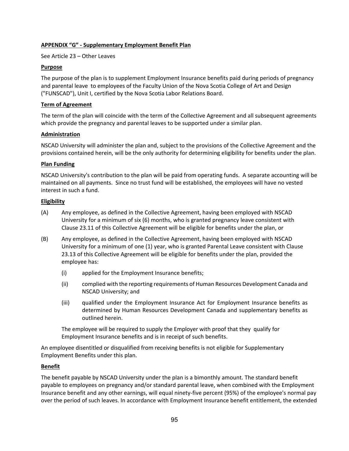## **APPENDIX "G" ‐ Supplementary Employment Benefit Plan**

See Article 23 – Other Leaves

### **Purpose**

The purpose of the plan is to supplement Employment Insurance benefits paid during periods of pregnancy and parental leave to employees of the Faculty Union of the Nova Scotia College of Art and Design ("FUNSCAD"), Unit I, certified by the Nova Scotia Labor Relations Board.

### **Term of Agreement**

The term of the plan will coincide with the term of the Collective Agreement and all subsequent agreements which provide the pregnancy and parental leaves to be supported under a similar plan.

### **Administration**

NSCAD University will administer the plan and, subject to the provisions of the Collective Agreement and the provisions contained herein, will be the only authority for determining eligibility for benefits under the plan.

#### **Plan Funding**

NSCAD University's contribution to the plan will be paid from operating funds. A separate accounting will be maintained on all payments. Since no trust fund will be established, the employees will have no vested interest in such a fund.

#### **Eligibility**

- (A) Any employee, as defined in the Collective Agreement, having been employed with NSCAD University for a minimum of six (6) months, who is granted pregnancy leave consistent with Clause 23.11 of this Collective Agreement will be eligible for benefits under the plan, or
- (B) Any employee, as defined in the Collective Agreement, having been employed with NSCAD University for a minimum of one (1) year, who is granted Parental Leave consistent with Clause 23.13 of this Collective Agreement will be eligible for benefits under the plan, provided the employee has:
	- (i) applied for the Employment Insurance benefits;
	- (ii) complied with the reporting requirements of Human Resources Development Canada and NSCAD University; and
	- (iii) qualified under the Employment Insurance Act for Employment Insurance benefits as determined by Human Resources Development Canada and supplementary benefits as outlined herein.

The employee will be required to supply the Employer with proof that they qualify for Employment Insurance benefits and is in receipt of such benefits.

An employee disentitled or disqualified from receiving benefits is not eligible for Supplementary Employment Benefits under this plan.

### **Benefit**

The benefit payable by NSCAD University under the plan is a bimonthly amount. The standard benefit payable to employees on pregnancy and/or standard parental leave, when combined with the Employment Insurance benefit and any other earnings, will equal ninety‐five percent (95%) of the employee's normal pay over the period of such leaves. In accordance with Employment Insurance benefit entitlement, the extended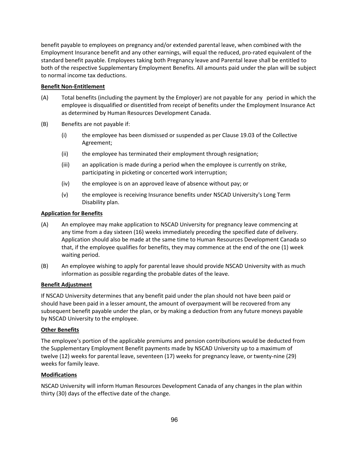benefit payable to employees on pregnancy and/or extended parental leave, when combined with the Employment Insurance benefit and any other earnings, will equal the reduced, pro‐rated equivalent of the standard benefit payable. Employees taking both Pregnancy leave and Parental leave shall be entitled to both of the respective Supplementary Employment Benefits. All amounts paid under the plan will be subject to normal income tax deductions.

### **Benefit Non‐Entitlement**

- (A) Total benefits (including the payment by the Employer) are not payable for any period in which the employee is disqualified or disentitled from receipt of benefits under the Employment Insurance Act as determined by Human Resources Development Canada.
- (B) Benefits are not payable if:
	- (i) the employee has been dismissed or suspended as per Clause 19.03 of the Collective Agreement;
	- (ii) the employee has terminated their employment through resignation;
	- (iii) an application is made during a period when the employee is currently on strike, participating in picketing or concerted work interruption;
	- (iv) the employee is on an approved leave of absence without pay; or
	- (v) the employee is receiving Insurance benefits under NSCAD University's Long Term Disability plan.

### **Application for Benefits**

- (A) An employee may make application to NSCAD University for pregnancy leave commencing at any time from a day sixteen (16) weeks immediately preceding the specified date of delivery. Application should also be made at the same time to Human Resources Development Canada so that, if the employee qualifies for benefits, they may commence at the end of the one (1) week waiting period.
- (B) An employee wishing to apply for parental leave should provide NSCAD University with as much information as possible regarding the probable dates of the leave.

### **Benefit Adjustment**

If NSCAD University determines that any benefit paid under the plan should not have been paid or should have been paid in a lesser amount, the amount of overpayment will be recovered from any subsequent benefit payable under the plan, or by making a deduction from any future moneys payable by NSCAD University to the employee.

### **Other Benefits**

The employee's portion of the applicable premiums and pension contributions would be deducted from the Supplementary Employment Benefit payments made by NSCAD University up to a maximum of twelve (12) weeks for parental leave, seventeen (17) weeks for pregnancy leave, or twenty‐nine (29) weeks for family leave.

### **Modifications**

NSCAD University will inform Human Resources Development Canada of any changes in the plan within thirty (30) days of the effective date of the change.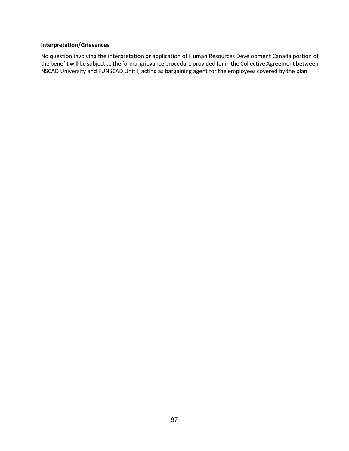### **Interpretation/Grievances**

No question involving the interpretation or application of Human Resources Development Canada portion of the benefit will be subject to the formal grievance procedure provided for in the Collective Agreement between NSCAD University and FUNSCAD Unit I, acting as bargaining agent for the employees covered by the plan.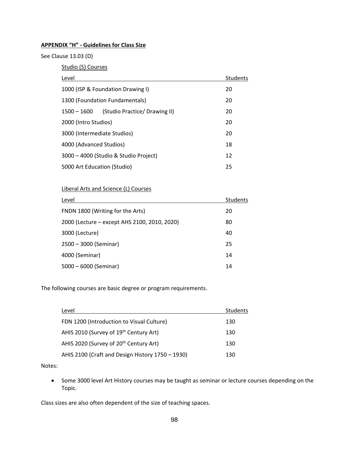# **APPENDIX "H" ‐ Guidelines for Class Size**

See Clause 13.03 (D)

Studio (S) Courses

| Level                                          | <b>Students</b> |
|------------------------------------------------|-----------------|
| 1000 (ISP & Foundation Drawing I)              | 20              |
| 1300 (Foundation Fundamentals)                 | 20              |
| (Studio Practice/ Drawing II)<br>$1500 - 1600$ | 20              |
| 2000 (Intro Studios)                           | 20              |
| 3000 (Intermediate Studios)                    | 20              |
| 4000 (Advanced Studios)                        | 18              |
| 3000 - 4000 (Studio & Studio Project)          | 12              |
| 5000 Art Education (Studio)                    | 25              |
|                                                |                 |

# Liberal Arts and Science (L) Courses

| Level                                        | <b>Students</b> |
|----------------------------------------------|-----------------|
| FNDN 1800 (Writing for the Arts)             | 20              |
| 2000 (Lecture - except AHS 2100, 2010, 2020) | 80              |
| 3000 (Lecture)                               | 40              |
| 2500 - 3000 (Seminar)                        | 25              |
| 4000 (Seminar)                               | 14              |
| 5000 - 6000 (Seminar)                        | 14              |

The following courses are basic degree or program requirements.

| Level                                              | <b>Students</b> |
|----------------------------------------------------|-----------------|
| FDN 1200 (Introduction to Visual Culture)          | 130             |
| AHIS 2010 (Survey of 19th Century Art)             | 130             |
| AHIS 2020 (Survey of 20 <sup>th</sup> Century Art) | 130             |
| AHIS 2100 (Craft and Design History 1750 - 1930)   | 130             |
|                                                    |                 |

### Notes:

• Some 3000 level Art History courses may be taught as seminar or lecture courses depending on the Topic.

Class sizes are also often dependent of the size of teaching spaces.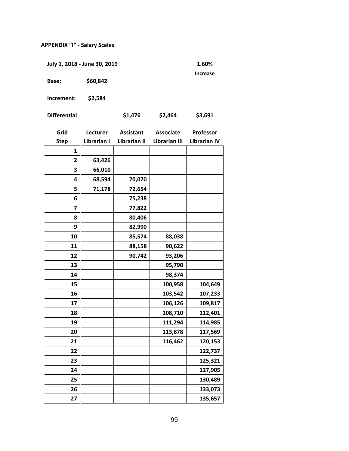# **APPENDIX "I" ‐ Salary Scales**

**July 1, 2018 ‐ June 30, 2019 1.60%** 

**Increase** 

**Base: \$60,842** 

**Increment: \$2,584** 

| <b>Differential</b> | \$1, |
|---------------------|------|
|                     |      |

**Differential \$1,476 \$2,464 \$3,691** 

| Grid                    | Lecturer    | <b>Assistant</b> | <b>Associate</b>     | Professor           |
|-------------------------|-------------|------------------|----------------------|---------------------|
| <b>Step</b>             | Librarian I | Librarian II     | <b>Librarian III</b> | <b>Librarian IV</b> |
| 1                       |             |                  |                      |                     |
| $\overline{2}$          | 63,426      |                  |                      |                     |
| 3                       | 66,010      |                  |                      |                     |
| 4                       | 68,594      | 70,070           |                      |                     |
| 5                       | 71,178      | 72,654           |                      |                     |
| 6                       |             | 75,238           |                      |                     |
| $\overline{\mathbf{z}}$ |             | 77,822           |                      |                     |
| 8                       |             | 80,406           |                      |                     |
| 9                       |             | 82,990           |                      |                     |
| 10                      |             | 85,574           | 88,038               |                     |
| 11                      |             | 88,158           | 90,622               |                     |
| 12                      |             | 90,742           | 93,206               |                     |
| 13                      |             |                  | 95,790               |                     |
| 14                      |             |                  | 98,374               |                     |
| 15                      |             |                  | 100,958              | 104,649             |
| 16                      |             |                  | 103,542              | 107,233             |
| 17                      |             |                  | 106,126              | 109,817             |
| 18                      |             |                  | 108,710              | 112,401             |
| 19                      |             |                  | 111,294              | 114,985             |
| 20                      |             |                  | 113,878              | 117,569             |
| 21                      |             |                  | 116,462              | 120,153             |
| 22                      |             |                  |                      | 122,737             |
| 23                      |             |                  |                      | 125,321             |
| 24                      |             |                  |                      | 127,905             |
| 25                      |             |                  |                      | 130,489             |
| 26                      |             |                  |                      | 133,073             |
| 27                      |             |                  |                      | 135,657             |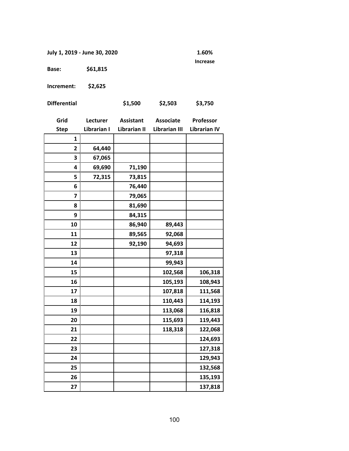**July 1, 2019 ‐ June 30, 2020 1.60%** 

**Increase** 

**Base: \$61,815** 

**Increment: \$2,625** 

| <b>Differential</b> | \$1,500 | \$2,503 | \$3,750 |
|---------------------|---------|---------|---------|
|---------------------|---------|---------|---------|

| Grid         | Lecturer    | <b>Assistant</b> | <b>Associate</b>     | Professor           |
|--------------|-------------|------------------|----------------------|---------------------|
| <b>Step</b>  | Librarian I | Librarian II     | <b>Librarian III</b> | <b>Librarian IV</b> |
| $\mathbf{1}$ |             |                  |                      |                     |
| $\mathbf{2}$ | 64,440      |                  |                      |                     |
| 3            | 67,065      |                  |                      |                     |
| 4            | 69,690      | 71,190           |                      |                     |
| 5            | 72,315      | 73,815           |                      |                     |
| 6            |             | 76,440           |                      |                     |
| 7            |             | 79,065           |                      |                     |
| 8            |             | 81,690           |                      |                     |
| 9            |             | 84,315           |                      |                     |
| 10           |             | 86,940           | 89,443               |                     |
| 11           |             | 89,565           | 92,068               |                     |
| 12           |             | 92,190           | 94,693               |                     |
| 13           |             |                  | 97,318               |                     |
| 14           |             |                  | 99,943               |                     |
| 15           |             |                  | 102,568              | 106,318             |
| 16           |             |                  | 105,193              | 108,943             |
| 17           |             |                  | 107,818              | 111,568             |
| 18           |             |                  | 110,443              | 114,193             |
| 19           |             |                  | 113,068              | 116,818             |
| 20           |             |                  | 115,693              | 119,443             |
| 21           |             |                  | 118,318              | 122,068             |
| 22           |             |                  |                      | 124,693             |
| 23           |             |                  |                      | 127,318             |
| 24           |             |                  |                      | 129,943             |
| 25           |             |                  |                      | 132,568             |
| 26           |             |                  |                      | 135,193             |
| 27           |             |                  |                      | 137,818             |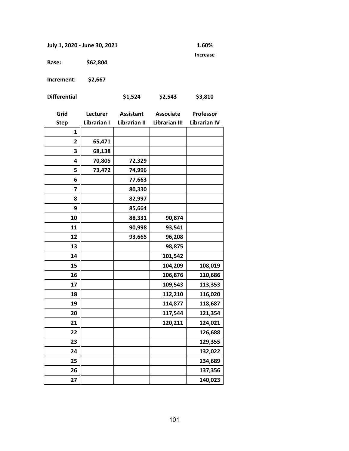**July 1, 2020 ‐ June 30, 2021 1.60%** 

**Increase** 

**Base: \$62,804** 

**Increment: \$2,667** 

| <b>Differential</b> | \$1,524 | \$2,543 | \$3,810 |
|---------------------|---------|---------|---------|
|                     |         |         |         |

| Grid           | Lecturer    | <b>Assistant</b> | <b>Associate</b>     | Professor           |
|----------------|-------------|------------------|----------------------|---------------------|
| <b>Step</b>    | Librarian I | Librarian II     | <b>Librarian III</b> | <b>Librarian IV</b> |
| $\mathbf{1}$   |             |                  |                      |                     |
| $\overline{2}$ | 65,471      |                  |                      |                     |
| 3              | 68,138      |                  |                      |                     |
| 4              | 70,805      | 72,329           |                      |                     |
| 5              | 73,472      | 74,996           |                      |                     |
| 6              |             | 77,663           |                      |                     |
| $\overline{7}$ |             | 80,330           |                      |                     |
| 8              |             | 82,997           |                      |                     |
| 9              |             | 85,664           |                      |                     |
| 10             |             | 88,331           | 90,874               |                     |
| 11             |             | 90,998           | 93,541               |                     |
| 12             |             | 93,665           | 96,208               |                     |
| 13             |             |                  | 98,875               |                     |
| 14             |             |                  | 101,542              |                     |
| 15             |             |                  | 104,209              | 108,019             |
| 16             |             |                  | 106,876              | 110,686             |
| 17             |             |                  | 109,543              | 113,353             |
| 18             |             |                  | 112,210              | 116,020             |
| 19             |             |                  | 114,877              | 118,687             |
| 20             |             |                  | 117,544              | 121,354             |
| 21             |             |                  | 120,211              | 124,021             |
| 22             |             |                  |                      | 126,688             |
| 23             |             |                  |                      | 129,355             |
| 24             |             |                  |                      | 132,022             |
| 25             |             |                  |                      | 134,689             |
| 26             |             |                  |                      | 137,356             |
| 27             |             |                  |                      | 140,023             |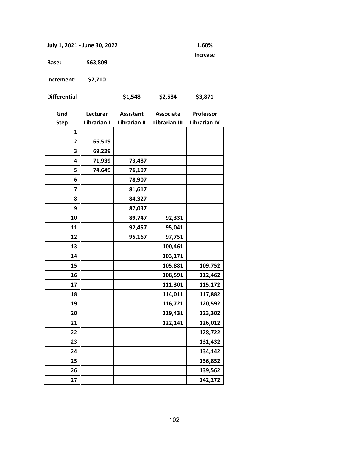**July 1, 2021 ‐ June 30, 2022 1.60%** 

**Increase** 

**Base: \$63,809** 

**Increment: \$2,710** 

| <b>Differential</b> | \$1,548 | \$2,584 | \$3,871 |
|---------------------|---------|---------|---------|
|                     |         |         |         |

| Grid           | Lecturer    | <b>Assistant</b> | <b>Associate</b>     | Professor           |
|----------------|-------------|------------------|----------------------|---------------------|
| <b>Step</b>    | Librarian I | Librarian II     | <b>Librarian III</b> | <b>Librarian IV</b> |
| 1              |             |                  |                      |                     |
| $\overline{2}$ | 66,519      |                  |                      |                     |
| 3              | 69,229      |                  |                      |                     |
| 4              | 71,939      | 73,487           |                      |                     |
| 5              | 74,649      | 76,197           |                      |                     |
| 6              |             | 78,907           |                      |                     |
| 7              |             | 81,617           |                      |                     |
| 8              |             | 84,327           |                      |                     |
| 9              |             | 87,037           |                      |                     |
| 10             |             | 89,747           | 92,331               |                     |
| 11             |             | 92,457           | 95,041               |                     |
| 12             |             | 95,167           | 97,751               |                     |
| 13             |             |                  | 100,461              |                     |
| 14             |             |                  | 103,171              |                     |
| 15             |             |                  | 105,881              | 109,752             |
| 16             |             |                  | 108,591              | 112,462             |
| 17             |             |                  | 111,301              | 115,172             |
| 18             |             |                  | 114,011              | 117,882             |
| 19             |             |                  | 116,721              | 120,592             |
| 20             |             |                  | 119,431              | 123,302             |
| 21             |             |                  | 122,141              | 126,012             |
| 22             |             |                  |                      | 128,722             |
| 23             |             |                  |                      | 131,432             |
| 24             |             |                  |                      | 134,142             |
| 25             |             |                  |                      | 136,852             |
| 26             |             |                  |                      | 139,562             |
| 27             |             |                  |                      | 142,272             |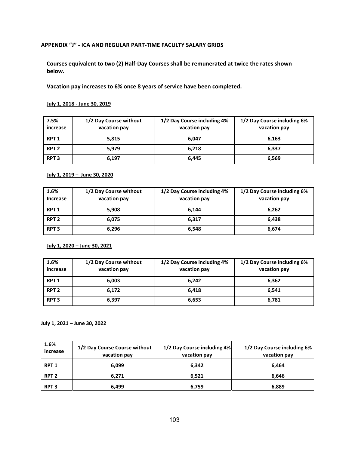# **APPENDIX "J" ‐ ICA AND REGULAR PART‐TIME FACULTY SALARY GRIDS**

**Courses equivalent to two (2) Half‐Day Courses shall be remunerated at twice the rates shown below.** 

**Vacation pay increases to 6% once 8 years of service have been completed.** 

### **July 1, 2018 ‐ June 30, 2019**

| 7.5%<br>increase | 1/2 Day Course without<br>vacation pay | 1/2 Day Course including 4%<br>vacation pay | 1/2 Day Course including 6%<br>vacation pay |
|------------------|----------------------------------------|---------------------------------------------|---------------------------------------------|
| RPT <sub>1</sub> | 5,815                                  | 6,047                                       | 6,163                                       |
| RPT <sub>2</sub> | 5.979                                  | 6,218                                       | 6,337                                       |
| RPT <sub>3</sub> | 6,197                                  | 6,445                                       | 6,569                                       |

#### **July 1, 2019 – June 30, 2020**

| 1.6%<br><b>Increase</b> | 1/2 Day Course without<br>vacation pay | 1/2 Day Course including 4%<br>vacation pay | 1/2 Day Course including 6%<br>vacation pay |
|-------------------------|----------------------------------------|---------------------------------------------|---------------------------------------------|
| RPT <sub>1</sub>        | 5,908                                  | 6,144                                       | 6,262                                       |
| RPT <sub>2</sub>        | 6,075                                  | 6,317                                       | 6.438                                       |
| RPT <sub>3</sub>        | 6,296                                  | 6,548                                       | 6,674                                       |

**July 1, 2020 – June 30, 2021** 

| 1.6%<br>increase | 1/2 Day Course without<br>vacation pay | 1/2 Day Course including 4%<br>vacation pay | 1/2 Day Course including 6%<br>vacation pay |
|------------------|----------------------------------------|---------------------------------------------|---------------------------------------------|
| RPT <sub>1</sub> | 6,003                                  | 6.242                                       | 6,362                                       |
| RPT <sub>2</sub> | 6,172                                  | 6,418                                       | 6.541                                       |
| <b>RPT 3</b>     | 6,397                                  | 6,653                                       | 6,781                                       |

#### **July 1, 2021 – June 30, 2022**

| 1.6%<br>increase | 1/2 Day Course Course without<br>vacation pay | 1/2 Day Course including 4%<br>vacation pay | 1/2 Day Course including 6%<br>vacation pay |
|------------------|-----------------------------------------------|---------------------------------------------|---------------------------------------------|
| <b>RPT 1</b>     | 6.099                                         | 6,342                                       | 6.464                                       |
| RPT <sub>2</sub> | 6,271                                         | 6,521                                       | 6.646                                       |
| <b>RPT 3</b>     | 6.499                                         | 6,759                                       | 6,889                                       |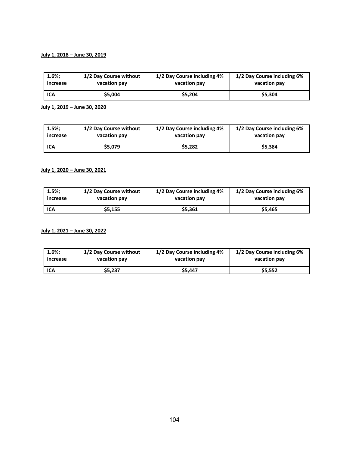### **July 1, 2018 – June 30, 2019**

| $1.6\%;$ | 1/2 Day Course without | 1/2 Day Course including 4% | 1/2 Day Course including 6% |
|----------|------------------------|-----------------------------|-----------------------------|
| increase | vacation pay           | vacation pay                | vacation pay                |
| ICA      | \$5.004                | \$5.204                     | \$5.304                     |

**July 1, 2019 – June 30, 2020** 

| 1.5%;    | 1/2 Day Course without | 1/2 Day Course including 4% | 1/2 Day Course including 6% |
|----------|------------------------|-----------------------------|-----------------------------|
| increase | vacation pay           | vacation pay                | vacation pay                |
| ICA      | \$5.079                | \$5.282                     | \$5.384                     |

# **July 1, 2020 – June 30, 2021**

| 1.5%:      | 1/2 Day Course without | 1/2 Day Course including 4% | 1/2 Day Course including 6% |
|------------|------------------------|-----------------------------|-----------------------------|
| increase   | vacation pay           | vacation pay                | vacation pay                |
| <b>ICA</b> | \$5,155                | \$5,361                     | \$5,465                     |

#### **July 1, 2021 – June 30, 2022**

| $1.6\%;$   | 1/2 Day Course without | 1/2 Day Course including 4% | 1/2 Day Course including 6% |
|------------|------------------------|-----------------------------|-----------------------------|
| increase   | vacation pay           | vacation pay                | vacation pay                |
| <b>ICA</b> | \$5,237                | \$5.447                     | \$5.552                     |